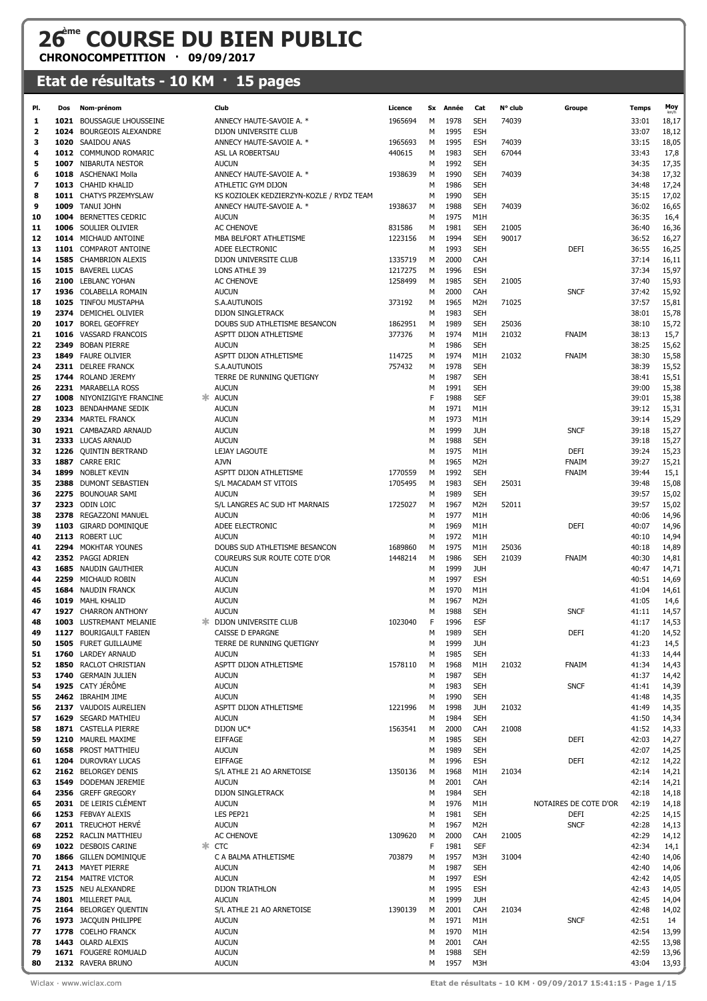## **26ème COURSE DU BIEN PUBLIC**

**CHRONOCOMPETITION · 09/09/2017**

## **Etat de résultats - 10 KM · 15 pages**

| PI.      | Dos | Nom-prénom                                     |    | Club                                          | Licence          |        | Sx Année     | Cat               | N° club | Groupe                | <b>Temps</b>   | Moy            |
|----------|-----|------------------------------------------------|----|-----------------------------------------------|------------------|--------|--------------|-------------------|---------|-----------------------|----------------|----------------|
| 1        |     | 1021 BOUSSAGUE LHOUSSEINE                      |    | ANNECY HAUTE-SAVOIE A. *                      | 1965694          | M      | 1978         | <b>SEH</b>        | 74039   |                       | 33:01          | 18,17          |
| 2        |     | 1024 BOURGEOIS ALEXANDRE                       |    | DIJON UNIVERSITE CLUB                         |                  | м      | 1995         | <b>ESH</b>        |         |                       | 33:07          | 18,12          |
| з        |     | 1020 SAAIDOU ANAS                              |    | ANNECY HAUTE-SAVOIE A. *                      | 1965693          | м      | 1995         | <b>ESH</b>        | 74039   |                       | 33:15          | 18,05          |
| 4        |     | 1012 COMMUNOD ROMARIC                          |    | ASL LA ROBERTSAU                              | 440615           | M      | 1983         | <b>SEH</b>        | 67044   |                       | 33:43          | 17,8           |
| 5        |     | 1007 NIBARUTA NESTOR                           |    | <b>AUCUN</b>                                  |                  | м      | 1992         | <b>SEH</b>        |         |                       | 34:35          | 17,35          |
| 6        |     | 1018 ASCHENAKI Molla                           |    | ANNECY HAUTE-SAVOIE A. *                      | 1938639          | M      | 1990         | <b>SEH</b>        | 74039   |                       | 34:38          | 17,32          |
| 7        |     | 1013 CHAHID KHALID                             |    | ATHLETIC GYM DIJON                            |                  | м      | 1986         | <b>SEH</b>        |         |                       | 34:48          | 17,24          |
| 8        |     | 1011 CHATYS PRZEMYSLAW                         |    | KS KOZIOLEK KEDZIERZYN-KOZLE / RYDZ TEAM      |                  | м      | 1990         | <b>SEH</b>        |         |                       | 35:15          | 17,02          |
| 9        |     | 1009 TANUI JOHN                                |    | ANNECY HAUTE-SAVOIE A. *                      | 1938637          | M      | 1988         | <b>SEH</b>        | 74039   |                       | 36:02          | 16,65          |
| 10       |     | 1004 BERNETTES CEDRIC                          |    | <b>AUCUN</b>                                  |                  | м      | 1975         | M1H               |         |                       | 36:35          | 16,4           |
| 11       |     | 1006 SOULIER OLIVIER                           |    | <b>AC CHENOVE</b>                             | 831586           | M      | 1981         | <b>SEH</b>        | 21005   |                       | 36:40          | 16,36          |
| 12       |     | 1014 MICHAUD ANTOINE                           |    | MBA BELFORT ATHLETISME                        | 1223156          | M      | 1994         | <b>SEH</b>        | 90017   |                       | 36:52          | 16,27          |
| 13       |     | 1101 COMPAROT ANTOINE                          |    | ADEE ELECTRONIC                               |                  | м      | 1993         | <b>SEH</b>        |         | <b>DEFI</b>           | 36:55          | 16,25          |
| 14       |     | 1585 CHAMBRION ALEXIS                          |    | DIJON UNIVERSITE CLUB                         | 1335719          | м      | 2000         | CAH               |         |                       | 37:14          | 16,11          |
| 15       |     | 1015 BAVEREL LUCAS                             |    | LONS ATHLE 39                                 | 1217275          | M      | 1996         | <b>ESH</b>        |         |                       | 37:34          | 15,97          |
| 16       |     | 2100 LEBLANC YOHAN                             |    | <b>AC CHENOVE</b>                             | 1258499          | M      | 1985         | <b>SEH</b>        | 21005   |                       | 37:40          | 15,93          |
| 17       |     | 1936 COLABELLA ROMAIN                          |    | <b>AUCUN</b>                                  |                  | м      | 2000         | CAH               |         | <b>SNCF</b>           | 37:42          | 15,92          |
| 18       |     | 1025 TINFOU MUSTAPHA                           |    | S.A.AUTUNOIS                                  | 373192           | M      | 1965         | M <sub>2</sub> H  | 71025   |                       | 37:57          | 15,81          |
| 19       |     | 2374 DEMICHEL OLIVIER                          |    | <b>DIJON SINGLETRACK</b>                      |                  | м      | 1983         | <b>SEH</b>        |         |                       | 38:01          | 15,78          |
| 20       |     | 1017 BOREL GEOFFREY                            |    | DOUBS SUD ATHLETISME BESANCON                 | 1862951          | м      | 1989         | <b>SEH</b>        | 25036   |                       | 38:10          | 15,72          |
| 21       |     | 1016 VASSARD FRANCOIS                          |    | ASPTT DIJON ATHLETISME                        | 377376           | м      | 1974         | M1H               | 21032   | <b>FNAIM</b>          | 38:13          | 15,7           |
| 22       |     | 2349 BOBAN PIERRE                              |    | <b>AUCUN</b>                                  |                  | м      | 1986         | <b>SEH</b>        |         |                       | 38:25          | 15,62          |
| 23       |     | 1849 FAURE OLIVIER                             |    | ASPTT DIJON ATHLETISME<br>S.A.AUTUNOIS        | 114725<br>757432 | м      | 1974<br>1978 | M1H<br><b>SEH</b> | 21032   | <b>FNAIM</b>          | 38:30<br>38:39 | 15,58<br>15,52 |
| 24<br>25 |     | 2311 DELREE FRANCK<br>1744 ROLAND JEREMY       |    | TERRE DE RUNNING QUETIGNY                     |                  | м<br>м | 1987         | <b>SEH</b>        |         |                       | 38:41          | 15,51          |
| 26       |     | 2231 MARABELLA ROSS                            |    | <b>AUCUN</b>                                  |                  | м      | 1991         | <b>SEH</b>        |         |                       | 39:00          | 15,38          |
| 27       |     | 1008 NIYONIZIGIYE FRANCINE                     | ж  | <b>AUCUN</b>                                  |                  | F      | 1988         | <b>SEF</b>        |         |                       | 39:01          | 15,38          |
| 28       |     | 1023 BENDAHMANE SEDIK                          |    | <b>AUCUN</b>                                  |                  | м      | 1971         | M1H               |         |                       | 39:12          | 15,31          |
| 29       |     | 2334 MARTEL FRANCK                             |    | <b>AUCUN</b>                                  |                  | м      | 1973         | M1H               |         |                       | 39:14          | 15,29          |
| 30       |     | 1921 CAMBAZARD ARNAUD                          |    | <b>AUCUN</b>                                  |                  | М      | 1999         | <b>JUH</b>        |         | <b>SNCF</b>           | 39:18          | 15,27          |
| 31       |     | 2333 LUCAS ARNAUD                              |    | <b>AUCUN</b>                                  |                  | м      | 1988         | <b>SEH</b>        |         |                       | 39:18          | 15,27          |
| 32       |     | 1226 QUINTIN BERTRAND                          |    | LEJAY LAGOUTE                                 |                  | м      | 1975         | M1H               |         | <b>DEFI</b>           | 39:24          | 15,23          |
| 33       |     | 1887 CARRE ERIC                                |    | <b>AJVN</b>                                   |                  | М      | 1965         | M2H               |         | FNAIM                 | 39:27          | 15,21          |
| 34       |     | 1899 NOBLET KEVIN                              |    | ASPTT DIJON ATHLETISME                        | 1770559          | м      | 1992         | <b>SEH</b>        |         | <b>FNAIM</b>          | 39:44          | 15,1           |
| 35       |     | 2388 DUMONT SEBASTIEN                          |    | S/L MACADAM ST VITOIS                         | 1705495          | м      | 1983         | <b>SEH</b>        | 25031   |                       | 39:48          | 15,08          |
| 36       |     | 2275 BOUNOUAR SAMI                             |    | <b>AUCUN</b>                                  |                  | м      | 1989         | <b>SEH</b>        |         |                       | 39:57          | 15,02          |
| 37       |     | 2323 ODIN LOIC                                 |    | S/L LANGRES AC SUD HT MARNAIS                 | 1725027          | м      | 1967         | M2H               | 52011   |                       | 39:57          | 15,02          |
| 38       |     | 2378 REGAZZONI MANUEL                          |    | <b>AUCUN</b>                                  |                  | М      | 1977         | M1H               |         |                       | 40:06          | 14,96          |
| 39       |     | 1103 GIRARD DOMINIQUE                          |    | ADEE ELECTRONIC                               |                  | М      | 1969         | M1H               |         | <b>DEFI</b>           | 40:07          | 14,96          |
| 40       |     | 2113 ROBERT LUC                                |    | <b>AUCUN</b>                                  |                  | м      | 1972         | M1H               |         |                       | 40:10          | 14,94          |
| 41       |     | 2294 MOKHTAR YOUNES                            |    | DOUBS SUD ATHLETISME BESANCON                 | 1689860          | м      | 1975         | M1H               | 25036   |                       | 40:18          | 14,89          |
| 42       |     | 2352 PAGGI ADRIEN                              |    | COUREURS SUR ROUTE COTE D'OR                  | 1448214          | м      | 1986         | <b>SEH</b>        | 21039   | <b>FNAIM</b>          | 40:30          | 14,81          |
| 43       |     | 1685 NAUDIN GAUTHIER                           |    | <b>AUCUN</b>                                  |                  | М      | 1999         | <b>JUH</b>        |         |                       | 40:47          | 14,71          |
| 44       |     | 2259 MICHAUD ROBIN                             |    | <b>AUCUN</b>                                  |                  | м      | 1997         | <b>ESH</b>        |         |                       | 40:51          | 14,69          |
| 45       |     | 1684 NAUDIN FRANCK                             |    | <b>AUCUN</b>                                  |                  | М      | 1970         | M1H               |         |                       | 41:04          | 14,61          |
| 46       |     | 1019 MAHL KHALID                               |    | <b>AUCUN</b>                                  |                  | М      | 1967         | M2H               |         |                       | 41:05          | 14,6           |
| 47       |     | 1927 CHARRON ANTHONY                           |    | <b>AUCUN</b>                                  |                  | М      | 1988         | <b>SEH</b>        |         | <b>SNCF</b>           | 41:11          | 14,57          |
| 48       |     | 1003 LUSTREMANT MELANIE                        |    | <b>* DIJON UNIVERSITE CLUB</b>                | 1023040          | F      | 1996         | ESF               |         |                       | 41:17          | 14,53          |
| 49       |     | 1127 BOURIGAULT FABIEN<br>1505 FURET GUILLAUME |    | CAISSE D EPARGNE<br>TERRE DE RUNNING QUETIGNY |                  |        | M 1989       | <b>SEH</b>        |         | DEFI                  | 41:20          | 14,52          |
| 50       |     | 1760 LARDEY ARNAUD                             |    | <b>AUCUN</b>                                  |                  | м      | 1999         | <b>JUH</b>        |         |                       | 41:23          | 14,5           |
| 51<br>52 |     | 1850 RACLOT CHRISTIAN                          |    | ASPTT DIJON ATHLETISME                        | 1578110          | м<br>м | 1985<br>1968 | <b>SEH</b><br>M1H | 21032   | <b>FNAIM</b>          | 41:33<br>41:34 | 14,44<br>14,43 |
| 53       |     | 1740 GERMAIN JULIEN                            |    | <b>AUCUN</b>                                  |                  | м      | 1987         | <b>SEH</b>        |         |                       | 41:37          | 14,42          |
| 54       |     | 1925 CATY JÉRÔME                               |    | <b>AUCUN</b>                                  |                  | M      | 1983         | <b>SEH</b>        |         | <b>SNCF</b>           | 41:41          | 14,39          |
| 55       |     | 2462 IBRAHIM JIME                              |    | <b>AUCUN</b>                                  |                  | м      | 1990         | <b>SEH</b>        |         |                       | 41:48          | 14,35          |
| 56       |     | 2137 VAUDOIS AURELIEN                          |    | ASPTT DIJON ATHLETISME                        | 1221996          | м      | 1998         | <b>JUH</b>        | 21032   |                       | 41:49          | 14,35          |
| 57       |     | 1629 SEGARD MATHIEU                            |    | <b>AUCUN</b>                                  |                  | м      | 1984         | <b>SEH</b>        |         |                       | 41:50          | 14,34          |
| 58       |     | 1871 CASTELLA PIERRE                           |    | DIJON UC*                                     | 1563541          | м      | 2000         | CAH               | 21008   |                       | 41:52          | 14,33          |
| 59       |     | 1210 MAUREL MAXIME                             |    | <b>EIFFAGE</b>                                |                  | м      | 1985         | <b>SEH</b>        |         | <b>DEFI</b>           | 42:03          | 14,27          |
| 60       |     | 1658 PROST MATTHIEU                            |    | <b>AUCUN</b>                                  |                  | M      | 1989         | <b>SEH</b>        |         |                       | 42:07          | 14,25          |
| 61       |     | 1204 DUROVRAY LUCAS                            |    | <b>EIFFAGE</b>                                |                  | м      | 1996         | <b>ESH</b>        |         | <b>DEFI</b>           | 42:12          | 14,22          |
| 62       |     | 2162 BELORGEY DENIS                            |    | S/L ATHLE 21 AO ARNETOISE                     | 1350136          | M      | 1968         | M1H               | 21034   |                       | 42:14          | 14,21          |
| 63       |     | 1549 DODEMAN JEREMIE                           |    | <b>AUCUN</b>                                  |                  | м      | 2001         | CAH               |         |                       | 42:14          | 14,21          |
| 64       |     | 2356 GREFF GREGORY                             |    | DIJON SINGLETRACK                             |                  | м      | 1984         | <b>SEH</b>        |         |                       | 42:18          | 14,18          |
| 65       |     | 2031 DE LEIRIS CLÉMENT                         |    | <b>AUCUN</b>                                  |                  | м      | 1976         | M1H               |         | NOTAIRES DE COTE D'OR | 42:19          | 14,18          |
| 66       |     | 1253 FEBVAY ALEXIS                             |    | LES PEP21                                     |                  | м      | 1981         | <b>SEH</b>        |         | <b>DEFI</b>           | 42:25          | 14,15          |
| 67       |     | 2011 TREUCHOT HERVE                            |    | <b>AUCUN</b>                                  |                  | М      | 1967         | M <sub>2</sub> H  |         | <b>SNCF</b>           | 42:28          | 14,13          |
| 68       |     | 2252 RACLIN MATTHIEU                           |    | AC CHENOVE                                    | 1309620          | м      | 2000         | CAH               | 21005   |                       | 42:29          | 14,12          |
| 69       |     | 1022 DESBOIS CARINE                            | Ж. | <b>CTC</b>                                    |                  | F      | 1981         | <b>SEF</b>        |         |                       | 42:34          | 14,1           |
| 70       |     | 1866 GILLEN DOMINIQUE                          |    | C A BALMA ATHLETISME                          | 703879           | M      | 1957         | M3H               | 31004   |                       | 42:40          | 14,06          |
| 71       |     | 2413 MAYET PIERRE                              |    | <b>AUCUN</b>                                  |                  | м      | 1987         | <b>SEH</b>        |         |                       | 42:40          | 14,06          |
| 72       |     | 2154 MAITRE VICTOR                             |    | <b>AUCUN</b>                                  |                  | м      | 1997         | <b>ESH</b>        |         |                       | 42:42          | 14,05          |
| 73       |     | 1525 NEU ALEXANDRE                             |    | DIJON TRIATHLON                               |                  | м      | 1995         | <b>ESH</b>        |         |                       | 42:43          | 14,05          |
| 74       |     | 1801 MILLERET PAUL                             |    | <b>AUCUN</b>                                  |                  | М      | 1999         | <b>JUH</b>        |         |                       | 42:45          | 14,04          |
| 75       |     | 2164 BELORGEY QUENTIN                          |    | S/L ATHLE 21 AO ARNETOISE                     | 1390139          | м      | 2001         | CAH               | 21034   |                       | 42:48          | 14,02          |
| 76<br>77 |     | 1973 JACQUIN PHILIPPE<br>1778 COELHO FRANCK    |    | <b>AUCUN</b><br><b>AUCUN</b>                  |                  | м<br>М | 1971<br>1970 | M1H<br>M1H        |         | <b>SNCF</b>           | 42:51<br>42:54 | 14<br>13,99    |
| 78       |     | 1443 OLARD ALEXIS                              |    | <b>AUCUN</b>                                  |                  | М      | 2001         | CAH               |         |                       | 42:55          | 13,98          |
| 79       |     | 1671 FOUGERE ROMUALD                           |    | <b>AUCUN</b>                                  |                  | М      | 1988         | <b>SEH</b>        |         |                       | 42:59          | 13,96          |
| 80       |     | 2132 RAVERA BRUNO                              |    | <b>AUCUN</b>                                  |                  | м      | 1957         | M3H               |         |                       | 43:04          | 13,93          |
|          |     |                                                |    |                                               |                  |        |              |                   |         |                       |                |                |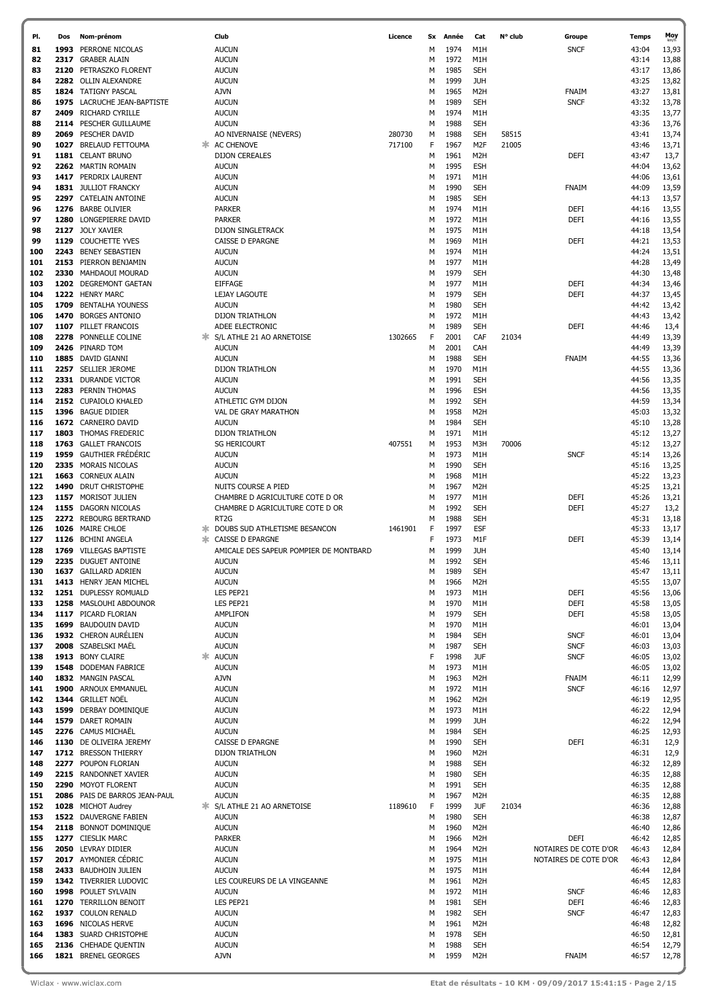| PI.        | Dos  | Nom-prénom                                     |    | Club                                   | Licence | Sx     | Année | Cat              | N° club | Groupe                | Temps | Moy            |
|------------|------|------------------------------------------------|----|----------------------------------------|---------|--------|-------|------------------|---------|-----------------------|-------|----------------|
| 81         | 1993 | PERRONE NICOLAS                                |    | <b>AUCUN</b>                           |         | M      | 1974  | M1H              |         | <b>SNCF</b>           | 43:04 | 13,93          |
| 82         | 2317 | <b>GRABER ALAIN</b>                            |    | <b>AUCUN</b>                           |         | м      | 1972  | M1H              |         |                       | 43:14 | 13,88          |
| 83         |      | 2120 PETRASZKO FLORENT                         |    | <b>AUCUN</b>                           |         | м      | 1985  | <b>SEH</b>       |         |                       | 43:17 | 13,86          |
| 84         |      | 2282 OLLIN ALEXANDRE                           |    | <b>AUCUN</b>                           |         | м      | 1999  | <b>JUH</b>       |         |                       | 43:25 | 13,82          |
| 85         |      | 1824 TATIGNY PASCAL                            |    | <b>AJVN</b>                            |         | м      | 1965  | M <sub>2</sub> H |         | FNAIM                 | 43:27 | 13,81          |
| 86         | 1975 | LACRUCHE JEAN-BAPTISTE                         |    | <b>AUCUN</b>                           |         |        | 1989  | <b>SEH</b>       |         | <b>SNCF</b>           | 43:32 |                |
|            |      | <b>RICHARD CYRILLE</b>                         |    |                                        |         | М      |       |                  |         |                       |       | 13,78          |
| 87         | 2409 |                                                |    | <b>AUCUN</b>                           |         | М      | 1974  | M1H              |         |                       | 43:35 | 13,77          |
| 88         | 2114 | PESCHER GUILLAUME                              |    | <b>AUCUN</b>                           |         | М      | 1988  | SEH              |         |                       | 43:36 | 13,76          |
| 89         |      | 2069 PESCHER DAVID                             |    | AO NIVERNAISE (NEVERS)                 | 280730  | М      | 1988  | SEH              | 58515   |                       | 43:41 | 13,74          |
| 90         | 1027 | <b>BRELAUD FETTOUMA</b>                        | ж. | <b>AC CHENOVE</b>                      | 717100  | F      | 1967  | M <sub>2F</sub>  | 21005   |                       | 43:46 | 13,71          |
| 91         |      | 1181 CELANT BRUNO                              |    | <b>DIJON CEREALES</b>                  |         | М      | 1961  | M <sub>2</sub> H |         | DEFI                  | 43:47 | 13,7           |
| 92         |      | 2262 MARTIN ROMAIN                             |    | <b>AUCUN</b>                           |         | м      | 1995  | <b>ESH</b>       |         |                       | 44:04 | 13,62          |
| 93         |      | 1417 PERDRIX LAURENT                           |    | <b>AUCUN</b>                           |         | М      | 1971  | M1H              |         |                       | 44:06 | 13,61          |
| 94         |      | 1831 JULLIOT FRANCKY                           |    | <b>AUCUN</b>                           |         | м      | 1990  | SEH              |         | FNAIM                 | 44:09 | 13,59          |
| 95         |      | 2297 CATELAIN ANTOINE                          |    | <b>AUCUN</b>                           |         | М      | 1985  | SEH              |         |                       | 44:13 | 13,57          |
| 96         |      | 1276 BARBE OLIVIER                             |    | <b>PARKER</b>                          |         | м      | 1974  | M1H              |         | DEFI                  | 44:16 | 13,55          |
| 97         | 1280 | LONGEPIERRE DAVID                              |    | <b>PARKER</b>                          |         | М      | 1972  | M1H              |         | DEFI                  | 44:16 | 13,55          |
| 98         |      | 2127 JOLY XAVIER                               |    | DIJON SINGLETRACK                      |         | М      | 1975  | M1H              |         |                       | 44:18 | 13,54          |
| 99         |      | 1129 COUCHETTE YVES                            |    | CAISSE D EPARGNE                       |         | М      | 1969  | M1H              |         | DEFI                  | 44:21 | 13,53          |
| 100        |      | 2243 BENEY SEBASTIEN                           |    | <b>AUCUN</b>                           |         | М      | 1974  | M1H              |         |                       | 44:24 | 13,51          |
| 101        |      |                                                |    |                                        |         |        | 1977  | M1H              |         |                       | 44:28 | 13,49          |
|            |      | 2153 PIERRON BENJAMIN                          |    | <b>AUCUN</b>                           |         | М      |       |                  |         |                       |       |                |
| 102        | 2330 | MAHDAOUI MOURAD                                |    | <b>AUCUN</b>                           |         | М      | 1979  | <b>SEH</b>       |         |                       | 44:30 | 13,48          |
| 103        |      | 1202 DEGREMONT GAETAN                          |    | <b>EIFFAGE</b>                         |         | М      | 1977  | M1H              |         | DEFI                  | 44:34 | 13,46          |
| 104        |      | 1222 HENRY MARC                                |    | LEJAY LAGOUTE                          |         | М      | 1979  | <b>SEH</b>       |         | DEFI                  | 44:37 | 13,45          |
| 105        |      | 1709 BENTALHA YOUNESS                          |    | <b>AUCUN</b>                           |         | М      | 1980  | SEH              |         |                       | 44:42 | 13,42          |
| 106        | 1470 | <b>BORGES ANTONIO</b>                          |    | <b>DIJON TRIATHLON</b>                 |         | М      | 1972  | M1H              |         |                       | 44:43 | 13,42          |
| 107        |      | 1107 PILLET FRANCOIS                           |    | ADEE ELECTRONIC                        |         | М      | 1989  | SEH              |         | DEFI                  | 44:46 | 13,4           |
| 108        | 2278 | PONNELLE COLINE                                | ж  | S/L ATHLE 21 AO ARNETOISE              | 1302665 | F      | 2001  | CAF              | 21034   |                       | 44:49 | 13,39          |
| 109        |      | 2426 PINARD TOM                                |    | <b>AUCUN</b>                           |         | М      | 2001  | CAH              |         |                       | 44:49 | 13,39          |
| 110        |      | 1885 DAVID GIANNI                              |    | <b>AUCUN</b>                           |         | м      | 1988  | <b>SEH</b>       |         | <b>FNAIM</b>          | 44:55 | 13,36          |
| 111        |      | 2257 SELLIER JEROME                            |    | DIJON TRIATHLON                        |         | м      | 1970  | M1H              |         |                       | 44:55 | 13,36          |
| 112        |      | 2331 DURANDE VICTOR                            |    | <b>AUCUN</b>                           |         | м      | 1991  | <b>SEH</b>       |         |                       | 44:56 | 13,35          |
| 113        |      | 2283 PERNIN THOMAS                             |    | <b>AUCUN</b>                           |         | М      | 1996  | ESH              |         |                       | 44:56 | 13,35          |
| 114        |      | 2152 CUPAIOLO KHALED                           |    | ATHLETIC GYM DIJON                     |         | м      | 1992  | <b>SEH</b>       |         |                       | 44:59 | 13,34          |
| 115        |      | 1396 BAGUE DIDIER                              |    | VAL DE GRAY MARATHON                   |         | М      | 1958  | M <sub>2</sub> H |         |                       | 45:03 | 13,32          |
| 116        |      | 1672 CARNEIRO DAVID                            |    | <b>AUCUN</b>                           |         | М      | 1984  | <b>SEH</b>       |         |                       | 45:10 | 13,28          |
| 117        |      | 1803 THOMAS FREDERIC                           |    | <b>DIJON TRIATHLON</b>                 |         | М      | 1971  | M1H              |         |                       | 45:12 | 13,27          |
| 118        |      | 1763 GALLET FRANCOIS                           |    | <b>SG HERICOURT</b>                    | 407551  | м      | 1953  | M3H              |         |                       | 45:12 |                |
|            |      | 1959 GAUTHIER FRÉDÉRIC                         |    |                                        |         |        |       |                  | 70006   |                       |       | 13,27          |
| 119        |      |                                                |    | <b>AUCUN</b>                           |         | М      | 1973  | M1H              |         | <b>SNCF</b>           | 45:14 | 13,26          |
| 120        |      | 2335 MORAIS NICOLAS                            |    | <b>AUCUN</b>                           |         | м      | 1990  | <b>SEH</b>       |         |                       | 45:16 | 13,25          |
| 121        |      | 1663 CORNEUX ALAIN                             |    | <b>AUCUN</b>                           |         | м      | 1968  | M1H              |         |                       | 45:22 | 13,23          |
| 122        |      | 1490 DRUT CHRISTOPHE                           |    | NUITS COURSE A PIED                    |         | M      | 1967  | M <sub>2</sub> H |         |                       | 45:25 | 13,21          |
| 123        |      | 1157 MORISOT JULIEN                            |    | CHAMBRE D AGRICULTURE COTE D OR        |         | М      | 1977  | M1H              |         | DEFI                  | 45:26 | 13,21          |
| 124        |      | 1155 DAGORN NICOLAS                            |    | CHAMBRE D AGRICULTURE COTE D OR        |         | м      | 1992  | <b>SEH</b>       |         | DEFI                  | 45:27 | 13,2           |
| 125        |      | 2272 REBOURG BERTRAND                          |    | RT <sub>2</sub> G                      |         | м      | 1988  | <b>SEH</b>       |         |                       | 45:31 | 13,18          |
| 126        |      | 1026 MAIRE CHLOE                               |    | DOUBS SUD ATHLETISME BESANCON          | 1461901 | F      | 1997  | ESF              |         |                       | 45:33 | 13,17          |
| 127        |      | 1126 BCHINI ANGELA                             |    | CAISSE D EPARGNE                       |         | F      | 1973  | M1F              |         | DEFI                  | 45:39 | 13,14          |
| 128        |      | 1769 VILLEGAS BAPTISTE                         |    | AMICALE DES SAPEUR POMPIER DE MONTBARD |         | M      | 1999  | <b>JUH</b>       |         |                       | 45:40 | 13,14          |
| 129        |      | 2235 DUGUET ANTOINE                            |    | <b>AUCUN</b>                           |         | м      | 1992  | <b>SEH</b>       |         |                       | 45:46 | 13,11          |
| 130        |      | 1637 GAILLARD ADRIEN                           |    | <b>AUCUN</b>                           |         | М      | 1989  | <b>SEH</b>       |         |                       | 45:47 | 13,11          |
| 131        |      | 1413 HENRY JEAN MICHEL                         |    | <b>AUCUN</b>                           |         | M      | 1966  | M <sub>2</sub> H |         |                       | 45:55 | 13,07          |
| 132        |      | 1251 DUPLESSY ROMUALD                          |    | LES PEP21                              |         | м      | 1973  | M1H              |         | DEFI                  | 45:56 | 13,06          |
| 133        |      | 1258 MASLOUHI ABDOUNOR                         |    | LES PEP21                              |         | м      | 1970  | M1H              |         | DEFI                  | 45:58 | 13,05          |
| 134        |      | 1117 PICARD FLORIAN                            |    | <b>AMPLIFON</b>                        |         | М      | 1979  | <b>SEH</b>       |         | DEFI                  | 45:58 | 13,05          |
| 135        |      | 1699 BAUDOUIN DAVID                            |    | <b>AUCUN</b>                           |         | М      | 1970  | M1H              |         |                       | 46:01 | 13,04          |
| 136        |      | 1932 CHERON AURÉLIEN                           |    | <b>AUCUN</b>                           |         | М      | 1984  | <b>SEH</b>       |         | <b>SNCF</b>           | 46:01 | 13,04          |
| 137        |      | 2008 SZABELSKI MAËL                            |    | <b>AUCUN</b>                           |         | М      | 1987  | <b>SEH</b>       |         | <b>SNCF</b>           | 46:03 | 13,03          |
| 138        |      | 1913 BONY CLAIRE                               | ж. | <b>AUCUN</b>                           |         | F      | 1998  | <b>JUF</b>       |         | <b>SNCF</b>           | 46:05 | 13,02          |
| 139        |      | 1548 DODEMAN FABRICE                           |    | <b>AUCUN</b>                           |         | М      | 1973  | M1H              |         |                       | 46:05 | 13,02          |
| 140        |      | 1832 MANGIN PASCAL                             |    | <b>AJVN</b>                            |         | М      | 1963  | M <sub>2</sub> H |         | FNAIM                 | 46:11 | 12,99          |
| 141        |      | 1900 ARNOUX EMMANUEL                           |    | <b>AUCUN</b>                           |         | М      | 1972  | M1H              |         | <b>SNCF</b>           | 46:16 | 12,97          |
| 142        |      | 1344 GRILLET NOËL                              |    | <b>AUCUN</b>                           |         | М      | 1962  | M <sub>2</sub> H |         |                       | 46:19 | 12,95          |
| 143        |      | 1599 DERBAY DOMINIQUE                          |    | <b>AUCUN</b>                           |         | М      | 1973  | M1H              |         |                       | 46:22 | 12,94          |
| 144        |      | 1579 DARET ROMAIN                              |    | <b>AUCUN</b>                           |         | М      | 1999  | <b>JUH</b>       |         |                       | 46:22 | 12,94          |
| 145        |      | 2276 CAMUS MICHAËL                             |    | <b>AUCUN</b>                           |         | М      | 1984  | <b>SEH</b>       |         |                       | 46:25 | 12,93          |
| 146        |      | 1130 DE OLIVEIRA JEREMY                        |    | CAISSE D EPARGNE                       |         | М      | 1990  | SEH              |         | DEFI                  | 46:31 | 12,9           |
| 147        |      | 1712 BRESSON THIERRY                           |    | <b>DIJON TRIATHLON</b>                 |         | М      | 1960  | M <sub>2</sub> H |         |                       | 46:31 | 12,9           |
| 148        |      | 2277 POUPON FLORIAN                            |    | <b>AUCUN</b>                           |         | М      | 1988  | <b>SEH</b>       |         |                       | 46:32 | 12,89          |
| 149        |      | 2215 RANDONNET XAVIER                          |    | <b>AUCUN</b>                           |         | М      | 1980  | <b>SEH</b>       |         |                       | 46:35 | 12,88          |
| 150        |      | 2290 MOYOT FLORENT                             |    | <b>AUCUN</b>                           |         | М      | 1991  | SEH              |         |                       | 46:35 | 12,88          |
| 151        |      | 2086 PAIS DE BARROS JEAN-PAUL                  |    | <b>AUCUN</b>                           |         | М      | 1967  | M <sub>2</sub> H |         |                       | 46:35 | 12,88          |
| 152        |      | 1028 MICHOT Audrey                             |    | S/L ATHLE 21 AO ARNETOISE              | 1189610 | F      | 1999  | <b>JUF</b>       | 21034   |                       | 46:36 | 12,88          |
|            |      |                                                |    |                                        |         |        | 1980  | <b>SEH</b>       |         |                       | 46:38 |                |
| 153<br>154 |      | 1522 DAUVERGNE FABIEN<br>2118 BONNOT DOMINIQUE |    | <b>AUCUN</b><br><b>AUCUN</b>           |         | М<br>М | 1960  | M <sub>2</sub> H |         |                       | 46:40 | 12,87<br>12,86 |
|            |      | 1277 CIESLIK MARC                              |    | <b>PARKER</b>                          |         |        | 1966  | M <sub>2</sub> H |         |                       | 46:42 |                |
| 155        |      |                                                |    |                                        |         | М      |       |                  |         | DEFI                  |       | 12,85          |
| 156        |      | 2050 LEVRAY DIDIER                             |    | <b>AUCUN</b>                           |         | М      | 1964  | M <sub>2</sub> H |         | NOTAIRES DE COTE D'OR | 46:43 | 12,84          |
| 157        |      | 2017 AYMONIER CÉDRIC                           |    | <b>AUCUN</b>                           |         | М      | 1975  | M1H              |         | NOTAIRES DE COTE D'OR | 46:43 | 12,84          |
| 158        |      | 2433 BAUDHOIN JULIEN                           |    | <b>AUCUN</b>                           |         | М      | 1975  | M1H              |         |                       | 46:44 | 12,84          |
| 159        |      | 1342 TIVERRIER LUDOVIC                         |    | LES COUREURS DE LA VINGEANNE           |         | М      | 1961  | M <sub>2</sub> H |         |                       | 46:45 | 12,83          |
| 160        |      | 1998 POULET SYLVAIN                            |    | <b>AUCUN</b>                           |         | М      | 1972  | M1H              |         | <b>SNCF</b>           | 46:46 | 12,83          |
| 161        |      | 1270 TERRILLON BENOIT                          |    | LES PEP21                              |         | М      | 1981  | <b>SEH</b>       |         | <b>DEFI</b>           | 46:46 | 12,83          |
| 162        |      | 1937 COULON RENALD                             |    | <b>AUCUN</b>                           |         | М      | 1982  | <b>SEH</b>       |         | <b>SNCF</b>           | 46:47 | 12,83          |
| 163        |      | 1696 NICOLAS HERVE                             |    | <b>AUCUN</b>                           |         | М      | 1961  | M <sub>2</sub> H |         |                       | 46:48 | 12,82          |
| 164        |      | 1383 SUARD CHRISTOPHE                          |    | <b>AUCUN</b>                           |         | м      | 1978  | <b>SEH</b>       |         |                       | 46:50 | 12,81          |
| 165        |      | 2136 CHEHADE QUENTIN                           |    | <b>AUCUN</b>                           |         | М      | 1988  | <b>SEH</b>       |         |                       | 46:54 | 12,79          |
| 166        |      | 1821 BRENEL GEORGES                            |    | AJVN                                   |         | м      | 1959  | M <sub>2</sub> H |         | <b>FNAIM</b>          | 46:57 | 12,78          |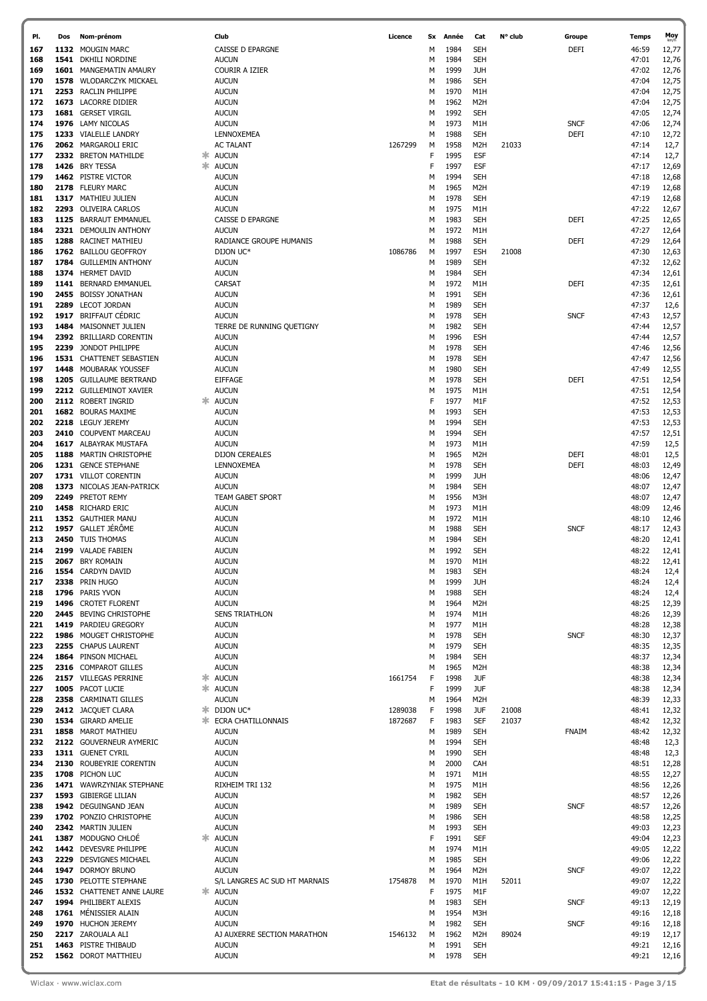| PI. | Dos | Nom-prénom                    |    | Club                          | Licence | Sx | Année | Cat              | N° club | Groupe       | Temps | Moy   |
|-----|-----|-------------------------------|----|-------------------------------|---------|----|-------|------------------|---------|--------------|-------|-------|
| 167 |     | 1132 MOUGIN MARC              |    | CAISSE D EPARGNE              |         | м  | 1984  | <b>SEH</b>       |         | <b>DEFI</b>  | 46:59 | 12,77 |
| 168 |     | 1541 DKHILI NORDINE           |    | <b>AUCUN</b>                  |         | м  | 1984  | <b>SEH</b>       |         |              | 47:01 | 12,76 |
| 169 |     | <b>1601 MANGEMATIN AMAURY</b> |    | COURIR A IZIER                |         | м  | 1999  | <b>JUH</b>       |         |              | 47:02 | 12,76 |
| 170 |     | 1578 WLODARCZYK MICKAEL       |    | <b>AUCUN</b>                  |         | м  | 1986  | <b>SEH</b>       |         |              | 47:04 | 12,75 |
|     |     |                               |    |                               |         |    |       |                  |         |              |       |       |
| 171 |     | 2253 RACLIN PHILIPPE          |    | <b>AUCUN</b>                  |         | м  | 1970  | M1H              |         |              | 47:04 | 12,75 |
| 172 |     | 1673 LACORRE DIDIER           |    | <b>AUCUN</b>                  |         | М  | 1962  | M <sub>2</sub> H |         |              | 47:04 | 12,75 |
| 173 |     | 1681 GERSET VIRGIL            |    | <b>AUCUN</b>                  |         | М  | 1992  | <b>SEH</b>       |         |              | 47:05 | 12,74 |
| 174 |     | 1976 LAMY NICOLAS             |    | <b>AUCUN</b>                  |         | М  | 1973  | M1H              |         | <b>SNCF</b>  | 47:06 | 12,74 |
| 175 |     | 1233 VIALELLE LANDRY          |    | LENNOXEMEA                    |         | М  | 1988  | <b>SEH</b>       |         | <b>DEFI</b>  | 47:10 | 12,72 |
| 176 |     | 2062 MARGAROLI ERIC           |    | <b>AC TALANT</b>              | 1267299 | М  | 1958  | M <sub>2</sub> H | 21033   |              | 47:14 | 12,7  |
| 177 |     | 2332 BRETON MATHILDE          |    | * AUCUN                       |         | F  | 1995  | <b>ESF</b>       |         |              | 47:14 | 12,7  |
| 178 |     | 1426 BRY TESSA                | ж. | <b>AUCUN</b>                  |         | F  | 1997  | <b>ESF</b>       |         |              | 47:17 | 12,69 |
| 179 |     | 1462 PISTRE VICTOR            |    | <b>AUCUN</b>                  |         | М  | 1994  | <b>SEH</b>       |         |              | 47:18 | 12,68 |
| 180 |     | 2178 FLEURY MARC              |    | <b>AUCUN</b>                  |         | М  | 1965  | M <sub>2</sub> H |         |              | 47:19 | 12,68 |
| 181 |     | 1317 MATHIEU JULIEN           |    | <b>AUCUN</b>                  |         | М  | 1978  | <b>SEH</b>       |         |              | 47:19 | 12,68 |
| 182 |     | 2293 OLIVEIRA CARLOS          |    | <b>AUCUN</b>                  |         | м  | 1975  | M1H              |         |              | 47:22 | 12,67 |
| 183 |     | 1125 BARRAUT EMMANUEL         |    | CAISSE D EPARGNE              |         | М  | 1983  | <b>SEH</b>       |         | <b>DEFI</b>  | 47:25 | 12,65 |
| 184 |     | 2321 DEMOULIN ANTHONY         |    | <b>AUCUN</b>                  |         | М  | 1972  | M1H              |         |              | 47:27 | 12,64 |
| 185 |     | 1288 RACINET MATHIEU          |    | RADIANCE GROUPE HUMANIS       |         | М  | 1988  | <b>SEH</b>       |         | <b>DEFI</b>  | 47:29 | 12,64 |
|     |     | 1762 BAILLOU GEOFFROY         |    | DIJON UC*                     | 1086786 |    | 1997  |                  |         |              | 47:30 |       |
| 186 |     |                               |    |                               |         | м  |       | <b>ESH</b>       | 21008   |              |       | 12,63 |
| 187 |     | 1784 GUILLEMIN ANTHONY        |    | <b>AUCUN</b>                  |         | М  | 1989  | <b>SEH</b>       |         |              | 47:32 | 12,62 |
| 188 |     | 1374 HERMET DAVID             |    | <b>AUCUN</b>                  |         | М  | 1984  | <b>SEH</b>       |         |              | 47:34 | 12,61 |
| 189 |     | 1141 BERNARD EMMANUEL         |    | CARSAT                        |         | М  | 1972  | M1H              |         | <b>DEFI</b>  | 47:35 | 12,61 |
| 190 |     | 2455 BOISSY JONATHAN          |    | <b>AUCUN</b>                  |         | М  | 1991  | <b>SEH</b>       |         |              | 47:36 | 12,61 |
| 191 |     | 2289 LECOT JORDAN             |    | <b>AUCUN</b>                  |         | М  | 1989  | <b>SEH</b>       |         |              | 47:37 | 12,6  |
| 192 |     | 1917 BRIFFAUT CÉDRIC          |    | <b>AUCUN</b>                  |         | м  | 1978  | <b>SEH</b>       |         | <b>SNCF</b>  | 47:43 | 12,57 |
| 193 |     | 1484 MAISONNET JULIEN         |    | TERRE DE RUNNING QUETIGNY     |         | М  | 1982  | <b>SEH</b>       |         |              | 47:44 | 12,57 |
| 194 |     | 2392 BRILLIARD CORENTIN       |    | <b>AUCUN</b>                  |         | М  | 1996  | <b>ESH</b>       |         |              | 47:44 | 12,57 |
| 195 |     | 2239 JONDOT PHILIPPE          |    | <b>AUCUN</b>                  |         | М  | 1978  | <b>SEH</b>       |         |              | 47:46 | 12,56 |
| 196 |     | 1531 CHATTENET SEBASTIEN      |    | <b>AUCUN</b>                  |         | М  | 1978  | <b>SEH</b>       |         |              | 47:47 | 12,56 |
| 197 |     | 1448 MOUBARAK YOUSSEF         |    | <b>AUCUN</b>                  |         | М  | 1980  | <b>SEH</b>       |         |              | 47:49 | 12,55 |
| 198 |     | 1205 GUILLAUME BERTRAND       |    | <b>EIFFAGE</b>                |         | М  | 1978  | <b>SEH</b>       |         | <b>DEFI</b>  | 47:51 | 12,54 |
| 199 |     | 2212 GUILLEMINOT XAVIER       |    | <b>AUCUN</b>                  |         | М  | 1975  | M1H              |         |              | 47:51 | 12,54 |
| 200 |     | 2112 ROBERT INGRID            | ж  | <b>AUCUN</b>                  |         | F  | 1977  | M1F              |         |              | 47:52 | 12,53 |
| 201 |     | 1682 BOURAS MAXIME            |    | <b>AUCUN</b>                  |         | м  | 1993  | <b>SEH</b>       |         |              | 47:53 | 12,53 |
| 202 |     | 2218 LEGUY JEREMY             |    | <b>AUCUN</b>                  |         | М  | 1994  | <b>SEH</b>       |         |              | 47:53 | 12,53 |
| 203 |     | 2410 COUPVENT MARCEAU         |    | <b>AUCUN</b>                  |         | М  | 1994  | <b>SEH</b>       |         |              | 47:57 | 12,51 |
| 204 |     | 1617 ALBAYRAK MUSTAFA         |    | <b>AUCUN</b>                  |         | М  | 1973  | M1H              |         |              | 47:59 | 12,5  |
| 205 |     | 1188 MARTIN CHRISTOPHE        |    | <b>DIJON CEREALES</b>         |         | М  | 1965  | M <sub>2</sub> H |         | <b>DEFI</b>  | 48:01 | 12,5  |
| 206 |     | 1231 GENCE STEPHANE           |    | LENNOXEMEA                    |         | М  | 1978  | <b>SEH</b>       |         | <b>DEFI</b>  | 48:03 | 12,49 |
| 207 |     | 1731 VILLOT CORENTIN          |    | <b>AUCUN</b>                  |         | М  | 1999  | <b>JUH</b>       |         |              | 48:06 | 12,47 |
| 208 |     | 1373 NICOLAS JEAN-PATRICK     |    | <b>AUCUN</b>                  |         | М  | 1984  | <b>SEH</b>       |         |              | 48:07 | 12,47 |
| 209 |     | 2249 PRETOT REMY              |    | TEAM GABET SPORT              |         | М  | 1956  | M3H              |         |              | 48:07 | 12,47 |
| 210 |     | 1458 RICHARD ERIC             |    | <b>AUCUN</b>                  |         | М  | 1973  | M1H              |         |              | 48:09 | 12,46 |
| 211 |     | 1352 GAUTHIER MANU            |    | <b>AUCUN</b>                  |         | М  | 1972  | M1H              |         |              | 48:10 | 12,46 |
| 212 |     | 1957 GALLET JÉRÔME            |    | <b>AUCUN</b>                  |         | M  | 1988  | <b>SEH</b>       |         | <b>SNCF</b>  | 48:17 | 12,43 |
| 213 |     | 2450 TUIS THOMAS              |    | <b>AUCUN</b>                  |         | M  | 1984  | <b>SEH</b>       |         |              | 48:20 | 12,41 |
| 214 |     | 2199 VALADE FABIEN            |    | <b>AUCUN</b>                  |         | M  | 1992  | <b>SEH</b>       |         |              | 48:22 | 12,41 |
| 215 |     | 2067 BRY ROMAIN               |    | <b>AUCUN</b>                  |         | M  | 1970  | M <sub>1</sub> H |         |              | 48:22 | 12,41 |
| 216 |     | 1554 CARDYN DAVID             |    | <b>AUCUN</b>                  |         | м  | 1983  | <b>SEH</b>       |         |              | 48:24 | 12,4  |
| 217 |     | 2338 PRIN HUGO                |    | <b>AUCUN</b>                  |         | M  | 1999  | <b>JUH</b>       |         |              | 48:24 | 12,4  |
| 218 |     | 1796 PARIS YVON               |    | <b>AUCUN</b>                  |         | м  | 1988  | <b>SEH</b>       |         |              | 48:24 | 12,4  |
| 219 |     | 1496 CROTET FLORENT           |    |                               |         | м  | 1964  | M <sub>2</sub> H |         |              | 48:25 |       |
|     |     | 2445 BEVING CHRISTOPHE        |    | <b>AUCUN</b>                  |         |    |       |                  |         |              |       | 12,39 |
| 220 |     |                               |    | <b>SENS TRIATHLON</b>         |         | м  | 1974  | M1H              |         |              | 48:26 | 12,39 |
| 221 |     | 1419 PARDIEU GREGORY          |    | <b>AUCUN</b>                  |         | M  | 1977  | M1H              |         |              | 48:28 | 12,38 |
| 222 |     | 1986 MOUGET CHRISTOPHE        |    | <b>AUCUN</b>                  |         | м  | 1978  | <b>SEH</b>       |         | <b>SNCF</b>  | 48:30 | 12,37 |
| 223 |     | 2255 CHAPUS LAURENT           |    | <b>AUCUN</b>                  |         | M  | 1979  | <b>SEH</b>       |         |              | 48:35 | 12,35 |
| 224 |     | 1864 PINSON MICHAEL           |    | <b>AUCUN</b>                  |         | М  | 1984  | <b>SEH</b>       |         |              | 48:37 | 12,34 |
| 225 |     | 2316 COMPAROT GILLES          |    | <b>AUCUN</b>                  |         | М  | 1965  | M <sub>2</sub> H |         |              | 48:38 | 12,34 |
| 226 |     | 2157 VILLEGAS PERRINE         | ж  | <b>AUCUN</b>                  | 1661754 | F  | 1998  | <b>JUF</b>       |         |              | 48:38 | 12,34 |
| 227 |     | 1005 PACOT LUCIE              |    | * AUCUN                       |         | F  | 1999  | <b>JUF</b>       |         |              | 48:38 | 12,34 |
| 228 |     | 2358 CARMINATI GILLES         |    | <b>AUCUN</b>                  |         | М  | 1964  | M <sub>2</sub> H |         |              | 48:39 | 12,33 |
| 229 |     | 2412 JACQUET CLARA            | ж. | DIJON UC*                     | 1289038 | F  | 1998  | <b>JUF</b>       | 21008   |              | 48:41 | 12,32 |
| 230 |     | 1534 GIRARD AMELIE            | ж  | ECRA CHATILLONNAIS            | 1872687 | F  | 1983  | <b>SEF</b>       | 21037   |              | 48:42 | 12,32 |
| 231 |     | 1858 MAROT MATHIEU            |    | <b>AUCUN</b>                  |         | М  | 1989  | <b>SEH</b>       |         | <b>FNAIM</b> | 48:42 | 12,32 |
| 232 |     | 2122 GOUVERNEUR AYMERIC       |    | <b>AUCUN</b>                  |         | М  | 1994  | <b>SEH</b>       |         |              | 48:48 | 12,3  |
| 233 |     | 1311 GUENET CYRIL             |    | <b>AUCUN</b>                  |         | М  | 1990  | <b>SEH</b>       |         |              | 48:48 | 12,3  |
| 234 |     | 2130 ROUBEYRIE CORENTIN       |    | <b>AUCUN</b>                  |         | М  | 2000  | CAH              |         |              | 48:51 | 12,28 |
| 235 |     | 1708 PICHON LUC               |    | <b>AUCUN</b>                  |         | М  | 1971  | M1H              |         |              | 48:55 | 12,27 |
| 236 |     | 1471 WAWRZYNIAK STEPHANE      |    | RIXHEIM TRI 132               |         | М  | 1975  | M1H              |         |              | 48:56 | 12,26 |
| 237 |     | 1593 GIBIERGE LILIAN          |    | <b>AUCUN</b>                  |         | М  | 1982  | <b>SEH</b>       |         |              | 48:57 | 12,26 |
| 238 |     | 1942 DEGUINGAND JEAN          |    | <b>AUCUN</b>                  |         | М  | 1989  | <b>SEH</b>       |         | <b>SNCF</b>  | 48:57 | 12,26 |
| 239 |     | 1702 PONZIO CHRISTOPHE        |    | <b>AUCUN</b>                  |         | М  | 1986  | <b>SEH</b>       |         |              | 48:58 | 12,25 |
| 240 |     | 2342 MARTIN JULIEN            |    | <b>AUCUN</b>                  |         | М  | 1993  | <b>SEH</b>       |         |              | 49:03 | 12,23 |
| 241 |     | 1387 MODUGNO CHLOÉ            | 氺  | <b>AUCUN</b>                  |         | F  | 1991  | <b>SEF</b>       |         |              | 49:04 | 12,23 |
| 242 |     | 1442 DEVESVRE PHILIPPE        |    | <b>AUCUN</b>                  |         | М  | 1974  | M1H              |         |              | 49:05 | 12,22 |
| 243 |     | 2229 DESVIGNES MICHAEL        |    | <b>AUCUN</b>                  |         | М  | 1985  | <b>SEH</b>       |         |              | 49:06 | 12,22 |
| 244 |     | 1947 DORMOY BRUNO             |    | <b>AUCUN</b>                  |         | м  | 1964  | M2H              |         | <b>SNCF</b>  | 49:07 | 12,22 |
| 245 |     | 1730 PELOTTE STEPHANE         |    | S/L LANGRES AC SUD HT MARNAIS | 1754878 | М  | 1970  | M1H              | 52011   |              | 49:07 | 12,22 |
| 246 |     | 1532 CHATTENET ANNE LAURE     |    | * AUCUN                       |         | F  | 1975  | M1F              |         |              | 49:07 | 12,22 |
| 247 |     | 1994 PHILIBERT ALEXIS         |    | <b>AUCUN</b>                  |         | М  | 1983  | <b>SEH</b>       |         | <b>SNCF</b>  | 49:13 | 12,19 |
| 248 |     | 1761 MÉNISSIER ALAIN          |    | <b>AUCUN</b>                  |         | М  | 1954  | M3H              |         |              | 49:16 | 12,18 |
| 249 |     | 1970 HUCHON JEREMY            |    | <b>AUCUN</b>                  |         | м  | 1982  | <b>SEH</b>       |         | <b>SNCF</b>  | 49:16 | 12,18 |
| 250 |     | 2217 ZAROUALA ALI             |    | AJ AUXERRE SECTION MARATHON   | 1546132 | м  | 1962  | M2H              | 89024   |              | 49:19 | 12,17 |
| 251 |     | 1463 PISTRE THIBAUD           |    | <b>AUCUN</b>                  |         | М  | 1991  | <b>SEH</b>       |         |              | 49:21 | 12,16 |
| 252 |     | 1562 DOROT MATTHIEU           |    | <b>AUCUN</b>                  |         | м  | 1978  | <b>SEH</b>       |         |              | 49:21 | 12,16 |

ſ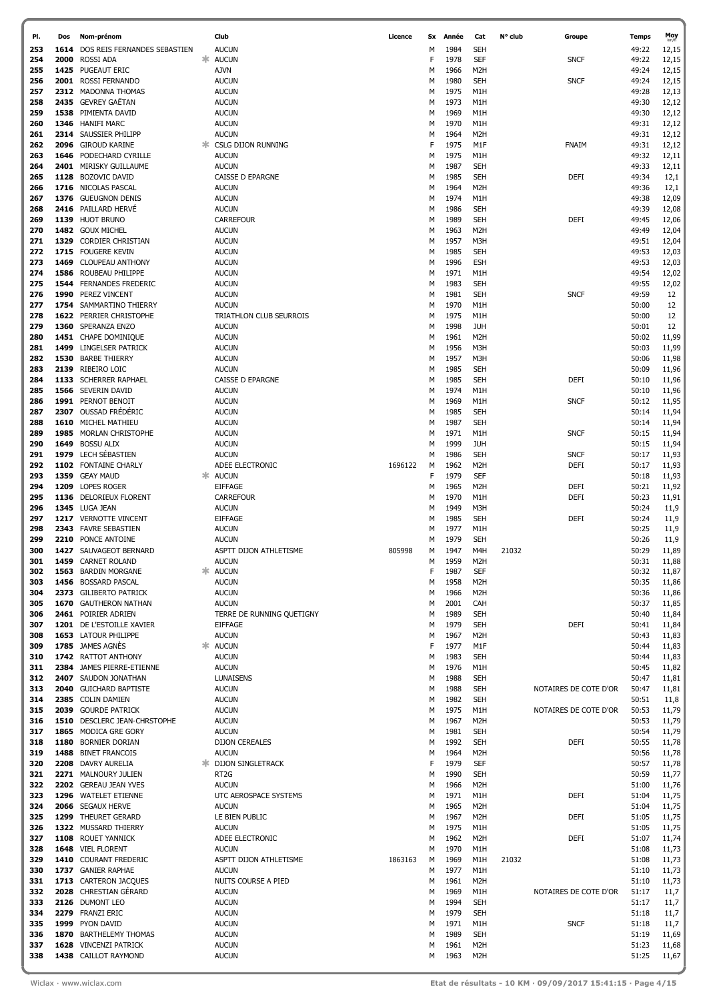| PI.        | Dos  | Nom-prénom                                         |    | Club                            | Licence | Sx     | Année        | Cat                                  | N° club | Groupe                | <b>Temps</b>   | Moy            |
|------------|------|----------------------------------------------------|----|---------------------------------|---------|--------|--------------|--------------------------------------|---------|-----------------------|----------------|----------------|
| 253        | 1614 | DOS REIS FERNANDES SEBASTIEN                       |    | <b>AUCUN</b>                    |         | м      | 1984         | <b>SEH</b>                           |         |                       | 49:22          | 12,15          |
| 254        |      | 2000 ROSSI ADA                                     |    | <b>AUCUN</b>                    |         | F      | 1978         | <b>SEF</b>                           |         | <b>SNCF</b>           | 49:22          | 12,15          |
| 255        |      | 1425 PUGEAUT ERIC                                  |    | <b>AJVN</b>                     |         | M      | 1966         | M <sub>2</sub> H                     |         |                       | 49:24          | 12,15          |
| 256        |      | 2001 ROSSI FERNANDO                                |    | <b>AUCUN</b>                    |         | M      | 1980         | <b>SEH</b>                           |         | <b>SNCF</b>           | 49:24          | 12,15          |
| 257        |      | 2312 MADONNA THOMAS                                |    | <b>AUCUN</b>                    |         | M      | 1975         | M1H                                  |         |                       | 49:28          | 12,13          |
| 258        |      | 2435 GEVREY GAËTAN                                 |    | <b>AUCUN</b>                    |         | M      | 1973         | M1H                                  |         |                       | 49:30          | 12,12          |
| 259        |      | 1538 PIMIENTA DAVID                                |    | <b>AUCUN</b>                    |         | M      | 1969         | M1H                                  |         |                       | 49:30          | 12,12          |
| 260<br>261 |      | 1346 HANIFI MARC<br>2314 SAUSSIER PHILIPP          |    | <b>AUCUN</b><br><b>AUCUN</b>    |         | M<br>M | 1970<br>1964 | M1H<br>M <sub>2</sub> H              |         |                       | 49:31<br>49:31 | 12,12<br>12,12 |
| 262        |      | 2096 GIROUD KARINE                                 |    | <b>CSLG DIJON RUNNING</b>       |         | F      | 1975         | M1F                                  |         | FNAIM                 | 49:31          | 12,12          |
| 263        |      | 1646 PODECHARD CYRILLE                             |    | <b>AUCUN</b>                    |         | M      | 1975         | M1H                                  |         |                       | 49:32          | 12,11          |
| 264        |      | 2401 MIRISKY GUILLAUME                             |    | <b>AUCUN</b>                    |         | M      | 1987         | <b>SEH</b>                           |         |                       | 49:33          | 12,11          |
| 265        |      | 1128 BOZOVIC DAVID                                 |    | CAISSE D EPARGNE                |         | M      | 1985         | <b>SEH</b>                           |         | <b>DEFI</b>           | 49:34          | 12,1           |
| 266        |      | 1716 NICOLAS PASCAL                                |    | <b>AUCUN</b>                    |         | M      | 1964         | M <sub>2</sub> H                     |         |                       | 49:36          | 12,1           |
| 267        |      | 1376 GUEUGNON DENIS                                |    | <b>AUCUN</b>                    |         | M      | 1974         | M1H                                  |         |                       | 49:38          | 12,09          |
| 268        |      | 2416 PAILLARD HERVE                                |    | <b>AUCUN</b>                    |         | M      | 1986         | <b>SEH</b>                           |         |                       | 49:39          | 12,08          |
| 269        |      | 1139 HUOT BRUNO                                    |    | <b>CARREFOUR</b>                |         | M      | 1989         | <b>SEH</b>                           |         | DEFI                  | 49:45          | 12,06          |
| 270        |      | 1482 GOUX MICHEL                                   |    | <b>AUCUN</b>                    |         | м      | 1963         | M <sub>2</sub> H                     |         |                       | 49:49          | 12,04          |
| 271        |      | 1329 CORDIER CHRISTIAN                             |    | <b>AUCUN</b>                    |         | м      | 1957         | M3H                                  |         |                       | 49:51          | 12,04          |
| 272        |      | 1715 FOUGERE KEVIN                                 |    | <b>AUCUN</b>                    |         | м      | 1985         | SEH                                  |         |                       | 49:53          | 12,03          |
| 273        |      | 1469 CLOUPEAU ANTHONY                              |    | <b>AUCUN</b>                    |         | м      | 1996         | <b>ESH</b>                           |         |                       | 49:53          | 12,03          |
| 274<br>275 |      | 1586 ROUBEAU PHILIPPE<br>1544 FERNANDES FREDERIC   |    | <b>AUCUN</b>                    |         | м      | 1971<br>1983 | M1H<br>SEH                           |         |                       | 49:54<br>49:55 | 12,02          |
| 276        |      | 1990 PEREZ VINCENT                                 |    | <b>AUCUN</b><br><b>AUCUN</b>    |         | м<br>м | 1981         | <b>SEH</b>                           |         | <b>SNCF</b>           | 49:59          | 12,02<br>12    |
| 277        |      | 1754 SAMMARTINO THIERRY                            |    | <b>AUCUN</b>                    |         | м      | 1970         | M1H                                  |         |                       | 50:00          | 12             |
| 278        |      | 1622 PERRIER CHRISTOPHE                            |    | TRIATHLON CLUB SEURROIS         |         | м      | 1975         | M1H                                  |         |                       | 50:00          | 12             |
| 279        |      | 1360 SPERANZA ENZO                                 |    | <b>AUCUN</b>                    |         | м      | 1998         | <b>JUH</b>                           |         |                       | 50:01          | 12             |
| 280        |      | 1451 CHAPE DOMINIQUE                               |    | <b>AUCUN</b>                    |         | м      | 1961         | M <sub>2</sub> H                     |         |                       | 50:02          | 11,99          |
| 281        | 1499 | <b>LINGELSER PATRICK</b>                           |    | <b>AUCUN</b>                    |         | м      | 1956         | M3H                                  |         |                       | 50:03          | 11,99          |
| 282        |      | 1530 BARBE THIERRY                                 |    | <b>AUCUN</b>                    |         | м      | 1957         | M3H                                  |         |                       | 50:06          | 11,98          |
| 283        |      | 2139 RIBEIRO LOIC                                  |    | <b>AUCUN</b>                    |         | М      | 1985         | <b>SEH</b>                           |         |                       | 50:09          | 11,96          |
| 284        |      | 1133 SCHERRER RAPHAEL                              |    | CAISSE D EPARGNE                |         | м      | 1985         | SEH                                  |         | DEFI                  | 50:10          | 11,96          |
| 285        |      | 1566 SEVERIN DAVID                                 |    | <b>AUCUN</b>                    |         | м      | 1974         | M1H                                  |         |                       | 50:10          | 11,96          |
| 286        |      | 1991 PERNOT BENOIT                                 |    | <b>AUCUN</b>                    |         | м      | 1969         | M1H                                  |         | <b>SNCF</b>           | 50:12          | 11,95          |
| 287        |      | 2307 OUSSAD FRÉDÉRIC                               |    | <b>AUCUN</b>                    |         | М      | 1985         | <b>SEH</b>                           |         |                       | 50:14          | 11,94          |
| 288<br>289 |      | 1610 MICHEL MATHIEU<br>1985 MORLAN CHRISTOPHE      |    | <b>AUCUN</b><br><b>AUCUN</b>    |         | м<br>М | 1987<br>1971 | SEH<br>M1H                           |         | <b>SNCF</b>           | 50:14<br>50:15 | 11,94<br>11,94 |
| 290        | 1649 | <b>BOSSU ALIX</b>                                  |    | <b>AUCUN</b>                    |         | м      | 1999         | <b>JUH</b>                           |         |                       | 50:15          | 11,94          |
| 291        | 1979 | LECH SÉBASTIEN                                     |    | <b>AUCUN</b>                    |         | м      | 1986         | <b>SEH</b>                           |         | <b>SNCF</b>           | 50:17          | 11,93          |
| 292        |      | 1102 FONTAINE CHARLY                               |    | ADEE ELECTRONIC                 | 1696122 | м      | 1962         | M <sub>2</sub> H                     |         | <b>DEFI</b>           | 50:17          | 11,93          |
| 293        |      | 1359 GEAY MAUD                                     | ж. | <b>AUCUN</b>                    |         | F      | 1979         | SEF                                  |         |                       | 50:18          | 11,93          |
| 294        |      | 1209 LOPES ROGER                                   |    | <b>EIFFAGE</b>                  |         | м      | 1965         | M <sub>2</sub> H                     |         | <b>DEFI</b>           | 50:21          | 11,92          |
| 295        |      | 1136 DELORIEUX FLORENT                             |    | <b>CARREFOUR</b>                |         | м      | 1970         | M1H                                  |         | <b>DEFI</b>           | 50:23          | 11,91          |
| 296        |      | 1345 LUGA JEAN                                     |    | <b>AUCUN</b>                    |         | м      | 1949         | M3H                                  |         |                       | 50:24          | 11,9           |
| 297        |      | 1217 VERNOTTE VINCENT                              |    | <b>EIFFAGE</b>                  |         | м      | 1985         | <b>SEH</b>                           |         | DEFI                  | 50:24          | 11,9           |
| 298        |      | 2343 FAVRE SEBASTIEN                               |    | <b>AUCUN</b>                    |         | м      | 1977         | M1H                                  |         |                       | 50:25          | 11,9           |
| 299        |      | 2210 PONCE ANTOINE                                 |    | <b>AUCUN</b>                    |         | м      | 1979         | <b>SEH</b>                           |         |                       | 50:26          | 11,9           |
| 300        |      | 1427 SAUVAGEOT BERNARD                             |    | ASPTT DIJON ATHLETISME          | 805998  | М      | 1947         | M4H                                  | 21032   |                       | 50:29          | 11,89          |
| 301<br>302 |      | 1459 CARNET ROLAND                                 |    | <b>AUCUN</b><br><b>☀ AUCUN</b>  |         | М<br>F | 1959<br>1987 | M <sub>2</sub> H<br>SEF              |         |                       | 50:31<br>50:32 | 11,88          |
| 303        |      | 1563 BARDIN MORGANE<br>1456 BOSSARD PASCAL         |    | <b>AUCUN</b>                    |         | м      | 1958         | M <sub>2</sub> H                     |         |                       | 50:35          | 11,87<br>11,86 |
| 304        |      | 2373 GILIBERTO PATRICK                             |    | <b>AUCUN</b>                    |         | м      | 1966         | M <sub>2</sub> H                     |         |                       | 50:36          | 11,86          |
| 305        |      | 1670 GAUTHERON NATHAN                              |    | <b>AUCUN</b>                    |         | м      | 2001         | CAH                                  |         |                       | 50:37          | 11,85          |
| 306        |      | 2461 POIRIER ADRIEN                                |    | TERRE DE RUNNING QUETIGNY       |         | м      | 1989         | <b>SEH</b>                           |         |                       | 50:40          | 11,84          |
| 307        |      | 1201 DE L'ESTOILLE XAVIER                          |    | <b>EIFFAGE</b>                  |         | м      | 1979         | <b>SEH</b>                           |         | <b>DEFI</b>           | 50:41          | 11,84          |
| 308        |      | 1653 LATOUR PHILIPPE                               |    | <b>AUCUN</b>                    |         | м      | 1967         | M <sub>2</sub> H                     |         |                       | 50:43          | 11,83          |
| 309        |      | 1785 JAMES AGNÈS                                   |    | <b>AUCUN</b>                    |         | F      | 1977         | M1F                                  |         |                       | 50:44          | 11,83          |
| 310        |      | 1742 RATTOT ANTHONY                                |    | <b>AUCUN</b>                    |         | м      | 1983         | <b>SEH</b>                           |         |                       | 50:44          | 11,83          |
| 311        |      | 2384 JAMES PIERRE-ETIENNE                          |    | <b>AUCUN</b>                    |         | м      | 1976         | M1H                                  |         |                       | 50:45          | 11,82          |
| 312        |      | 2407 SAUDON JONATHAN                               |    | <b>LUNAISENS</b>                |         | м      | 1988         | <b>SEH</b>                           |         |                       | 50:47          | 11,81          |
| 313<br>314 |      | <b>2040</b> GUICHARD BAPTISTE<br>2385 COLIN DAMIEN |    | <b>AUCUN</b><br><b>AUCUN</b>    |         | м<br>м | 1988<br>1982 | <b>SEH</b><br><b>SEH</b>             |         | NOTAIRES DE COTE D'OR | 50:47<br>50:51 | 11,81<br>11,8  |
| 315        |      | 2039 GOURDE PATRICK                                |    | <b>AUCUN</b>                    |         | м      | 1975         | M1H                                  |         | NOTAIRES DE COTE D'OR | 50:53          | 11,79          |
| 316        |      | 1510 DESCLERC JEAN-CHRSTOPHE                       |    | <b>AUCUN</b>                    |         | м      | 1967         | M <sub>2</sub> H                     |         |                       | 50:53          | 11,79          |
| 317        |      | 1865 MODICA GRE GORY                               |    | <b>AUCUN</b>                    |         | м      | 1981         | <b>SEH</b>                           |         |                       | 50:54          | 11,79          |
| 318        |      | 1180 BORNIER DORIAN                                |    | <b>DIJON CEREALES</b>           |         | м      | 1992         | <b>SEH</b>                           |         | <b>DEFI</b>           | 50:55          | 11,78          |
| 319        |      | 1488 BINET FRANCOIS                                |    | <b>AUCUN</b>                    |         | м      | 1964         | M <sub>2</sub> H                     |         |                       | 50:56          | 11,78          |
| 320        |      | 2208 DAVRY AURELIA                                 |    | <b>DIJON SINGLETRACK</b>        |         | F      | 1979         | <b>SEF</b>                           |         |                       | 50:57          | 11,78          |
| 321        |      | 2271 MALNOURY JULIEN                               |    | RT <sub>2</sub> G               |         | М      | 1990         | <b>SEH</b>                           |         |                       | 50:59          | 11,77          |
| 322        |      | 2202 GEREAU JEAN YVES                              |    | <b>AUCUN</b>                    |         | м      | 1966         | M <sub>2</sub> H                     |         |                       | 51:00          | 11,76          |
| 323        |      | 1296 WATELET ETIENNE                               |    | UTC AEROSPACE SYSTEMS           |         | м      | 1971         | M1H                                  |         | <b>DEFI</b>           | 51:04          | 11,75          |
| 324        |      | 2066 SEGAUX HERVE                                  |    | <b>AUCUN</b>                    |         | м      | 1965         | M <sub>2</sub> H                     |         |                       | 51:04          | 11,75          |
| 325<br>326 |      | 1299 THEURET GERARD                                |    | LE BIEN PUBLIC                  |         | M      | 1967<br>1975 | M <sub>2</sub> H                     |         | <b>DEFI</b>           | 51:05          | 11,75          |
| 327        |      | 1322 MUSSARD THIERRY<br>1108 ROUET YANNICK         |    | <b>AUCUN</b><br>ADEE ELECTRONIC |         | м<br>м | 1962         | M1H<br>M <sub>2</sub> H              |         | <b>DEFI</b>           | 51:05<br>51:07 | 11,75<br>11,74 |
| 328        |      | 1648 VIEL FLORENT                                  |    | <b>AUCUN</b>                    |         | м      | 1970         | M1H                                  |         |                       | 51:08          | 11,73          |
| 329        |      | 1410 COURANT FREDERIC                              |    | ASPTT DIJON ATHLETISME          | 1863163 | м      | 1969         | M1H                                  | 21032   |                       | 51:08          | 11,73          |
| 330        |      | 1737 GANIER RAPHAE                                 |    | <b>AUCUN</b>                    |         | м      | 1977         | M1H                                  |         |                       | 51:10          | 11,73          |
| 331        |      | 1713 CARTERON JACQUES                              |    | NUITS COURSE A PIED             |         | м      | 1961         | M <sub>2</sub> H                     |         |                       | 51:10          | 11,73          |
| 332        |      | 2028 CHRESTIAN GÉRARD                              |    | <b>AUCUN</b>                    |         | м      | 1969         | M1H                                  |         | NOTAIRES DE COTE D'OR | 51:17          | 11,7           |
| 333        |      | 2126 DUMONT LEO                                    |    | <b>AUCUN</b>                    |         | м      | 1994         | <b>SEH</b>                           |         |                       | 51:17          | 11,7           |
| 334        |      | 2279 FRANZI ERIC                                   |    | <b>AUCUN</b>                    |         | м      | 1979         | <b>SEH</b>                           |         |                       | 51:18          | 11,7           |
| 335        |      | 1999 PYON DAVID                                    |    | <b>AUCUN</b>                    |         | м      | 1971         | M1H                                  |         | <b>SNCF</b>           | 51:18          | 11,7           |
| 336        |      | 1870 BARTHELEMY THOMAS                             |    | <b>AUCUN</b>                    |         | м      | 1989         | <b>SEH</b>                           |         |                       | 51:19          | 11,69          |
| 337<br>338 |      | 1628 VINCENZI PATRICK<br>1438 CAILLOT RAYMOND      |    | <b>AUCUN</b><br><b>AUCUN</b>    |         | м<br>м | 1961<br>1963 | M <sub>2</sub> H<br>M <sub>2</sub> H |         |                       | 51:23<br>51:25 | 11,68<br>11,67 |
|            |      |                                                    |    |                                 |         |        |              |                                      |         |                       |                |                |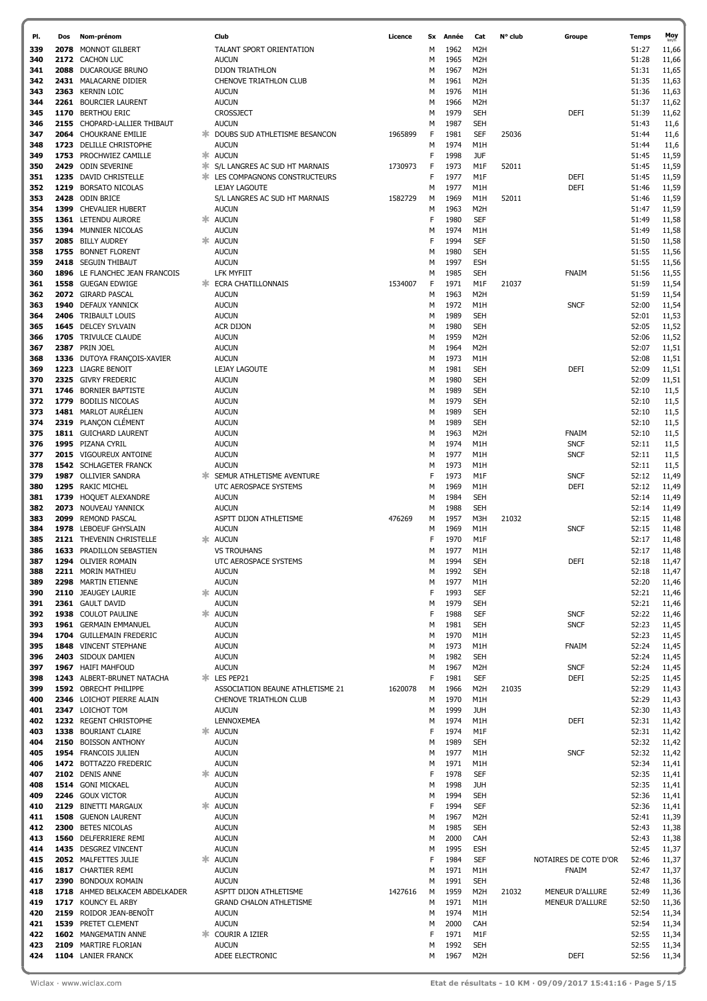| PI. | Dos  | Nom-prénom                     |   | Club                                   | Licence | Sx | Année | Cat              | N° club | Groupe                | <b>Temps</b> | Moy   |
|-----|------|--------------------------------|---|----------------------------------------|---------|----|-------|------------------|---------|-----------------------|--------------|-------|
| 339 |      | 2078 MONNOT GILBERT            |   | TALANT SPORT ORIENTATION               |         | м  | 1962  | M2H              |         |                       | 51:27        | 11,66 |
| 340 |      | 2172 CACHON LUC                |   | <b>AUCUN</b>                           |         | M  | 1965  | M <sub>2</sub> H |         |                       | 51:28        | 11,66 |
|     |      |                                |   |                                        |         |    |       |                  |         |                       |              |       |
| 341 |      | 2088 DUCAROUGE BRUNO           |   | <b>DIJON TRIATHLON</b>                 |         | M  | 1967  | M2H              |         |                       | 51:31        | 11,65 |
| 342 |      | 2431 MALACARNE DIDIER          |   | CHENOVE TRIATHLON CLUB                 |         | M  | 1961  | M <sub>2</sub> H |         |                       | 51:35        | 11,63 |
| 343 |      | 2363 KERNIN LOIC               |   | <b>AUCUN</b>                           |         | М  | 1976  | M1H              |         |                       | 51:36        | 11,63 |
| 344 |      | 2261 BOURCIER LAURENT          |   | <b>AUCUN</b>                           |         | M  | 1966  | M <sub>2</sub> H |         |                       | 51:37        | 11,62 |
| 345 |      | 1170 BERTHOU ERIC              |   | <b>CROSSJECT</b>                       |         | M  | 1979  | <b>SEH</b>       |         | DEFI                  | 51:39        | 11,62 |
| 346 |      | 2155 CHOPARD-LALLIER THIBAUT   |   | <b>AUCUN</b>                           |         | M  | 1987  | <b>SEH</b>       |         |                       | 51:43        | 11,6  |
| 347 |      | 2064 CHOUKRANE EMILIE          |   | <b>* DOUBS SUD ATHLETISME BESANCON</b> | 1965899 | F  | 1981  | <b>SEF</b>       | 25036   |                       | 51:44        | 11,6  |
| 348 |      | 1723 DELILLE CHRISTOPHE        |   | <b>AUCUN</b>                           |         | M  | 1974  | M1H              |         |                       | 51:44        | 11,6  |
|     |      |                                |   |                                        |         |    |       |                  |         |                       |              |       |
| 349 |      | 1753 PROCHWIEZ CAMILLE         |   | * AUCUN                                |         | F  | 1998  | <b>JUF</b>       |         |                       | 51:45        | 11,59 |
| 350 |      | 2429 ODIN SEVERINE             |   | * S/L LANGRES AC SUD HT MARNAIS        | 1730973 | F  | 1973  | M1F              | 52011   |                       | 51:45        | 11,59 |
| 351 |      | 1235 DAVID CHRISTELLE          |   | <b>* LES COMPAGNONS CONSTRUCTEURS</b>  |         | F  | 1977  | M1F              |         | DEFI                  | 51:45        | 11,59 |
| 352 |      | 1219 BORSATO NICOLAS           |   | LEJAY LAGOUTE                          |         | M  | 1977  | M1H              |         | DEFI                  | 51:46        | 11,59 |
| 353 |      | 2428 ODIN BRICE                |   | S/L LANGRES AC SUD HT MARNAIS          | 1582729 | M  | 1969  | M1H              | 52011   |                       | 51:46        | 11,59 |
| 354 |      | 1399 CHEVALIER HUBERT          |   | <b>AUCUN</b>                           |         | M  | 1963  | M <sub>2</sub> H |         |                       | 51:47        | 11,59 |
| 355 |      | 1361 LETENDU AURORE            |   | * AUCUN                                |         | F  | 1980  | <b>SEF</b>       |         |                       | 51:49        | 11,58 |
| 356 |      | 1394 MUNNIER NICOLAS           |   | <b>AUCUN</b>                           |         | М  | 1974  | M1H              |         |                       | 51:49        | 11,58 |
|     |      |                                |   |                                        |         |    |       |                  |         |                       |              |       |
| 357 |      | 2085 BILLY AUDREY              |   | * AUCUN                                |         | F  | 1994  | <b>SEF</b>       |         |                       | 51:50        | 11,58 |
| 358 |      | 1755 BONNET FLORENT            |   | <b>AUCUN</b>                           |         | М  | 1980  | <b>SEH</b>       |         |                       | 51:55        | 11,56 |
| 359 |      | 2418 SEGUIN THIBAUT            |   | <b>AUCUN</b>                           |         | м  | 1997  | ESH              |         |                       | 51:55        | 11,56 |
| 360 |      | 1896 LE FLANCHEC JEAN FRANCOIS |   | LFK MYFIIT                             |         | м  | 1985  | <b>SEH</b>       |         | <b>FNAIM</b>          | 51:56        | 11,55 |
| 361 |      | 1558 GUEGAN EDWIGE             |   | <b>* ECRA CHATILLONNAIS</b>            | 1534007 | F  | 1971  | M1F              | 21037   |                       | 51:59        | 11,54 |
| 362 |      | 2072 GIRARD PASCAL             |   | <b>AUCUN</b>                           |         | М  | 1963  | M <sub>2</sub> H |         |                       | 51:59        | 11,54 |
| 363 | 1940 | <b>DEFAUX YANNICK</b>          |   | <b>AUCUN</b>                           |         | М  | 1972  | M1H              |         | <b>SNCF</b>           | 52:00        | 11,54 |
| 364 |      | 2406 TRIBAULT LOUIS            |   | <b>AUCUN</b>                           |         | М  | 1989  | <b>SEH</b>       |         |                       | 52:01        | 11,53 |
| 365 |      | 1645 DELCEY SYLVAIN            |   | <b>ACR DIJON</b>                       |         | м  | 1980  | <b>SEH</b>       |         |                       | 52:05        | 11,52 |
|     |      |                                |   |                                        |         |    |       |                  |         |                       |              |       |
| 366 |      | 1705 TRIVULCE CLAUDE           |   | <b>AUCUN</b>                           |         | М  | 1959  | M <sub>2</sub> H |         |                       | 52:06        | 11,52 |
| 367 |      | 2387 PRIN JOEL                 |   | <b>AUCUN</b>                           |         | м  | 1964  | M <sub>2</sub> H |         |                       | 52:07        | 11,51 |
| 368 |      | 1336 DUTOYA FRANÇOIS-XAVIER    |   | <b>AUCUN</b>                           |         | М  | 1973  | M1H              |         |                       | 52:08        | 11,51 |
| 369 |      | 1223 LIAGRE BENOIT             |   | LEJAY LAGOUTE                          |         | М  | 1981  | <b>SEH</b>       |         | DEFI                  | 52:09        | 11,51 |
| 370 |      | 2325 GIVRY FREDERIC            |   | <b>AUCUN</b>                           |         | М  | 1980  | <b>SEH</b>       |         |                       | 52:09        | 11,51 |
| 371 |      | 1746 BORNIER BAPTISTE          |   | <b>AUCUN</b>                           |         | м  | 1989  | <b>SEH</b>       |         |                       | 52:10        | 11,5  |
| 372 | 1779 | <b>BODILIS NICOLAS</b>         |   | <b>AUCUN</b>                           |         | М  | 1979  | <b>SEH</b>       |         |                       | 52:10        | 11,5  |
| 373 |      | 1481 MARLOT AURÉLIEN           |   | <b>AUCUN</b>                           |         | м  | 1989  | <b>SEH</b>       |         |                       | 52:10        | 11,5  |
| 374 |      | 2319 PLANÇON CLÉMENT           |   | <b>AUCUN</b>                           |         | М  | 1989  | <b>SEH</b>       |         |                       | 52:10        | 11,5  |
|     |      |                                |   |                                        |         |    |       |                  |         |                       |              |       |
| 375 |      | 1811 GUICHARD LAURENT          |   | <b>AUCUN</b>                           |         | М  | 1963  | M2H              |         | <b>FNAIM</b>          | 52:10        | 11,5  |
| 376 |      | 1995 PIZANA CYRIL              |   | <b>AUCUN</b>                           |         | М  | 1974  | M1H              |         | <b>SNCF</b>           | 52:11        | 11,5  |
| 377 |      | 2015 VIGOUREUX ANTOINE         |   | <b>AUCUN</b>                           |         | М  | 1977  | M1H              |         | <b>SNCF</b>           | 52:11        | 11,5  |
| 378 |      | 1542 SCHLAGETER FRANCK         |   | <b>AUCUN</b>                           |         | М  | 1973  | M1H              |         |                       | 52:11        | 11,5  |
| 379 |      | 1987 OLLIVIER SANDRA           |   | <b>* SEMUR ATHLETISME AVENTURE</b>     |         | F  | 1973  | M1F              |         | <b>SNCF</b>           | 52:12        | 11,49 |
| 380 |      | 1295 RAKIC MICHEL              |   | UTC AEROSPACE SYSTEMS                  |         | М  | 1969  | M1H              |         | DEFI                  | 52:12        | 11,49 |
| 381 |      | 1739 HOQUET ALEXANDRE          |   | <b>AUCUN</b>                           |         | м  | 1984  | <b>SEH</b>       |         |                       | 52:14        | 11,49 |
| 382 |      | 2073 NOUVEAU YANNICK           |   | <b>AUCUN</b>                           |         | м  | 1988  | <b>SEH</b>       |         |                       | 52:14        | 11,49 |
| 383 |      | 2099 REMOND PASCAL             |   | ASPTT DIJON ATHLETISME                 | 476269  | М  | 1957  | M3H              | 21032   |                       | 52:15        | 11,48 |
|     |      |                                |   |                                        |         |    |       |                  |         |                       |              |       |
| 384 |      | 1978 LEBOEUF GHYSLAIN          |   | <b>AUCUN</b>                           |         | М  | 1969  | M1H              |         | <b>SNCF</b>           | 52:15        | 11,48 |
| 385 |      | 2121 THEVENIN CHRISTELLE       |   | * AUCUN                                |         | F  | 1970  | M1F              |         |                       | 52:17        | 11,48 |
| 386 |      | 1633 PRADILLON SEBASTIEN       |   | <b>VS TROUHANS</b>                     |         | М  | 1977  | M1H              |         |                       | 52:17        | 11,48 |
| 387 |      | 1294 OLIVIER ROMAIN            |   | UTC AEROSPACE SYSTEMS                  |         | М  | 1994  | <b>SEH</b>       |         | <b>DEFI</b>           | 52:18        | 11,47 |
| 388 |      | 2211 MORIN MATHIEU             |   | <b>AUCUN</b>                           |         | М  | 1992  | <b>SEH</b>       |         |                       | 52:18        | 11,47 |
| 389 |      | 2298 MARTIN ETIENNE            |   | <b>AUCUN</b>                           |         | М  | 1977  | M1H              |         |                       | 52:20        | 11,46 |
| 390 |      | 2110 JEAUGEY LAURIE            | ж | <b>AUCUN</b>                           |         | F  | 1993  | <b>SEF</b>       |         |                       | 52:21        | 11,46 |
| 391 |      | 2361 GAULT DAVID               |   | <b>AUCUN</b>                           |         | М  | 1979  | <b>SEH</b>       |         |                       | 52:21        | 11,46 |
| 392 |      | 1938 COULOT PAULINE            | ж | <b>AUCUN</b>                           |         | F  | 1988  | <b>SEF</b>       |         | <b>SNCF</b>           | 52:22        | 11,46 |
| 393 |      | 1961 GERMAIN EMMANUEL          |   | <b>AUCUN</b>                           |         | М  | 1981  | <b>SEH</b>       |         | <b>SNCF</b>           | 52:23        | 11,45 |
|     |      |                                |   |                                        |         |    |       |                  |         |                       |              |       |
| 394 |      | 1704 GUILLEMAIN FREDERIC       |   | <b>AUCUN</b>                           |         | М  | 1970  | M1H              |         |                       | 52:23        | 11,45 |
| 395 |      | 1848 VINCENT STEPHANE          |   | <b>AUCUN</b>                           |         | М  | 1973  | M1H              |         | <b>FNAIM</b>          | 52:24        | 11,45 |
| 396 |      | 2403 SIDOUX DAMIEN             |   | <b>AUCUN</b>                           |         | M  | 1982  | <b>SEH</b>       |         |                       | 52:24        | 11,45 |
| 397 |      | 1967 HAIFI MAHFOUD             |   | <b>AUCUN</b>                           |         | М  | 1967  | M2H              |         | <b>SNCF</b>           | 52:24        | 11,45 |
| 398 |      | 1243 ALBERT-BRUNET NATACHA     |   | * LES PEP21                            |         | F  | 1981  | <b>SEF</b>       |         | <b>DEFI</b>           | 52:25        | 11,45 |
| 399 |      | 1592 OBRECHT PHILIPPE          |   | ASSOCIATION BEAUNE ATHLETISME 21       | 1620078 | м  | 1966  | M <sub>2</sub> H | 21035   |                       | 52:29        | 11,43 |
| 400 |      | 2346 LOICHOT PIERRE ALAIN      |   | CHENOVE TRIATHLON CLUB                 |         | М  | 1970  | M1H              |         |                       | 52:29        | 11,43 |
| 401 |      | 2347 LOICHOT TOM               |   | <b>AUCUN</b>                           |         | М  | 1999  | <b>JUH</b>       |         |                       | 52:30        | 11,43 |
| 402 |      | 1232 REGENT CHRISTOPHE         |   | LENNOXEMEA                             |         | M  | 1974  | M1H              |         | DEFI                  | 52:31        | 11,42 |
| 403 |      | 1338 BOURIANT CLAIRE           | ж | <b>AUCUN</b>                           |         | F  | 1974  | M1F              |         |                       | 52:31        | 11,42 |
| 404 |      | 2150 BOISSON ANTHONY           |   | <b>AUCUN</b>                           |         | M  | 1989  | <b>SEH</b>       |         |                       | 52:32        | 11,42 |
| 405 |      | 1954 FRANCOIS JULIEN           |   | <b>AUCUN</b>                           |         | м  | 1977  | M1H              |         | <b>SNCF</b>           | 52:32        | 11,42 |
|     |      |                                |   |                                        |         |    | 1971  |                  |         |                       |              |       |
| 406 |      | 1472 BOTTAZZO FREDERIC         |   | <b>AUCUN</b>                           |         | M  |       | M1H              |         |                       | 52:34        | 11,41 |
| 407 |      | 2102 DENIS ANNE                | ж | <b>AUCUN</b>                           |         | F  | 1978  | <b>SEF</b>       |         |                       | 52:35        | 11,41 |
| 408 |      | 1514 GONI MICKAEL              |   | <b>AUCUN</b>                           |         | М  | 1998  | <b>JUH</b>       |         |                       | 52:35        | 11,41 |
| 409 |      | 2246 GOUX VICTOR               |   | <b>AUCUN</b>                           |         | М  | 1994  | <b>SEH</b>       |         |                       | 52:36        | 11,41 |
| 410 |      | 2129 BINETTI MARGAUX           |   | <b>AUCUN</b>                           |         | F  | 1994  | <b>SEF</b>       |         |                       | 52:36        | 11,41 |
| 411 |      | 1508 GUENON LAURENT            |   | <b>AUCUN</b>                           |         | M  | 1967  | M <sub>2</sub> H |         |                       | 52:41        | 11,39 |
| 412 |      | 2300 BETES NICOLAS             |   | <b>AUCUN</b>                           |         | М  | 1985  | <b>SEH</b>       |         |                       | 52:43        | 11,38 |
| 413 |      | 1560 DELFERRIERE REMI          |   | <b>AUCUN</b>                           |         | М  | 2000  | CAH              |         |                       | 52:43        | 11,38 |
| 414 |      | 1435 DESGREZ VINCENT           |   | <b>AUCUN</b>                           |         | М  | 1995  | <b>ESH</b>       |         |                       | 52:45        | 11,37 |
|     |      |                                |   | * AUCUN                                |         |    |       |                  |         |                       |              |       |
| 415 |      | 2052 MALFETTES JULIE           |   |                                        |         | F  | 1984  | SEF              |         | NOTAIRES DE COTE D'OR | 52:46        | 11,37 |
| 416 |      | 1817 CHARTIER REMI             |   | <b>AUCUN</b>                           |         | М  | 1971  | M1H              |         | <b>FNAIM</b>          | 52:47        | 11,37 |
| 417 |      | 2390 BONDOUX ROMAIN            |   | <b>AUCUN</b>                           |         | М  | 1991  | <b>SEH</b>       |         |                       | 52:48        | 11,36 |
| 418 |      | 1718 AHMED BELKACEM ABDELKADER |   | ASPTT DIJON ATHLETISME                 | 1427616 | М  | 1959  | M2H              | 21032   | MENEUR D'ALLURE       | 52:49        | 11,36 |
| 419 |      | 1717 KOUNCY EL ARBY            |   | <b>GRAND CHALON ATHLETISME</b>         |         | М  | 1971  | M1H              |         | MENEUR D'ALLURE       | 52:50        | 11,36 |
| 420 |      | 2159 ROIDOR JEAN-BENOÎT        |   | <b>AUCUN</b>                           |         | М  | 1974  | M1H              |         |                       | 52:54        | 11,34 |
| 421 |      | 1539 PRETET CLEMENT            |   | <b>AUCUN</b>                           |         | М  | 2000  | CAH              |         |                       | 52:54        | 11,34 |
| 422 |      | 1602 MANGEMATIN ANNE           |   | COURIR A IZIER                         |         | F  | 1971  | M1F              |         |                       | 52:55        | 11,34 |
| 423 |      | 2109 MARTIRE FLORIAN           |   | <b>AUCUN</b>                           |         | М  | 1992  | <b>SEH</b>       |         |                       | 52:55        | 11,34 |
|     |      | 1104 LANIER FRANCK             |   | ADEE ELECTRONIC                        |         | м  | 1967  | M2H              |         | DEFI                  | 52:56        | 11,34 |
| 424 |      |                                |   |                                        |         |    |       |                  |         |                       |              |       |

1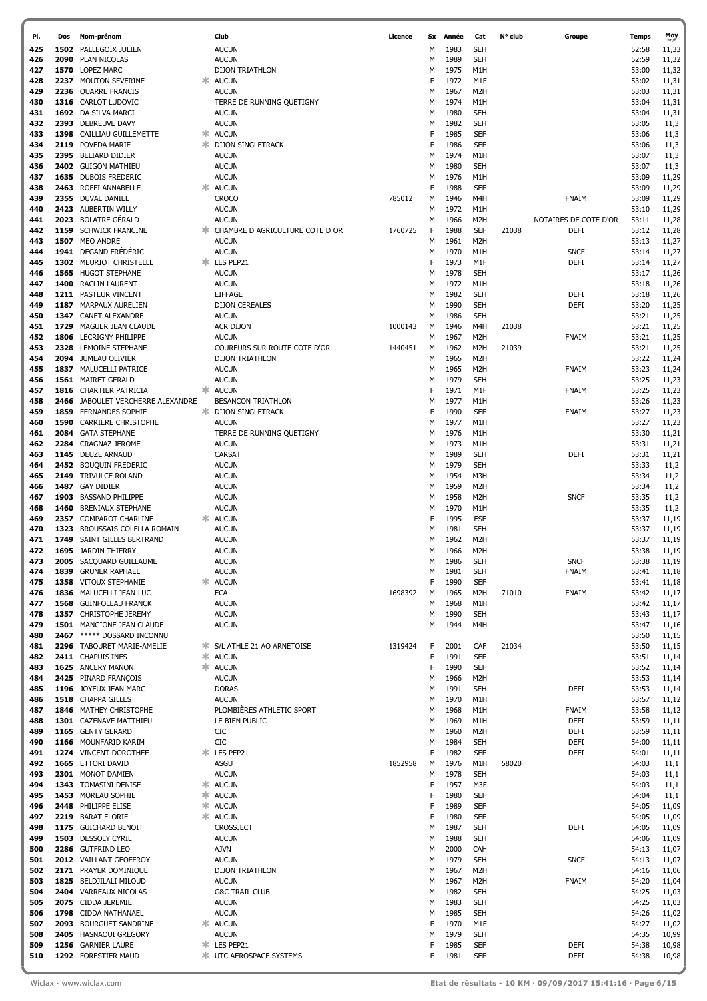| PI.        | Dos  | Nom-prénom                                               |    | Club                            | Licence | Sx     | Année        | Cat                            | N° club | Groupe                | Temps          | Moy            |
|------------|------|----------------------------------------------------------|----|---------------------------------|---------|--------|--------------|--------------------------------|---------|-----------------------|----------------|----------------|
| 425        |      | 1502 PALLEGOIX JULIEN                                    |    | <b>AUCUN</b>                    |         | м      | 1983         | <b>SEH</b>                     |         |                       | 52:58          | 11,33          |
| 426        |      | 2090 PLAN NICOLAS                                        |    | <b>AUCUN</b>                    |         | M      | 1989         | <b>SEH</b>                     |         |                       | 52:59          | 11,32          |
| 427        |      | 1570 LOPEZ MARC                                          |    | <b>DIJON TRIATHLON</b>          |         | M      | 1975         | M1H                            |         |                       | 53:00          | 11,32          |
| 428        |      | 2237 MOUTON SEVERINE                                     | ж  | <b>AUCUN</b>                    |         | F      | 1972         | M1F                            |         |                       | 53:02          | 11,31          |
| 429        | 2236 | <b>QUARRE FRANCIS</b>                                    |    | <b>AUCUN</b>                    |         | M      | 1967         | M2H                            |         |                       | 53:03          | 11,31          |
| 430        |      | 1316 CARLOT LUDOVIC                                      |    | TERRE DE RUNNING QUETIGNY       |         | М      | 1974         | M1H                            |         |                       | 53:04          | 11,31          |
| 431        |      | 1692 DA SILVA MARCI                                      |    | <b>AUCUN</b>                    |         | М      | 1980         | <b>SEH</b>                     |         |                       | 53:04          | 11,31          |
| 432        |      | 2393 DEBREUVE DAVY                                       |    | <b>AUCUN</b>                    |         | М      | 1982         | <b>SEH</b>                     |         |                       | 53:05          | 11,3           |
| 433        |      | 1398 CAILLIAU GUILLEMETTE                                | ж  | <b>AUCUN</b>                    |         | F      | 1985         | <b>SEF</b>                     |         |                       | 53:06          | 11,3           |
| 434        |      | 2119 POVEDA MARIE                                        | ж. | <b>DIJON SINGLETRACK</b>        |         | F      | 1986         | <b>SEF</b>                     |         |                       | 53:06          | 11,3           |
| 435        |      | 2395 BELIARD DIDIER                                      |    | <b>AUCUN</b>                    |         | М      | 1974         | M1H                            |         |                       | 53:07          | 11,3           |
| 436        |      | 2402 GUIGON MATHIEU                                      |    | <b>AUCUN</b>                    |         | М      | 1980         | <b>SEH</b>                     |         |                       | 53:07          | 11,3           |
| 437        |      | 1635 DUBOIS FREDERIC                                     |    | <b>AUCUN</b>                    |         | М      | 1976         | M1H                            |         |                       | 53:09          | 11,29          |
| 438        |      | 2463 ROFFI ANNABELLE                                     | Ж. | <b>AUCUN</b>                    |         | F      | 1988         | <b>SEF</b>                     |         |                       | 53:09          | 11,29          |
| 439        |      | 2355 DUVAL DANIEL                                        |    | <b>CROCO</b>                    | 785012  | М      | 1946         | M4H                            |         | <b>FNAIM</b>          | 53:09          | 11,29          |
| 440        |      | 2423 AUBERTIN WILLY                                      |    | <b>AUCUN</b>                    |         | М      | 1972         | M1H                            |         |                       | 53:10          | 11,29          |
| 441        |      | 2023 BOLATRE GÉRALD                                      |    | <b>AUCUN</b>                    |         | М      | 1966         | M <sub>2</sub> H               |         | NOTAIRES DE COTE D'OR | 53:11          | 11,28          |
| 442        |      | 1159 SCHWICK FRANCINE                                    |    | CHAMBRE D AGRICULTURE COTE D OR | 1760725 | F      | 1988         | <b>SEF</b>                     | 21038   | DEFI                  | 53:12          | 11,28          |
| 443        |      | 1507 MEO ANDRE                                           |    | <b>AUCUN</b>                    |         | М      | 1961         | M <sub>2</sub> H               |         |                       | 53:13          | 11,27          |
| 444        |      | 1941 DEGAND FRÉDÉRIC                                     |    | <b>AUCUN</b>                    |         | М      | 1970         | M1H                            |         | <b>SNCF</b>           | 53:14          | 11,27          |
| 445        |      | 1302 MEURIOT CHRISTELLE                                  |    | LES PEP21                       |         | F      | 1973         | M1F                            |         | <b>DEFI</b>           | 53:14          | 11,27          |
| 446        |      | 1565 HUGOT STEPHANE                                      |    | <b>AUCUN</b>                    |         | M      | 1978         | <b>SEH</b>                     |         |                       | 53:17          | 11,26          |
| 447        |      | 1400 RACLIN LAURENT                                      |    | <b>AUCUN</b>                    |         | М      | 1972         | M1H                            |         |                       | 53:18          | 11,26          |
| 448        |      | 1211 PASTEUR VINCENT                                     |    | <b>EIFFAGE</b>                  |         | М      | 1982         | <b>SEH</b>                     |         | DEFI                  | 53:18          | 11,26          |
| 449        |      | 1187 MARPAUX AURELIEN                                    |    | <b>DIJON CEREALES</b>           |         | М      | 1990         | <b>SEH</b>                     |         | <b>DEFI</b>           | 53:20          | 11,25          |
| 450        |      | 1347 CANET ALEXANDRE                                     |    | <b>AUCUN</b>                    |         | М      | 1986         | <b>SEH</b>                     |         |                       | 53:21          | 11,25          |
| 451        |      | 1729 MAGUER JEAN CLAUDE                                  |    | ACR DIJON                       | 1000143 | М      | 1946         | M4H                            | 21038   |                       | 53:21          | 11,25          |
| 452        |      | 1806 LECRIGNY PHILIPPE                                   |    | <b>AUCUN</b>                    |         | М      | 1967         | M2H                            |         | <b>FNAIM</b>          | 53:21          | 11,25          |
| 453        |      | 2328 LEMOINE STEPHANE                                    |    | COUREURS SUR ROUTE COTE D'OR    | 1440451 | М      | 1962         | M2H                            | 21039   |                       | 53:21          | 11,25          |
| 454        |      | 2094 JUMEAU OLIVIER                                      |    | <b>DIJON TRIATHLON</b>          |         | М      | 1965         | M2H                            |         |                       | 53:22          | 11,24          |
| 455        |      | 1837 MALUCELLI PATRICE                                   |    | <b>AUCUN</b>                    |         | M      | 1965         | M2H                            |         | <b>FNAIM</b>          | 53:23          | 11,24          |
| 456        |      | 1561 MAIRET GERALD                                       |    | <b>AUCUN</b>                    |         | M      | 1979         | <b>SEH</b>                     |         |                       | 53:25          | 11,23          |
| 457        |      | 1816 CHARTIER PATRICIA                                   |    | <b>AUCUN</b>                    |         | F      | 1971         | M1F                            |         | <b>FNAIM</b>          | 53:25          | 11,23          |
| 458        |      | 2466 JABOULET VERCHERRE ALEXANDRE                        |    | <b>BESANCON TRIATHLON</b>       |         | м      | 1977         | M1H                            |         |                       | 53:26          | 11,23          |
| 459        |      | 1859 FERNANDES SOPHIE                                    |    | <b>* DIJON SINGLETRACK</b>      |         | F      | 1990         | <b>SEF</b>                     |         | <b>FNAIM</b>          | 53:27          | 11,23          |
| 460        |      | <b>1590 CARRIERE CHRISTOPHE</b>                          |    | <b>AUCUN</b>                    |         | M      | 1977         | M1H                            |         |                       | 53:27          | 11,23          |
| 461        |      | 2084 GATA STEPHANE                                       |    | TERRE DE RUNNING QUETIGNY       |         | M      | 1976         | M1H                            |         |                       | 53:30          | 11,21          |
| 462        |      | 2284 CRAGNAZ JEROME                                      |    | <b>AUCUN</b>                    |         | M      | 1973         | M1H                            |         |                       | 53:31          | 11,21          |
| 463        |      | 1145 DEUZE ARNAUD                                        |    | CARSAT                          |         | M      | 1989         | <b>SEH</b>                     |         | <b>DEFI</b>           | 53:31          | 11,21          |
| 464        |      | 2452 BOUQUIN FREDERIC                                    |    | <b>AUCUN</b>                    |         | M      | 1979         | <b>SEH</b>                     |         |                       | 53:33          | 11,2           |
|            |      |                                                          |    |                                 |         | M      | 1954         | M3H                            |         |                       | 53:34          |                |
| 465<br>466 |      | 2149 TRIVULCE ROLAND<br>1487 GAY DIDIER                  |    | <b>AUCUN</b>                    |         | M      | 1959         | M <sub>2</sub> H               |         |                       | 53:34          | 11,2           |
|            |      | 1903 BASSAND PHILIPPE                                    |    | <b>AUCUN</b>                    |         | M      | 1958         |                                |         | <b>SNCF</b>           | 53:35          | 11,2           |
| 467<br>468 |      | 1460 BRENIAUX STEPHANE                                   |    | <b>AUCUN</b><br><b>AUCUN</b>    |         | M      | 1970         | M <sub>2</sub> H<br>M1H        |         |                       | 53:35          | 11,2<br>11,2   |
|            |      | 2357 COMPAROT CHARLINE                                   |    |                                 |         | F      | 1995         | ESF                            |         |                       | 53:37          |                |
| 469<br>470 | 1323 | BROUSSAIS-COLELLA ROMAIN                                 |    | <b>AUCUN</b><br><b>AUCUN</b>    |         | M      | 1981         | <b>SEH</b>                     |         |                       | 53:37          | 11,19          |
| 471        |      | 1749 SAINT GILLES BERTRAND                               |    |                                 |         |        |              | M <sub>2</sub> H               |         |                       | 53:37          | 11,19          |
| 472        |      | 1695 JARDIN THIERRY                                      |    | <b>AUCUN</b><br><b>AUCUN</b>    |         | м<br>M | 1962<br>1966 | M <sub>2</sub> H               |         |                       | 53:38          | 11,19          |
| 473        |      |                                                          |    |                                 |         |        |              |                                |         | <b>SNCF</b>           |                | 11,19          |
| 474        |      | 2005 SACQUARD GUILLAUME                                  |    | <b>AUCUN</b><br><b>AUCUN</b>    |         | М<br>м | 1986<br>1981 | <b>SEH</b><br><b>SEH</b>       |         |                       | 53:38          | 11,19          |
| 475        |      | 1839 GRUNER RAPHAEL                                      |    | <b>AUCUN</b>                    |         | F      | 1990         | <b>SEF</b>                     |         | FNAIM                 | 53:41          | 11,18          |
|            |      | 1358 VITOUX STEPHANIE                                    |    |                                 |         |        |              |                                |         |                       | 53:41          | 11,18          |
| 476        |      | 1836 MALUCELLI JEAN-LUC                                  |    | ECA                             | 1698392 | M      | 1965         | M <sub>2</sub> H               | 71010   | FNAIM                 | 53:42          | 11,17          |
| 477        |      | 1568 GUINFOLEAU FRANCK                                   |    | <b>AUCUN</b>                    |         | М      | 1968         | M1H                            |         |                       | 53:42          | 11,17          |
| 478        |      | 1357 CHRISTOPHE JEREMY                                   |    | <b>AUCUN</b>                    |         | М      | 1990         | <b>SEH</b>                     |         |                       | 53:43          | 11,17          |
| 479        |      | 1501 MANGIONE JEAN CLAUDE                                |    | <b>AUCUN</b>                    |         | М      | 1944         | M4H                            |         |                       | 53:47          | 11,16          |
| 480        |      | 2467 ***** DOSSARD INCONNU<br>2296 TABOURET MARIE-AMELIE |    |                                 |         |        |              |                                |         |                       | 53:50<br>53:50 | 11,15          |
| 481        |      |                                                          |    | * S/L ATHLE 21 AO ARNETOISE     | 1319424 | F<br>F | 2001<br>1991 | CAF<br><b>SEF</b>              | 21034   |                       |                | 11,15          |
| 482<br>483 |      | 2411 CHAPUIS INES<br>1625 ANCERY MANON                   |    | * AUCUN<br>* AUCUN              |         | F      | 1990         | <b>SEF</b>                     |         |                       | 53:51<br>53:52 | 11,14<br>11,14 |
|            |      |                                                          |    |                                 |         |        | 1966         |                                |         |                       |                |                |
| 484<br>485 |      | 2425 PINARD FRANÇOIS<br>1196 JOYEUX JEAN MARC            |    | <b>AUCUN</b><br><b>DORAS</b>    |         | М<br>М | 1991         | M <sub>2</sub> H<br><b>SEH</b> |         | DEFI                  | 53:53<br>53:53 | 11,14<br>11,14 |
| 486        |      | 1518 CHAPPA GILLES                                       |    | <b>AUCUN</b>                    |         | М      | 1970         | M1H                            |         |                       | 53:57          | 11,12          |
| 487        |      | 1846 MATHEY CHRISTOPHE                                   |    | PLOMBIÈRES ATHLETIC SPORT       |         | М      | 1968         | M1H                            |         | <b>FNAIM</b>          | 53:58          | 11,12          |
| 488        |      | 1301 CAZENAVE MATTHIEU                                   |    | LE BIEN PUBLIC                  |         | М      | 1969         | M1H                            |         | <b>DEFI</b>           | 53:59          | 11,11          |
| 489        |      | 1165 GENTY GERARD                                        |    | CIC                             |         | М      | 1960         | M <sub>2</sub> H               |         | DEFI                  | 53:59          | 11,11          |
| 490        |      | 1166 MOUNFARID KARIM                                     |    | CIC                             |         | М      | 1984         | <b>SEH</b>                     |         | DEFI                  | 54:00          | 11,11          |
| 491        |      | 1274 VINCENT DOROTHEE                                    | Ж. | LES PEP21                       |         | F      | 1982         | <b>SEF</b>                     |         | DEFI                  | 54:01          | 11,11          |
| 492        |      | 1665 ETTORI DAVID                                        |    | ASGU                            | 1852958 | М      | 1976         | M1H                            | 58020   |                       | 54:03          | 11,1           |
| 493        |      | 2301 MONOT DAMIEN                                        |    | <b>AUCUN</b>                    |         | М      | 1978         | <b>SEH</b>                     |         |                       | 54:03          | 11,1           |
| 494        |      | 1343 TOMASINI DENISE                                     | ж. | <b>AUCUN</b>                    |         | F      | 1957         | M3F                            |         |                       | 54:03          | 11,1           |
| 495        |      | 1453 MOREAU SOPHIE                                       |    | <b><del></del></b> AUCUN        |         | F      | 1980         | SEF                            |         |                       | 54:04          | 11,1           |
| 496        |      | 2448 PHILIPPE ELISE                                      | ∗. | <b>AUCUN</b>                    |         | F      | 1989         | SEF                            |         |                       | 54:05          | 11,09          |
| 497        |      | 2219 BARAT FLORIE                                        |    | * AUCUN                         |         | F      | 1980         | SEF                            |         |                       | 54:05          | 11,09          |
| 498        |      | 1175 GUICHARD BENOIT                                     |    | CROSSJECT                       |         | М      | 1987         | <b>SEH</b>                     |         | <b>DEFI</b>           | 54:05          | 11,09          |
| 499        |      | 1503 DESSOLY CYRIL                                       |    | <b>AUCUN</b>                    |         | М      | 1988         | <b>SEH</b>                     |         |                       | 54:06          | 11,09          |
| 500        |      | 2286 GUTFRIND LEO                                        |    | AJVN                            |         | М      | 2000         | CAH                            |         |                       | 54:13          | 11,07          |
| 501        |      | 2012 VAILLANT GEOFFROY                                   |    | <b>AUCUN</b>                    |         | М      | 1979         | <b>SEH</b>                     |         | <b>SNCF</b>           | 54:13          | 11,07          |
| 502        |      | 2171 PRAYER DOMINIQUE                                    |    | <b>DIJON TRIATHLON</b>          |         | М      | 1967         | M2H                            |         |                       | 54:16          | 11,06          |
| 503        |      | 1825 BELDJILALI MILOUD                                   |    | <b>AUCUN</b>                    |         | М      | 1967         | M <sub>2</sub> H               |         | <b>FNAIM</b>          | 54:20          | 11,04          |
| 504        |      | 2404 VARREAUX NICOLAS                                    |    | <b>G&amp;C TRAIL CLUB</b>       |         | М      | 1982         | <b>SEH</b>                     |         |                       | 54:25          | 11,03          |
| 505        |      | 2075 CIDDA JEREMIE                                       |    | <b>AUCUN</b>                    |         | М      | 1983         | <b>SEH</b>                     |         |                       | 54:25          | 11,03          |
| 506        |      | 1798 CIDDA NATHANAEL                                     |    | <b>AUCUN</b>                    |         | М      | 1985         | <b>SEH</b>                     |         |                       | 54:26          | 11,02          |
| 507        |      | 2093 BOURGUET SANDRINE                                   |    | <b><del></del></b> AUCUN        |         | F      | 1970         | M1F                            |         |                       | 54:27          | 11,02          |
| 508        |      | 2405 HASNAOUI GREGORY                                    |    | <b>AUCUN</b>                    |         | М      | 1979         | <b>SEH</b>                     |         |                       | 54:35          | 10,99          |
| 509        |      | 1256 GARNIER LAURE                                       |    | <b>* LES PEP21</b>              |         | F      | 1985         | <b>SEF</b>                     |         | DEFI                  | 54:38          | 10,98          |
| 510        |      | 1292 FORESTIER MAUD                                      |    | * UTC AEROSPACE SYSTEMS         |         | F      | 1981         | <b>SEF</b>                     |         | <b>DEFI</b>           | 54:38          | 10,98          |
|            |      |                                                          |    |                                 |         |        |              |                                |         |                       |                |                |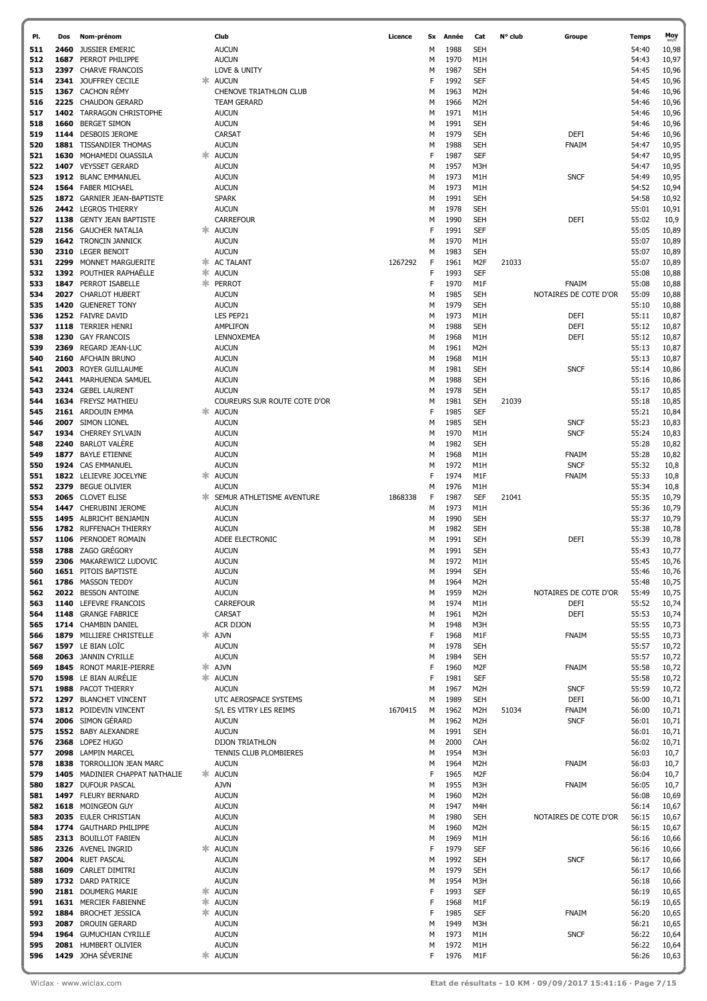| PI.        | Dos  | Nom-prénom                                      |    | Club                                         | Licence |        | Sx Année     | Cat                            | N° club | Groupe                      | Temps          | Moy            |
|------------|------|-------------------------------------------------|----|----------------------------------------------|---------|--------|--------------|--------------------------------|---------|-----------------------------|----------------|----------------|
| 511        | 2460 | <b>JUSSIER EMERIC</b>                           |    | <b>AUCUN</b>                                 |         | м      | 1988         | <b>SEH</b>                     |         |                             | 54:40          | 10,98          |
| 512        | 1687 | PERROT PHILIPPE                                 |    | <b>AUCUN</b>                                 |         | М      | 1970         | M1H                            |         |                             | 54:43          | 10,97          |
| 513        | 2397 | <b>CHARVE FRANCOIS</b>                          |    | LOVE & UNITY                                 |         | М      | 1987         | <b>SEH</b>                     |         |                             | 54:45          | 10,96          |
| 514<br>515 |      | 2341 JOUFFREY CECILE<br>1367 CACHON RÉMY        |    | <b>AUCUN</b><br>CHENOVE TRIATHLON CLUB       |         | F<br>М | 1992<br>1963 | SEF<br>M <sub>2</sub> H        |         |                             | 54:45<br>54:46 | 10,96          |
| 516        |      | 2225 CHAUDON GERARD                             |    | <b>TEAM GERARD</b>                           |         | М      | 1966         | M <sub>2</sub> H               |         |                             | 54:46          | 10,96<br>10,96 |
| 517        |      | 1402 TARRAGON CHRISTOPHE                        |    | <b>AUCUN</b>                                 |         | М      | 1971         | M1H                            |         |                             | 54:46          | 10,96          |
| 518        | 1660 | <b>BERGET SIMON</b>                             |    | <b>AUCUN</b>                                 |         | М      | 1991         | <b>SEH</b>                     |         |                             | 54:46          | 10,96          |
| 519        |      | 1144 DESBOIS JEROME                             |    | CARSAT                                       |         | М      | 1979         | SEH                            |         | <b>DEFI</b>                 | 54:46          | 10,96          |
| 520        |      | 1881 TISSANDIER THOMAS                          |    | <b>AUCUN</b>                                 |         | М      | 1988         | <b>SEH</b>                     |         | <b>FNAIM</b>                | 54:47          | 10,95          |
| 521        |      | 1630 MOHAMEDI OUASSILA                          |    | <b>AUCUN</b>                                 |         | F      | 1987         | <b>SEF</b>                     |         |                             | 54:47          | 10,95          |
| 522<br>523 |      | 1407 VEYSSET GERARD<br>1912 BLANC EMMANUEL      |    | <b>AUCUN</b><br><b>AUCUN</b>                 |         | М<br>М | 1957<br>1973 | M3H<br>M1H                     |         | <b>SNCF</b>                 | 54:47<br>54:49 | 10,95<br>10,95 |
| 524        |      | 1564 FABER MICHAEL                              |    | <b>AUCUN</b>                                 |         | М      | 1973         | M1H                            |         |                             | 54:52          | 10,94          |
| 525        |      | 1872 GARNIER JEAN-BAPTISTE                      |    | <b>SPARK</b>                                 |         | М      | 1991         | <b>SEH</b>                     |         |                             | 54:58          | 10,92          |
| 526        |      | 2442 LEGROS THIERRY                             |    | <b>AUCUN</b>                                 |         | М      | 1978         | <b>SEH</b>                     |         |                             | 55:01          | 10,91          |
| 527        |      | 1138 GENTY JEAN BAPTISTE                        |    | <b>CARREFOUR</b>                             |         | м      | 1990         | <b>SEH</b>                     |         | DEFI                        | 55:02          | 10,9           |
| 528        |      | 2156 GAUCHER NATALIA                            |    | * AUCUN                                      |         | F      | 1991         | <b>SEF</b>                     |         |                             | 55:05          | 10,89          |
| 529<br>530 |      | 1642 TRONCIN JANNICK<br>2310 LEGER BENOIT       |    | <b>AUCUN</b><br><b>AUCUN</b>                 |         | м<br>М | 1970<br>1983 | M1H<br><b>SEH</b>              |         |                             | 55:07<br>55:07 | 10,89<br>10,89 |
| 531        | 2299 | <b>MONNET MARGUERITE</b>                        |    | * AC TALANT                                  | 1267292 | F      | 1961         | M <sub>2F</sub>                | 21033   |                             | 55:07          | 10,89          |
| 532        |      | 1392 POUTHIER RAPHAËLLE                         | ж. | <b>AUCUN</b>                                 |         | F      | 1993         | <b>SEF</b>                     |         |                             | 55:08          | 10,88          |
| 533        | 1847 | PERROT ISABELLE                                 | 氺  | PERROT                                       |         | F      | 1970         | M1F                            |         | <b>FNAIM</b>                | 55:08          | 10,88          |
| 534        |      | 2027 CHARLOT HUBERT                             |    | <b>AUCUN</b>                                 |         | м      | 1985         | SEH                            |         | NOTAIRES DE COTE D'OR       | 55:09          | 10,88          |
| 535        |      | 1420 GUENERET TONY                              |    | <b>AUCUN</b>                                 |         | М      | 1979         | <b>SEH</b>                     |         |                             | 55:10          | 10,88          |
| 536<br>537 |      | 1252 FAIVRE DAVID<br>1118 TERRIER HENRI         |    | LES PEP21<br>AMPLIFON                        |         | М<br>м | 1973<br>1988 | M1H<br><b>SEH</b>              |         | <b>DEFI</b><br><b>DEFI</b>  | 55:11<br>55:12 | 10,87<br>10,87 |
| 538        |      | 1230 GAY FRANCOIS                               |    | LENNOXEMEA                                   |         | М      | 1968         | M1H                            |         | <b>DEFI</b>                 | 55:12          | 10,87          |
| 539        | 2369 | REGARD JEAN-LUC                                 |    | <b>AUCUN</b>                                 |         | м      | 1961         | M <sub>2</sub> H               |         |                             | 55:13          | 10,87          |
| 540        |      | 2160 AFCHAIN BRUNO                              |    | <b>AUCUN</b>                                 |         | М      | 1968         | M1H                            |         |                             | 55:13          | 10,87          |
| 541        | 2003 | ROYER GUILLAUME                                 |    | <b>AUCUN</b>                                 |         | М      | 1981         | <b>SEH</b>                     |         | <b>SNCF</b>                 | 55:14          | 10,86          |
| 542        |      | 2441 MARHUENDA SAMUEL                           |    | <b>AUCUN</b>                                 |         | М      | 1988         | SEH                            |         |                             | 55:16          | 10,86          |
| 543<br>544 |      | 2324 GEBEL LAURENT<br>1634 FREYSZ MATHIEU       |    | <b>AUCUN</b><br>COUREURS SUR ROUTE COTE D'OR |         | М<br>М | 1978<br>1981 | <b>SEH</b><br>SEH              | 21039   |                             | 55:17<br>55:18 | 10,85<br>10,85 |
| 545        |      | 2161 ARDOUIN EMMA                               | ж. | <b>AUCUN</b>                                 |         | F      | 1985         | <b>SEF</b>                     |         |                             | 55:21          | 10,84          |
| 546        |      | 2007 SIMON LIONEL                               |    | <b>AUCUN</b>                                 |         | М      | 1985         | SEH                            |         | <b>SNCF</b>                 | 55:23          | 10,83          |
| 547        |      | 1934 CHERREY SYLVAIN                            |    | <b>AUCUN</b>                                 |         | М      | 1970         | M1H                            |         | <b>SNCF</b>                 | 55:24          | 10,83          |
| 548        |      | 2240 BARLOT VALÈRE                              |    | <b>AUCUN</b>                                 |         | М      | 1982         | <b>SEH</b>                     |         |                             | 55:28          | 10,82          |
| 549        | 1877 | <b>BAYLE ETIENNE</b>                            |    | <b>AUCUN</b>                                 |         | м      | 1968         | M1H                            |         | <b>FNAIM</b>                | 55:28          | 10,82          |
| 550<br>551 |      | 1924 CAS EMMANUEL<br>1822 LELIEVRE JOCELYNE     | ж. | <b>AUCUN</b><br><b>AUCUN</b>                 |         | М<br>F | 1972<br>1974 | M1H<br>M1F                     |         | <b>SNCF</b><br><b>FNAIM</b> | 55:32<br>55:33 | 10,8<br>10,8   |
| 552        | 2379 | <b>BEGUE OLIVIER</b>                            |    | <b>AUCUN</b>                                 |         | М      | 1976         | M1H                            |         |                             | 55:34          | 10,8           |
| 553        |      | 2065 CLOVET ELISE                               | ж  | SEMUR ATHLETISME AVENTURE                    | 1868338 | F      | 1987         | <b>SEF</b>                     | 21041   |                             | 55:35          | 10,79          |
| 554        |      | 1447 CHERUBINI JEROME                           |    | <b>AUCUN</b>                                 |         | М      | 1973         | M1H                            |         |                             | 55:36          | 10,79          |
| 555        |      | 1495 ALBRICHT BENJAMIN                          |    | <b>AUCUN</b>                                 |         | М      | 1990         | <b>SEH</b>                     |         |                             | 55:37          | 10,79          |
| 556        |      | 1782 RUFFENACH THIERRY                          |    | <b>AUCUN</b>                                 |         | М      | 1982         | <b>SEH</b>                     |         |                             | 55:38          | 10,78          |
| 557<br>558 |      | 1106 PERNODET ROMAIN<br>1788 ZAGO GREGORY       |    | ADEE ELECTRONIC<br><b>AUCUN</b>              |         | м<br>М | 1991<br>1991 | <b>SEH</b><br><b>SEH</b>       |         | <b>DEFI</b>                 | 55:39<br>55:43 | 10,78<br>10,77 |
| 559        |      | 2306 MAKAREWICZ LUDOVIC                         |    | <b>AUCUN</b>                                 |         | м      | 1972         | M1H                            |         |                             | 55:45          | 10,76          |
| 560        |      | <b>1651 PITOIS BAPTISTE</b>                     |    | <b>AUCUN</b>                                 |         | М      | 1994         | <b>SEH</b>                     |         |                             | 55:46          | 10,76          |
| 561        |      | 1786 MASSON TEDDY                               |    | <b>AUCUN</b>                                 |         | М      | 1964         | M <sub>2</sub> H               |         |                             | 55:48          | 10,75          |
| 562        |      | 2022 BESSON ANTOINE                             |    | <b>AUCUN</b>                                 |         | М      | 1959         | M <sub>2</sub> H               |         | NOTAIRES DE COTE D'OR       | 55:49          | 10,75          |
| 563        |      | 1140 LEFEVRE FRANCOIS                           |    | <b>CARREFOUR</b>                             |         | М      | 1974         | M1H                            |         | DEFI                        | 55:52          | 10,74          |
| 564<br>565 |      | 1148 GRANGE FABRICE<br>1714 CHAMBIN DANIEL      |    | CARSAT<br><b>ACR DIJON</b>                   |         | М<br>М | 1961<br>1948 | M <sub>2</sub> H<br>M3H        |         | <b>DEFI</b>                 | 55:53<br>55:55 | 10,74<br>10,73 |
| 566        |      | 1879 MILLIERE CHRISTELLE                        |    | <b>AJVN</b>                                  |         | F      | 1968         | M1F                            |         | <b>FNAIM</b>                | 55:55          | 10,73          |
| 567        |      | 1597 LE BIAN LOÏC                               |    | <b>AUCUN</b>                                 |         | М      | 1978         | <b>SEH</b>                     |         |                             | 55:57          | 10,72          |
| 568        |      | 2063 JANNIN CYRILLE                             |    | <b>AUCUN</b>                                 |         | М      | 1984         | <b>SEH</b>                     |         |                             | 55:57          | 10,72          |
| 569        |      | 1845 RONOT MARIE-PIERRE                         | ж. | <b>AJVN</b>                                  |         | F      | 1960         | M <sub>2F</sub>                |         | FNAIM                       | 55:58          | 10,72          |
| 570<br>571 |      | 1598 LE BIAN AURÉLIE<br>1988 PACOT THIERRY      |    | * AUCUN<br><b>AUCUN</b>                      |         | F<br>М | 1981<br>1967 | <b>SEF</b><br>M <sub>2</sub> H |         | <b>SNCF</b>                 | 55:58<br>55:59 | 10,72<br>10,72 |
| 572        |      | 1297 BLANCHET VINCENT                           |    | UTC AEROSPACE SYSTEMS                        |         | М      | 1989         | <b>SEH</b>                     |         | DEFI                        | 56:00          | 10,71          |
| 573        |      | 1812 POIDEVIN VINCENT                           |    | S/L ES VITRY LES REIMS                       | 1670415 | М      | 1962         | M <sub>2</sub> H               | 51034   | <b>FNAIM</b>                | 56:00          | 10,71          |
| 574        |      | 2006 SIMON GÉRARD                               |    | <b>AUCUN</b>                                 |         | М      | 1962         | M <sub>2</sub> H               |         | <b>SNCF</b>                 | 56:01          | 10,71          |
| 575        |      | 1552 BABY ALEXANDRE                             |    | <b>AUCUN</b>                                 |         | М      | 1991         | <b>SEH</b>                     |         |                             | 56:01          | 10,71          |
| 576        |      | 2368 LOPEZ HUGO                                 |    | <b>DIJON TRIATHLON</b>                       |         | М      | 2000         | CAH                            |         |                             | 56:02          | 10,71          |
| 577<br>578 |      | 2098 LAMPIN MARCEL<br>1838 TORROLLION JEAN MARC |    | TENNIS CLUB PLOMBIERES<br><b>AUCUN</b>       |         | М<br>М | 1954<br>1964 | M3H<br>M <sub>2</sub> H        |         | FNAIM                       | 56:03<br>56:03 | 10,7<br>10,7   |
| 579        |      | 1405 MADINIER CHAPPAT NATHALIE                  |    | * AUCUN                                      |         | F      | 1965         | M <sub>2F</sub>                |         |                             | 56:04          | 10,7           |
| 580        |      | 1827 DUFOUR PASCAL                              |    | <b>AJVN</b>                                  |         | М      | 1955         | M3H                            |         | FNAIM                       | 56:05          | 10,7           |
| 581        |      | 1497 FLEURY BERNARD                             |    | <b>AUCUN</b>                                 |         | М      | 1960         | M <sub>2</sub> H               |         |                             | 56:08          | 10,69          |
| 582        |      | 1618 MOINGEON GUY                               |    | <b>AUCUN</b>                                 |         | М      | 1947         | M4H                            |         |                             | 56:14          | 10,67          |
| 583<br>584 |      | 2035 EULER CHRISTIAN<br>1774 GAUTHARD PHILIPPE  |    | <b>AUCUN</b><br><b>AUCUN</b>                 |         | М<br>М | 1980<br>1960 | <b>SEH</b><br>M <sub>2</sub> H |         | NOTAIRES DE COTE D'OR       | 56:15<br>56:15 | 10,67<br>10,67 |
| 585        |      | 2313 BOUILLOT FABIEN                            |    | <b>AUCUN</b>                                 |         | М      | 1969         | M1H                            |         |                             | 56:16          | 10,66          |
| 586        |      | 2326 AVENEL INGRID                              | ж. | <b>AUCUN</b>                                 |         | F      | 1979         | <b>SEF</b>                     |         |                             | 56:16          | 10,66          |
| 587        |      | 2004 RUET PASCAL                                |    | <b>AUCUN</b>                                 |         | М      | 1992         | <b>SEH</b>                     |         | <b>SNCF</b>                 | 56:17          | 10,66          |
| 588        |      | 1609 CARLET DIMITRI                             |    | <b>AUCUN</b>                                 |         | М      | 1979         | <b>SEH</b>                     |         |                             | 56:17          | 10,66          |
| 589        |      | 1732 DARD PATRICE                               |    | <b>AUCUN</b>                                 |         | М<br>F | 1954<br>1993 | M3H<br><b>SEF</b>              |         |                             | 56:18          | 10,66          |
| 590<br>591 |      | 2181 DOUMERG MARIE<br>1631 MERCIER FABIENNE     | ж. | <b>*</b> AUCUN<br><b>AUCUN</b>               |         | F      | 1968         | M1F                            |         |                             | 56:19<br>56:19 | 10,65<br>10,65 |
| 592        |      | 1884 BROCHET JESSICA                            |    | * AUCUN                                      |         | F      | 1985         | <b>SEF</b>                     |         | <b>FNAIM</b>                | 56:20          | 10,65          |
| 593        |      | 2087 DROUIN GERARD                              |    | <b>AUCUN</b>                                 |         | М      | 1949         | M3H                            |         |                             | 56:21          | 10,65          |
| 594        |      | 1964 GUMUCHIAN CYRILLE                          |    | <b>AUCUN</b>                                 |         | М      | 1973         | M1H                            |         | <b>SNCF</b>                 | 56:22          | 10,64          |
| 595        |      | 2081 HUMBERT OLIVIER                            |    | <b>AUCUN</b>                                 |         | м      | 1972         | M1H                            |         |                             | 56:22          | 10,64          |
| 596        |      | 1429 JOHA SÉVERINE                              |    | * AUCUN                                      |         | F      | 1976         | M1F                            |         |                             | 56:26          | 10,63          |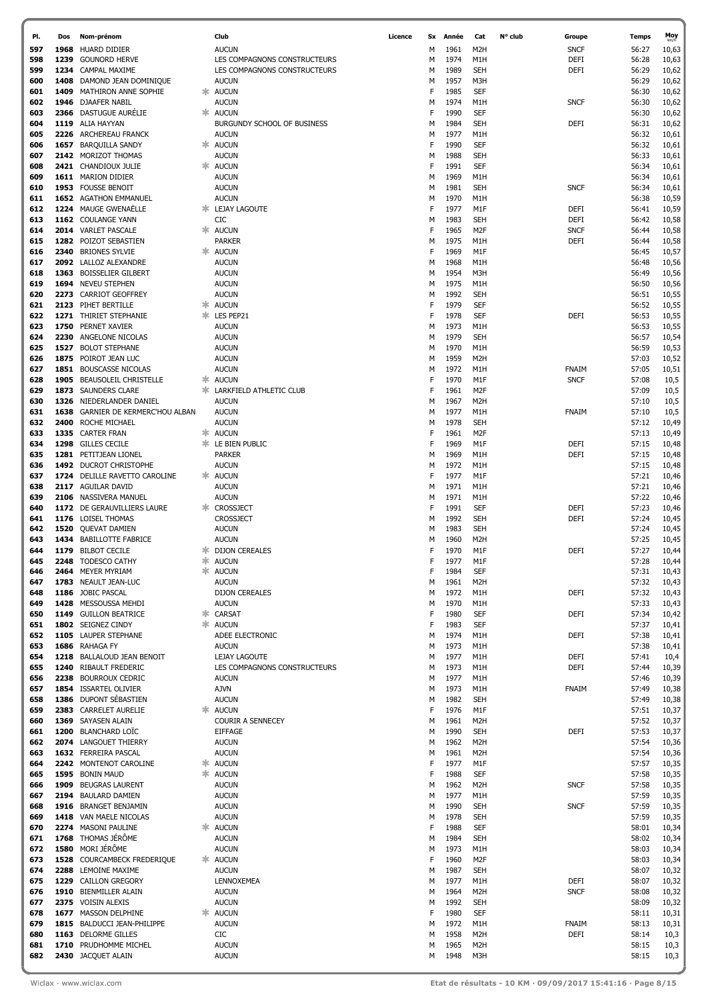| PI.        | Dos  | Nom-prénom                                      |    | Club                                         | Licence | Sx     | Année        | Cat                            | N° club | Groupe              | Temps          | Moy            |
|------------|------|-------------------------------------------------|----|----------------------------------------------|---------|--------|--------------|--------------------------------|---------|---------------------|----------------|----------------|
| 597        |      | 1968 HUARD DIDIER                               |    | <b>AUCUN</b>                                 |         | м      | 1961         | M <sub>2</sub> H               |         | <b>SNCF</b>         | 56:27          | 10,63          |
| 598        | 1239 | <b>GOUNORD HERVE</b>                            |    | LES COMPAGNONS CONSTRUCTEURS                 |         | М      | 1974         | M1H                            |         | DEFI                | 56:28          | 10,63          |
| 599        | 1234 | CAMPAL MAXIME                                   |    | LES COMPAGNONS CONSTRUCTEURS                 |         | M      | 1989         | <b>SEH</b>                     |         | DEFI                | 56:29          | 10,62          |
| 600        |      | 1408 DAMOND JEAN DOMINIQUE                      |    | <b>AUCUN</b>                                 |         | М      | 1957         | M3H                            |         |                     | 56:29          | 10,62          |
| 601<br>602 | 1409 | MATHIRON ANNE SOPHIE<br>1946 DJAAFER NABIL      | Ж. | <b>AUCUN</b><br><b>AUCUN</b>                 |         | F<br>М | 1985<br>1974 | <b>SEF</b><br>M1H              |         | <b>SNCF</b>         | 56:30<br>56:30 | 10,62<br>10,62 |
| 603        |      | 2366 DASTUGUE AURÉLIE                           | Ж. | <b>AUCUN</b>                                 |         | F      | 1990         | <b>SEF</b>                     |         |                     | 56:30          | 10,62          |
| 604        |      | 1119 ALIA HAYYAN                                |    | BURGUNDY SCHOOL OF BUSINESS                  |         | М      | 1984         | <b>SEH</b>                     |         | <b>DEFI</b>         | 56:31          | 10,62          |
| 605        |      | 2226 ARCHEREAU FRANCK                           |    | <b>AUCUN</b>                                 |         | М      | 1977         | M1H                            |         |                     | 56:32          | 10,61          |
| 606        |      | 1657 BARQUILLA SANDY                            |    | * AUCUN                                      |         | F      | 1990         | <b>SEF</b>                     |         |                     | 56:32          | 10,61          |
| 607        |      | 2142 MORIZOT THOMAS                             |    | <b>AUCUN</b>                                 |         | М      | 1988         | <b>SEH</b>                     |         |                     | 56:33          | 10,61          |
| 608        |      | 2421 CHANDIOUX JULIE                            |    | * AUCUN                                      |         | F      | 1991         | <b>SEF</b>                     |         |                     | 56:34          | 10,61          |
| 609        |      | 1611 MARION DIDIER                              |    | <b>AUCUN</b>                                 |         | М      | 1969         | M1H                            |         |                     | 56:34          | 10,61          |
| 610        |      | 1953 FOUSSE BENOIT                              |    | <b>AUCUN</b>                                 |         | М      | 1981         | <b>SEH</b>                     |         | <b>SNCF</b>         | 56:34          | 10,61          |
| 611        |      | 1652 AGATHON EMMANUEL                           |    | <b>AUCUN</b>                                 |         | М      | 1970         | M1H                            |         |                     | 56:38          | 10,59          |
| 612        |      | 1224 MAUGE GWENAËLLE<br>1162 COULANGE YANN      |    | <b>* LEJAY LAGOUTE</b><br>CIC                |         | F      | 1977<br>1983 | M1F<br><b>SEH</b>              |         | DEFI<br><b>DEFI</b> | 56:41<br>56:42 | 10,59          |
| 613<br>614 |      | 2014 VARLET PASCALE                             |    | <b>AUCUN</b>                                 |         | М<br>F | 1965         | M <sub>2F</sub>                |         | <b>SNCF</b>         | 56:44          | 10,58<br>10,58 |
| 615        |      | 1282 POIZOT SEBASTIEN                           |    | <b>PARKER</b>                                |         | М      | 1975         | M1H                            |         | <b>DEFI</b>         | 56:44          | 10,58          |
| 616        |      | 2340 BRIONES SYLVIE                             |    | * AUCUN                                      |         | F      | 1969         | M1F                            |         |                     | 56:45          | 10,57          |
| 617        |      | 2092 LALLOZ ALEXANDRE                           |    | <b>AUCUN</b>                                 |         | М      | 1968         | M1H                            |         |                     | 56:48          | 10,56          |
| 618        |      | 1363 BOISSELIER GILBERT                         |    | <b>AUCUN</b>                                 |         | М      | 1954         | M3H                            |         |                     | 56:49          | 10,56          |
| 619        |      | 1694 NEVEU STEPHEN                              |    | <b>AUCUN</b>                                 |         | М      | 1975         | M1H                            |         |                     | 56:50          | 10,56          |
| 620        |      | 2273 CARRIOT GEOFFREY                           |    | <b>AUCUN</b>                                 |         | М      | 1992         | <b>SEH</b>                     |         |                     | 56:51          | 10,55          |
| 621        |      | 2123 PIHET BERTILLE                             | ж. | <b>AUCUN</b>                                 |         | F      | 1979         | <b>SEF</b>                     |         |                     | 56:52          | 10,55          |
| 622        |      | 1271 THIRIET STEPHANIE                          |    | <b>* LES PEP21</b>                           |         | F      | 1978         | <b>SEF</b>                     |         | <b>DEFI</b>         | 56:53          | 10,55          |
| 623        |      | 1750 PERNET XAVIER                              |    | <b>AUCUN</b>                                 |         | М      | 1973         | M1H                            |         |                     | 56:53          | 10,55          |
| 624<br>625 |      | 2230 ANGELONE NICOLAS<br>1527 BOLOT STEPHANE    |    | <b>AUCUN</b><br><b>AUCUN</b>                 |         | М<br>М | 1979<br>1970 | <b>SEH</b><br>M1H              |         |                     | 56:57<br>56:59 | 10,54<br>10,53 |
| 626        |      | 1875 POIROT JEAN LUC                            |    | <b>AUCUN</b>                                 |         | м      | 1959         | M <sub>2</sub> H               |         |                     | 57:03          | 10,52          |
| 627        |      | 1851 BOUSCASSE NICOLAS                          |    | AUCUN                                        |         | м      | 1972         | M1H                            |         | FNAIM               | 57:05          | 10,51          |
| 628        |      | 1905 BEAUSOLEIL CHRISTELLE                      | Ж. | AUCUN                                        |         | F      | 1970         | M1F                            |         | <b>SNCF</b>         | 57:08          | 10,5           |
| 629        |      | 1873 SAUNDERS CLARE                             | ж. | LARKFIELD ATHLETIC CLUB                      |         | F      | 1961         | M2F                            |         |                     | 57:09          | 10,5           |
| 630        |      | 1326 NIEDERLANDER DANIEL                        |    | AUCUN                                        |         | м      | 1967         | M <sub>2</sub> H               |         |                     | 57:10          | 10,5           |
| 631        |      | 1638 GARNIER DE KERMERC'HOU ALBAN               |    | <b>AUCUN</b>                                 |         | м      | 1977         | M1H                            |         | FNAIM               | 57:10          | 10,5           |
| 632        |      | 2400 ROCHE MICHAEL                              |    | <b>AUCUN</b>                                 |         | м      | 1978         | <b>SEH</b>                     |         |                     | 57:12          | 10,49          |
| 633        |      | 1335 CARTER FRAN                                | ж. | <b>AUCUN</b>                                 |         | F      | 1961         | M <sub>2F</sub>                |         |                     | 57:13          | 10,49          |
| 634        |      | 1298 GILLES CECILE                              | ж. | LE BIEN PUBLIC                               |         | F      | 1969         | M1F                            |         | DEFI                | 57:15          | 10,48          |
| 635<br>636 |      | 1281 PETITJEAN LIONEL<br>1492 DUCROT CHRISTOPHE |    | <b>PARKER</b>                                |         | м<br>м | 1969<br>1972 | M1H<br>M1H                     |         | <b>DEFI</b>         | 57:15          | 10,48          |
| 637        |      | 1724 DELILLE RAVETTO CAROLINE                   |    | <b>AUCUN</b><br><b>AUCUN</b>                 |         | F      | 1977         | M1F                            |         |                     | 57:15<br>57:21 | 10,48<br>10,46 |
| 638        |      | 2117 AGUILAR DAVID                              |    | <b>AUCUN</b>                                 |         | м      | 1971         | M1H                            |         |                     | 57:21          | 10,46          |
| 639        |      | 2106 NASSIVERA MANUEL                           |    | <b>AUCUN</b>                                 |         | м      | 1971         | M1H                            |         |                     | 57:22          | 10,46          |
| 640        |      | 1172 DE GERAUVILLIERS LAURE                     |    | * CROSSJECT                                  |         | F      | 1991         | <b>SEF</b>                     |         | DEFI                | 57:23          | 10,46          |
| 641        |      | 1176 LOISEL THOMAS                              |    | <b>CROSSJECT</b>                             |         | м      | 1992         | <b>SEH</b>                     |         | DEFI                | 57:24          | 10,45          |
| 642        |      | 1520 QUEVAT DAMIEN                              |    | <b>AUCUN</b>                                 |         | М      | 1983         | <b>SEH</b>                     |         |                     | 57:24          | 10,45          |
| 643        |      | 1434 BABILLOTTE FABRICE                         |    | <b>AUCUN</b>                                 |         | м      | 1960         | M <sub>2</sub> H               |         |                     | 57:25          | 10,45          |
| 644        |      | 1179 BILBOT CECILE                              |    | <b>* DIJON CEREALES</b>                      |         | F      | 1970         | M1F                            |         | <b>DEFI</b>         | 57:27          | 10,44          |
| 645        |      | 2248 TODESCO CATHY                              |    | <b>* AUCUN</b>                               |         | F      | 1977         | M1F                            |         |                     | 57:28          | 10,44          |
| 646<br>647 |      | 2464 MEYER MYRIAM<br>1783 NEAULT JEAN-LUC       |    | <b>* AUCUN</b><br><b>AUCUN</b>               |         | F<br>М | 1984<br>1961 | <b>SEF</b><br>M <sub>2</sub> H |         |                     | 57:31<br>57:32 | 10,43<br>10,43 |
| 648        |      | 1186 JOBIC PASCAL                               |    | <b>DIJON CEREALES</b>                        |         | М      | 1972         | M1H                            |         | <b>DEFI</b>         | 57:32          | 10,43          |
| 649        |      | 1428 MESSOUSSA MEHDI                            |    | <b>AUCUN</b>                                 |         | М      | 1970         | M1H                            |         |                     | 57:33          | 10,43          |
| 650        |      | 1149 GUILLON BEATRICE                           | Ж. | CARSAT                                       |         | F      | 1980         | <b>SEF</b>                     |         | <b>DEFI</b>         | 57:34          | 10,42          |
| 651        |      | 1802 SEIGNEZ CINDY                              |    | <b>AUCUN</b>                                 |         | F      | 1983         | <b>SEF</b>                     |         |                     | 57:37          | 10,41          |
| 652        |      | 1105 LAUPER STEPHANE                            |    | ADEE ELECTRONIC                              |         | М      | 1974         | M1H                            |         | <b>DEFI</b>         | 57:38          | 10,41          |
| 653        |      | 1686 RAHAGA FY                                  |    | <b>AUCUN</b>                                 |         | М      | 1973         | M1H                            |         |                     | 57:38          | 10,41          |
| 654        |      | 1218 BALLALOUD JEAN BENOIT                      |    | LEJAY LAGOUTE                                |         | М      | 1977         | M1H                            |         | DEFI                | 57:41          | 10,4           |
| 655<br>656 |      | 1240 RIBAULT FREDERIC<br>2238 BOURROUX CEDRIC   |    | LES COMPAGNONS CONSTRUCTEURS<br><b>AUCUN</b> |         | М<br>М | 1973<br>1977 | M1H<br>M1H                     |         | <b>DEFI</b>         | 57:44<br>57:46 | 10,39<br>10,39 |
| 657        |      | 1854 ISSARTEL OLIVIER                           |    | <b>AJVN</b>                                  |         | М      | 1973         | M1H                            |         | <b>FNAIM</b>        | 57:49          | 10,38          |
| 658        |      | 1386 DUPONT SÉBASTIEN                           |    | <b>AUCUN</b>                                 |         | М      | 1982         | <b>SEH</b>                     |         |                     | 57:49          | 10,38          |
| 659        |      | 2383 CARRELET AURELIE                           |    | <b>AUCUN</b>                                 |         | F      | 1976         | M1F                            |         |                     | 57:51          | 10,37          |
| 660        |      | 1369 SAYASEN ALAIN                              |    | COURIR A SENNECEY                            |         | М      | 1961         | M <sub>2</sub> H               |         |                     | 57:52          | 10,37          |
| 661        |      | 1200 BLANCHARD LOÏC                             |    | <b>EIFFAGE</b>                               |         | М      | 1990         | <b>SEH</b>                     |         | DEFI                | 57:53          | 10,37          |
| 662        |      | 2074 LANGOUET THIERRY                           |    | <b>AUCUN</b>                                 |         | М      | 1962         | M <sub>2</sub> H               |         |                     | 57:54          | 10,36          |
| 663        |      | 1632 FERREIRA PASCAL                            |    | <b>AUCUN</b>                                 |         | М      | 1961         | M <sub>2</sub> H               |         |                     | 57:54          | 10,36          |
| 664        |      | 2242 MONTENOT CAROLINE                          | *  | <b>AUCUN</b>                                 |         | F      | 1977         | M1F                            |         |                     | 57:57          | 10,35          |
| 665<br>666 |      | 1595 BONIN MAUD<br>1909 BEUGRAS LAURENT         |    | <b>AUCUN</b><br><b>AUCUN</b>                 |         | F<br>М | 1988<br>1962 | <b>SEF</b><br>M <sub>2</sub> H |         | <b>SNCF</b>         | 57:58<br>57:58 | 10,35<br>10,35 |
| 667        |      | 2194 BAULARD DAMIEN                             |    | <b>AUCUN</b>                                 |         | М      | 1977         | M1H                            |         |                     | 57:59          | 10,35          |
| 668        |      | 1916 BRANGET BENJAMIN                           |    | <b>AUCUN</b>                                 |         | М      | 1990         | <b>SEH</b>                     |         | <b>SNCF</b>         | 57:59          | 10,35          |
| 669        |      | 1418 VAN MAELE NICOLAS                          |    | <b>AUCUN</b>                                 |         | М      | 1978         | <b>SEH</b>                     |         |                     | 57:59          | 10,35          |
| 670        |      | 2274 MASONI PAULINE                             |    | <b>AUCUN</b>                                 |         | F      | 1988         | <b>SEF</b>                     |         |                     | 58:01          | 10,34          |
| 671        |      | 1768 THOMAS JÉRÔME                              |    | <b>AUCUN</b>                                 |         | М      | 1984         | <b>SEH</b>                     |         |                     | 58:02          | 10,34          |
| 672        |      | 1580 MORI JÉRÔME                                |    | <b>AUCUN</b>                                 |         | М      | 1973         | M1H                            |         |                     | 58:03          | 10,34          |
| 673        |      | 1528 COURCAMBECK FREDERIQUE                     |    | * AUCUN                                      |         | F      | 1960         | M2F                            |         |                     | 58:03          | 10,34          |
| 674        |      | 2288 LEMOINE MAXIME                             |    | <b>AUCUN</b>                                 |         | М      | 1987         | <b>SEH</b>                     |         |                     | 58:07          | 10,32          |
| 675        |      | 1229 CAILLON GREGORY                            |    | LENNOXEMEA                                   |         | М      | 1977         | M1H                            |         | DEFI                | 58:07          | 10,32          |
| 676<br>677 |      | 1910 BIENMILLER ALAIN<br>2375 VOISIN ALEXIS     |    | <b>AUCUN</b><br><b>AUCUN</b>                 |         | М<br>М | 1964<br>1992 | M <sub>2</sub> H<br><b>SEH</b> |         | <b>SNCF</b>         | 58:08<br>58:09 | 10,32<br>10,32 |
| 678        |      | 1677 MASSON DELPHINE                            |    | <b>AUCUN</b>                                 |         | F      | 1980         | <b>SEF</b>                     |         |                     | 58:11          | 10,31          |
| 679        |      | 1815 BALDUCCI JEAN-PHILIPPE                     |    | <b>AUCUN</b>                                 |         | М      | 1972         | M1H                            |         | <b>FNAIM</b>        | 58:13          | 10,31          |
| 680        |      | 1163 DELORME GILLES                             |    | CIC                                          |         | М      | 1958         | M <sub>2</sub> H               |         | DEFI                | 58:14          | 10,3           |
| 681        |      | 1710 PRUDHOMME MICHEL                           |    | <b>AUCUN</b>                                 |         | М      | 1965         | M <sub>2</sub> H               |         |                     | 58:15          | 10,3           |
| 682        |      | 2430 JACQUET ALAIN                              |    | <b>AUCUN</b>                                 |         | м      | 1948         | M3H                            |         |                     | 58:15          | 10,3           |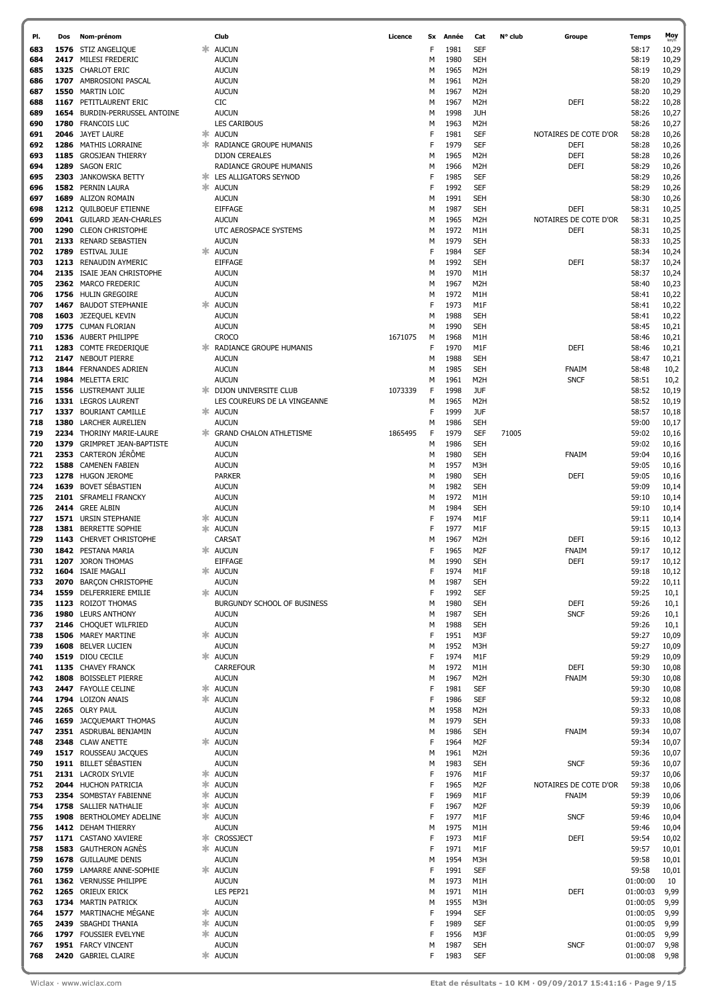| PI. | Dos | Nom-prénom                    |    | Club                           | Licence | <b>Sx</b> | Année | Cat              | N° club | Groupe                | Temps    | Moy<br><sub>km/h</sub> |
|-----|-----|-------------------------------|----|--------------------------------|---------|-----------|-------|------------------|---------|-----------------------|----------|------------------------|
| 683 |     | 1576 STIZ ANGELIQUE           | ж  | <b>AUCUN</b>                   |         | F         | 1981  | SEF              |         |                       | 58:17    | 10,29                  |
| 684 |     | 2417 MILESI FREDERIC          |    | <b>AUCUN</b>                   |         | М         | 1980  | <b>SEH</b>       |         |                       | 58:19    | 10,29                  |
| 685 |     | 1325 CHARLOT ERIC             |    | <b>AUCUN</b>                   |         | М         | 1965  | M <sub>2</sub> H |         |                       | 58:19    | 10,29                  |
| 686 |     | 1707 AMBROSIONI PASCAL        |    | <b>AUCUN</b>                   |         | М         | 1961  | M2H              |         |                       | 58:20    | 10,29                  |
| 687 |     | 1550 MARTIN LOIC              |    | <b>AUCUN</b>                   |         | М         | 1967  | M <sub>2</sub> H |         |                       | 58:20    | 10,29                  |
| 688 |     | 1167 PETITLAURENT ERIC        |    | CIC                            |         | М         | 1967  | M2H              |         | <b>DEFI</b>           | 58:22    | 10,28                  |
| 689 |     | 1654 BURDIN-PERRUSSEL ANTOINE |    | <b>AUCUN</b>                   |         | м         | 1998  | <b>JUH</b>       |         |                       | 58:26    | 10,27                  |
| 690 |     | 1780 FRANCOIS LUC             |    | <b>LES CARIBOUS</b>            |         | М         | 1963  | M <sub>2</sub> H |         |                       | 58:26    | 10,27                  |
|     |     |                               |    |                                |         |           |       |                  |         |                       |          |                        |
| 691 |     | 2046 JAYET LAURE              | ж. | <b>AUCUN</b>                   |         | F         | 1981  | SEF              |         | NOTAIRES DE COTE D'OR | 58:28    | 10,26                  |
| 692 |     | 1286 MATHIS LORRAINE          | ж  | RADIANCE GROUPE HUMANIS        |         | F         | 1979  | SEF              |         | DEFI                  | 58:28    | 10,26                  |
| 693 |     | 1185 GROSJEAN THIERRY         |    | <b>DIJON CEREALES</b>          |         | М         | 1965  | M <sub>2</sub> H |         | <b>DEFI</b>           | 58:28    | 10,26                  |
| 694 |     | 1289 SAGON ERIC               |    | RADIANCE GROUPE HUMANIS        |         | М         | 1966  | M2H              |         | <b>DEFI</b>           | 58:29    | 10,26                  |
| 695 |     | 2303 JANKOWSKA BETTY          | ж  | LES ALLIGATORS SEYNOD          |         | F         | 1985  | SEF              |         |                       | 58:29    | 10,26                  |
| 696 |     | 1582 PERNIN LAURA             | ж  | <b>AUCUN</b>                   |         | F         | 1992  | <b>SEF</b>       |         |                       | 58:29    | 10,26                  |
| 697 |     | 1689 ALIZON ROMAIN            |    | <b>AUCUN</b>                   |         | М         | 1991  | <b>SEH</b>       |         |                       | 58:30    | 10,26                  |
| 698 |     | 1212 QUILBOEUF ETIENNE        |    | <b>EIFFAGE</b>                 |         | М         | 1987  | <b>SEH</b>       |         | <b>DEFI</b>           | 58:31    | 10,25                  |
| 699 |     | 2041 GUILARD JEAN-CHARLES     |    | <b>AUCUN</b>                   |         | М         | 1965  | M <sub>2</sub> H |         | NOTAIRES DE COTE D'OR | 58:31    | 10,25                  |
| 700 |     | 1290 CLEON CHRISTOPHE         |    | UTC AEROSPACE SYSTEMS          |         | м         | 1972  | M1H              |         | <b>DEFI</b>           | 58:31    |                        |
|     |     |                               |    |                                |         |           |       |                  |         |                       |          | 10,25                  |
| 701 |     | 2133 RENARD SEBASTIEN         |    | AUCUN                          |         | М         | 1979  | <b>SEH</b>       |         |                       | 58:33    | 10,25                  |
| 702 |     | 1789 ESTIVAL JULIE            | ж  | <b>AUCUN</b>                   |         | F         | 1984  | <b>SEF</b>       |         |                       | 58:34    | 10,24                  |
| 703 |     | 1213 RENAUDIN AYMERIC         |    | <b>EIFFAGE</b>                 |         | м         | 1992  | <b>SEH</b>       |         | <b>DEFI</b>           | 58:37    | 10,24                  |
| 704 |     | 2135 ISAIE JEAN CHRISTOPHE    |    | <b>AUCUN</b>                   |         | м         | 1970  | M1H              |         |                       | 58:37    | 10,24                  |
| 705 |     | 2362 MARCO FREDERIC           |    | <b>AUCUN</b>                   |         | М         | 1967  | M <sub>2</sub> H |         |                       | 58:40    | 10,23                  |
| 706 |     | 1756 HULIN GREGOIRE           |    | <b>AUCUN</b>                   |         | м         | 1972  | M1H              |         |                       | 58:41    | 10,22                  |
| 707 |     | 1467 BAUDOT STEPHANIE         | ж  | <b>AUCUN</b>                   |         | F         | 1973  | M1F              |         |                       | 58:41    | 10,22                  |
| 708 |     | 1603 JEZEQUEL KEVIN           |    | <b>AUCUN</b>                   |         | м         | 1988  | <b>SEH</b>       |         |                       | 58:41    | 10,22                  |
| 709 |     | 1775 CUMAN FLORIAN            |    | <b>AUCUN</b>                   |         | М         | 1990  | <b>SEH</b>       |         |                       | 58:45    | 10,21                  |
| 710 |     | 1536 AUBERT PHILIPPE          |    | <b>CROCO</b>                   | 1671075 | м         | 1968  | M1H              |         |                       | 58:46    | 10,21                  |
| 711 |     | 1283 COMTE FREDERIQUE         | ж  | RADIANCE GROUPE HUMANIS        |         | F         | 1970  | M1F              |         | <b>DEFI</b>           | 58:46    | 10,21                  |
| 712 |     | 2147 NEBOUT PIERRE            |    | <b>AUCUN</b>                   |         |           | 1988  | <b>SEH</b>       |         |                       | 58:47    |                        |
|     |     |                               |    |                                |         | М         |       |                  |         |                       |          | 10,21                  |
| 713 |     | 1844 FERNANDES ADRIEN         |    | <b>AUCUN</b>                   |         | м         | 1985  | <b>SEH</b>       |         | FNAIM                 | 58:48    | 10,2                   |
| 714 |     | 1984 MELETTA ERIC             |    | <b>AUCUN</b>                   |         | М         | 1961  | M <sub>2</sub> H |         | <b>SNCF</b>           | 58:51    | 10,2                   |
| 715 |     | 1556 LUSTREMANT JULIE         | ж  | DIJON UNIVERSITE CLUB          | 1073339 | F         | 1998  | <b>JUF</b>       |         |                       | 58:52    | 10,19                  |
| 716 |     | 1331 LEGROS LAURENT           |    | LES COUREURS DE LA VINGEANNE   |         | М         | 1965  | M2H              |         |                       | 58:52    | 10,19                  |
| 717 |     | 1337 BOURIANT CAMILLE         |    | * AUCUN                        |         | F         | 1999  | <b>JUF</b>       |         |                       | 58:57    | 10,18                  |
| 718 |     | 1380 LARCHER AURELIEN         |    | <b>AUCUN</b>                   |         | М         | 1986  | <b>SEH</b>       |         |                       | 59:00    | 10,17                  |
| 719 |     | 2234 THORINY MARIE-LAURE      | ж  | <b>GRAND CHALON ATHLETISME</b> | 1865495 | F         | 1979  | <b>SEF</b>       | 71005   |                       | 59:02    | 10,16                  |
| 720 |     | 1379 GRIMPRET JEAN-BAPTISTE   |    | <b>AUCUN</b>                   |         | М         | 1986  | <b>SEH</b>       |         |                       | 59:02    | 10,16                  |
| 721 |     | 2353 CARTERON JÉRÔME          |    | <b>AUCUN</b>                   |         | м         | 1980  | <b>SEH</b>       |         | FNAIM                 | 59:04    | 10,16                  |
| 722 |     | 1588 CAMENEN FABIEN           |    | <b>AUCUN</b>                   |         | М         | 1957  | M3H              |         |                       | 59:05    | 10,16                  |
| 723 |     | 1278 HUGON JEROME             |    |                                |         |           |       |                  |         |                       |          |                        |
|     |     |                               |    | <b>PARKER</b>                  |         | М         | 1980  | <b>SEH</b>       |         | <b>DEFI</b>           | 59:05    | 10,16                  |
| 724 |     | 1639 BOVET SÉBASTIEN          |    | <b>AUCUN</b>                   |         | м         | 1982  | <b>SEH</b>       |         |                       | 59:09    | 10,14                  |
| 725 |     | 2101 SFRAMELI FRANCKY         |    | <b>AUCUN</b>                   |         | М         | 1972  | M1H              |         |                       | 59:10    | 10,14                  |
| 726 |     | 2414 GREE ALBIN               |    | <b>AUCUN</b>                   |         | М         | 1984  | <b>SEH</b>       |         |                       | 59:10    | 10,14                  |
| 727 |     | 1571 URSIN STEPHANIE          | Ж  | <b>AUCUN</b>                   |         | F         | 1974  | M1F              |         |                       | 59:11    | 10,14                  |
| 728 |     | 1381 BERRETTE SOPHIE          |    | <b>AUCUN</b>                   |         | F         | 1977  | M1F              |         |                       | 59:15    | 10,13                  |
| 729 |     | 1143 CHERVET CHRISTOPHE       |    | CARSAT                         |         | м         | 1967  | M2H              |         | <b>DEFI</b>           | 59:16    | 10,12                  |
| 730 |     | 1842 PESTANA MARIA            |    | <b>AUCUN</b>                   |         |           | 1965  | M <sub>2</sub> F |         | FNAIM                 | 59:17    | 10,12                  |
| 731 |     | 1207 JORON THOMAS             |    | <b>EIFFAGE</b>                 |         | м         | 1990  | <b>SEH</b>       |         | <b>DEFI</b>           | 59:17    | 10,12                  |
| 732 |     | 1604 ISAIE MAGALI             |    | <b>AUCUN</b>                   |         | F         | 1974  | M1F              |         |                       | 59:18    | 10,12                  |
| 733 |     | 2070 BARÇON CHRISTOPHE        |    | <b>AUCUN</b>                   |         | М         | 1987  | <b>SEH</b>       |         |                       | 59:22    | 10,11                  |
| 734 |     | 1559 DELFERRIERE EMILIE       |    | <b>AUCUN</b>                   |         | F         | 1992  | <b>SEF</b>       |         |                       | 59:25    |                        |
|     |     |                               |    |                                |         |           |       |                  |         |                       |          | 10,1                   |
| 735 |     | 1123 ROIZOT THOMAS            |    | BURGUNDY SCHOOL OF BUSINESS    |         | М         | 1980  | <b>SEH</b>       |         | <b>DEFI</b>           | 59:26    | 10,1                   |
| 736 |     | 1980 LEURS ANTHONY            |    | <b>AUCUN</b>                   |         | М         | 1987  | <b>SEH</b>       |         | <b>SNCF</b>           | 59:26    | 10,1                   |
| 737 |     | 2146 CHOQUET WILFRIED         |    | <b>AUCUN</b>                   |         | М         | 1988  | <b>SEH</b>       |         |                       | 59:26    | 10,1                   |
| 738 |     | 1506 MAREY MARTINE            |    | <b>AUCUN</b>                   |         | F         | 1951  | M3F              |         |                       | 59:27    | 10,09                  |
| 739 |     | 1608 BELVER LUCIEN            |    | <b>AUCUN</b>                   |         | М         | 1952  | M3H              |         |                       | 59:27    | 10,09                  |
| 740 |     | 1519 DIOU CECILE              |    | * AUCUN                        |         | F         | 1974  | M1F              |         |                       | 59:29    | 10,09                  |
| 741 |     | 1135 CHAVEY FRANCK            |    | <b>CARREFOUR</b>               |         | М         | 1972  | M1H              |         | DEFI                  | 59:30    | 10,08                  |
| 742 |     | 1808 BOISSELET PIERRE         |    | <b>AUCUN</b>                   |         | М         | 1967  | M2H              |         | FNAIM                 | 59:30    | 10,08                  |
| 743 |     | 2447 FAYOLLE CELINE           | ∗  | <b>AUCUN</b>                   |         | F         | 1981  | <b>SEF</b>       |         |                       | 59:30    | 10,08                  |
| 744 |     | 1794 LOIZON ANAIS             | ж. | <b>AUCUN</b>                   |         | F         | 1986  | <b>SEF</b>       |         |                       | 59:32    | 10,08                  |
| 745 |     | 2265 OLRY PAUL                |    | <b>AUCUN</b>                   |         | М         | 1958  | M <sub>2</sub> H |         |                       | 59:33    | 10,08                  |
| 746 |     | 1659 JACQUEMART THOMAS        |    | <b>AUCUN</b>                   |         | М         | 1979  | <b>SEH</b>       |         |                       | 59:33    | 10,08                  |
| 747 |     | 2351 ASDRUBAL BENJAMIN        |    | <b>AUCUN</b>                   |         | М         | 1986  | <b>SEH</b>       |         | FNAIM                 | 59:34    | 10,07                  |
| 748 |     | 2348 CLAW ANETTE              |    | <b>AUCUN</b>                   |         | F         | 1964  | M <sub>2F</sub>  |         |                       | 59:34    | 10,07                  |
|     |     |                               |    |                                |         |           |       |                  |         |                       |          |                        |
| 749 |     | 1517 ROUSSEAU JACQUES         |    | <b>AUCUN</b>                   |         | М         | 1961  | M <sub>2</sub> H |         |                       | 59:36    | 10,07                  |
| 750 |     | 1911 BILLET SÉBASTIEN         |    | <b>AUCUN</b>                   |         | М         | 1983  | <b>SEH</b>       |         | <b>SNCF</b>           | 59:36    | 10,07                  |
| 751 |     | 2131 LACROIX SYLVIE           | ∗  | <b>AUCUN</b>                   |         | F         | 1976  | M1F              |         |                       | 59:37    | 10,06                  |
| 752 |     | 2044 HUCHON PATRICIA          | ∗  | <b>AUCUN</b>                   |         | F         | 1965  | M <sub>2F</sub>  |         | NOTAIRES DE COTE D'OR | 59:38    | 10,06                  |
| 753 |     | 2354 SOMBSTAY FABIENNE        | ∗  | <b>AUCUN</b>                   |         | F         | 1969  | M1F              |         | <b>FNAIM</b>          | 59:39    | 10,06                  |
| 754 |     | 1758 SALLIER NATHALIE         | ∗  | <b>AUCUN</b>                   |         | F         | 1967  | M <sub>2F</sub>  |         |                       | 59:39    | 10,06                  |
| 755 |     | 1908 BERTHOLOMEY ADELINE      | ж. | <b>AUCUN</b>                   |         | F         | 1977  | M1F              |         | <b>SNCF</b>           | 59:46    | 10,04                  |
| 756 |     | 1412 DEHAM THIERRY            |    | <b>AUCUN</b>                   |         | М         | 1975  | M1H              |         |                       | 59:46    | 10,04                  |
| 757 |     | 1171 CASTANO XAVIERE          | 氺  | CROSSJECT                      |         | F         | 1973  | M1F              |         | <b>DEFI</b>           | 59:54    | 10,02                  |
| 758 |     | 1583 GAUTHERON AGNÈS          |    | * AUCUN                        |         | F         | 1971  | M1F              |         |                       | 59:57    | 10,01                  |
| 759 |     | 1678 GUILLAUME DENIS          |    | <b>AUCUN</b>                   |         | М         | 1954  | M3H              |         |                       | 59:58    | 10,01                  |
| 760 |     | 1759 LAMARRE ANNE-SOPHIE      |    | * AUCUN                        |         | F         | 1991  | <b>SEF</b>       |         |                       | 59:58    | 10,01                  |
| 761 |     | 1362 VERNUSSE PHILIPPE        |    | <b>AUCUN</b>                   |         | М         | 1973  | M1H              |         |                       | 01:00:00 | 10                     |
|     |     |                               |    |                                |         |           |       |                  |         |                       |          |                        |
| 762 |     | 1265 ORIEUX ERICK             |    | LES PEP21                      |         | М         | 1971  | M1H              |         | DEFI                  | 01:00:03 | 9,99                   |
| 763 |     | 1734 MARTIN PATRICK           |    | <b>AUCUN</b>                   |         | М         | 1955  | M3H              |         |                       | 01:00:05 | 9,99                   |
| 764 |     | 1577 MARTINACHE MÉGANE        | ж. | <b>AUCUN</b>                   |         | F         | 1994  | <b>SEF</b>       |         |                       | 01:00:05 | 9,99                   |
| 765 |     | 2439 SBAGHDI THANIA           | ∗  | <b>AUCUN</b>                   |         | F         | 1989  | <b>SEF</b>       |         |                       | 01:00:05 | 9,99                   |
| 766 |     | 1797 FOUSSIER EVELYNE         |    | <b>☀ AUCUN</b>                 |         | F         | 1956  | M3F              |         |                       | 01:00:05 | 9,99                   |
| 767 |     | 1951 FARCY VINCENT            |    | <b>AUCUN</b>                   |         | М         | 1987  | <b>SEH</b>       |         | <b>SNCF</b>           | 01:00:07 | 9,98                   |
| 768 |     | 2420 GABRIEL CLAIRE           |    | <b>☀ AUCUN</b>                 |         | F         | 1983  | <b>SEF</b>       |         |                       | 01:00:08 | 9,98                   |
|     |     |                               |    |                                |         |           |       |                  |         |                       |          |                        |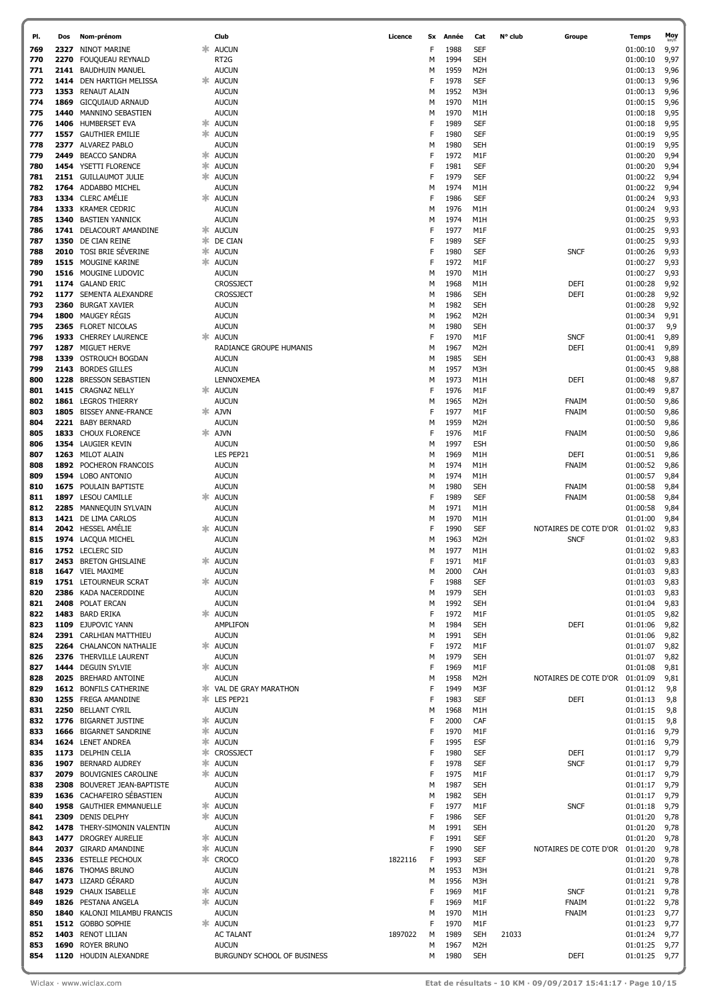| PI. | Dos  | Nom-prénom                    |    | Club                          | Licence | Sx | Année | Cat              | N° club | Groupe                         | Temps    | Moy  |
|-----|------|-------------------------------|----|-------------------------------|---------|----|-------|------------------|---------|--------------------------------|----------|------|
| 769 | 2327 | NINOT MARINE                  |    | <b>AUCUN</b>                  |         | F  | 1988  | SEF              |         |                                | 01:00:10 | 9,97 |
| 770 | 2270 | FOUQUEAU REYNALD              |    | RT <sub>2G</sub>              |         | м  | 1994  | <b>SEH</b>       |         |                                | 01:00:10 | 9,97 |
| 771 | 2141 | <b>BAUDHUIN MANUEL</b>        |    | <b>AUCUN</b>                  |         | м  | 1959  | M <sub>2</sub> H |         |                                | 01:00:13 | 9,96 |
| 772 | 1414 | DEN HARTIGH MELISSA           | 氺  | <b>AUCUN</b>                  |         | F  | 1978  | <b>SEF</b>       |         |                                | 01:00:13 | 9,96 |
| 773 | 1353 | <b>RENAUT ALAIN</b>           |    | <b>AUCUN</b>                  |         | М  | 1952  | M3H              |         |                                | 01:00:13 | 9,96 |
| 774 | 1869 | <b>GICQUIAUD ARNAUD</b>       |    | <b>AUCUN</b>                  |         | м  | 1970  | M1H              |         |                                | 01:00:15 | 9,96 |
| 775 | 1440 | MANNINO SEBASTIEN             |    | <b>AUCUN</b>                  |         | м  | 1970  | M1H              |         |                                | 01:00:18 | 9,95 |
|     |      |                               |    |                               |         | F  |       |                  |         |                                |          |      |
| 776 | 1406 | HUMBERSET EVA                 | ж. | <b>AUCUN</b>                  |         |    | 1989  | SEF              |         |                                | 01:00:18 | 9,95 |
| 777 | 1557 | <b>GAUTHIER EMILIE</b>        |    | * AUCUN                       |         | F  | 1980  | SEF              |         |                                | 01:00:19 | 9,95 |
| 778 | 2377 | <b>ALVAREZ PABLO</b>          |    | <b>AUCUN</b>                  |         | м  | 1980  | <b>SEH</b>       |         |                                | 01:00:19 | 9,95 |
| 779 | 2449 | <b>BEACCO SANDRA</b>          |    | * AUCUN                       |         | F  | 1972  | M1F              |         |                                | 01:00:20 | 9,94 |
| 780 |      | 1454 YSETTI FLORENCE          | ж. | <b>AUCUN</b>                  |         | F  | 1981  | SEF              |         |                                | 01:00:20 | 9,94 |
| 781 |      | 2151 GUILLAUMOT JULIE         |    | * AUCUN                       |         | F  | 1979  | SEF              |         |                                | 01:00:22 | 9,94 |
| 782 | 1764 | ADDABBO MICHEL                |    | <b>AUCUN</b>                  |         | м  | 1974  | M1H              |         |                                | 01:00:22 | 9,94 |
| 783 |      | 1334 CLERC AMÉLIE             |    | <b>AUCUN</b>                  |         | F  | 1986  | SEF              |         |                                | 01:00:24 | 9,93 |
| 784 | 1333 | <b>KRAMER CEDRIC</b>          |    | <b>AUCUN</b>                  |         | м  | 1976  | M1H              |         |                                | 01:00:24 | 9,93 |
| 785 | 1340 | <b>BASTIEN YANNICK</b>        |    | <b>AUCUN</b>                  |         | М  | 1974  | M1H              |         |                                | 01:00:25 | 9,93 |
|     |      |                               |    |                               |         |    |       |                  |         |                                |          |      |
| 786 | 1741 | DELACOURT AMANDINE            | ж. | <b>AUCUN</b>                  |         | F  | 1977  | M1F              |         |                                | 01:00:25 | 9,93 |
| 787 | 1350 | DE CIAN REINE                 |    | <b><del></del></b> DE CIAN    |         | F  | 1989  | SEF              |         |                                | 01:00:25 | 9,93 |
| 788 | 2010 | TOSI BRIE SÉVERINE            | ж. | <b>AUCUN</b>                  |         | F  | 1980  | SEF              |         | <b>SNCF</b>                    | 01:00:26 | 9,93 |
| 789 | 1515 | MOUGINE KARINE                |    | <b>☀ AUCUN</b>                |         | F  | 1972  | M1F              |         |                                | 01:00:27 | 9,93 |
| 790 | 1516 | MOUGINE LUDOVIC               |    | <b>AUCUN</b>                  |         | М  | 1970  | M1H              |         |                                | 01:00:27 | 9,93 |
| 791 |      | 1174 GALAND ERIC              |    | CROSSJECT                     |         | м  | 1968  | M <sub>1</sub> H |         | DEFI                           | 01:00:28 | 9,92 |
| 792 | 1177 | SEMENTA ALEXANDRE             |    | CROSSJECT                     |         | м  | 1986  | <b>SEH</b>       |         | DEFI                           | 01:00:28 | 9,92 |
| 793 | 2360 | <b>BURGAT XAVIER</b>          |    | <b>AUCUN</b>                  |         | м  | 1982  | <b>SEH</b>       |         |                                | 01:00:28 | 9,92 |
| 794 | 1800 | MAUGEY RÉGIS                  |    | <b>AUCUN</b>                  |         | М  | 1962  | M <sub>2</sub> H |         |                                | 01:00:34 | 9,91 |
| 795 |      | 2365 FLORET NICOLAS           |    | <b>AUCUN</b>                  |         | м  | 1980  | <b>SEH</b>       |         |                                | 01:00:37 | 9,9  |
|     |      |                               |    |                               |         |    |       |                  |         |                                |          |      |
| 796 | 1933 | <b>CHERREY LAURENCE</b>       | ж. | <b>AUCUN</b>                  |         | F  | 1970  | M1F              |         | <b>SNCF</b>                    | 01:00:41 | 9,89 |
| 797 | 1287 | <b>MIGUET HERVE</b>           |    | RADIANCE GROUPE HUMANIS       |         | М  | 1967  | M <sub>2</sub> H |         | DEFI                           | 01:00:41 | 9,89 |
| 798 | 1339 | <b>OSTROUCH BOGDAN</b>        |    | <b>AUCUN</b>                  |         | М  | 1985  | <b>SEH</b>       |         |                                | 01:00:43 | 9,88 |
| 799 | 2143 | <b>BORDES GILLES</b>          |    | <b>AUCUN</b>                  |         | М  | 1957  | M3H              |         |                                | 01:00:45 | 9,88 |
| 800 | 1228 | <b>BRESSON SEBASTIEN</b>      |    | LENNOXEMEA                    |         | М  | 1973  | M1H              |         | DEFI                           | 01:00:48 | 9,87 |
| 801 |      | 1415 CRAGNAZ NELLY            | ∗  | <b>AUCUN</b>                  |         | F  | 1976  | M1F              |         |                                | 01:00:49 | 9,87 |
| 802 |      | 1861 LEGROS THIERRY           |    | <b>AUCUN</b>                  |         | М  | 1965  | M <sub>2</sub> H |         | FNAIM                          | 01:00:50 | 9,86 |
| 803 | 1805 | <b>BISSEY ANNE-FRANCE</b>     |    | AJVN                          |         | F  | 1977  | M1F              |         | FNAIM                          | 01:00:50 | 9,86 |
| 804 | 2221 | <b>BABY BERNARD</b>           |    | <b>AUCUN</b>                  |         | М  | 1959  | M <sub>2</sub> H |         |                                | 01:00:50 | 9,86 |
|     |      |                               |    |                               |         |    |       |                  |         |                                |          |      |
| 805 |      | 1833 CHOUX FLORENCE           | Ж. | <b>AJVN</b>                   |         | F  | 1976  | M1F              |         | FNAIM                          | 01:00:50 | 9,86 |
| 806 |      | 1354 LAUGIER KEVIN            |    | <b>AUCUN</b>                  |         | М  | 1997  | ESH              |         |                                | 01:00:50 | 9,86 |
| 807 |      | 1263 MILOT ALAIN              |    | LES PEP21                     |         | М  | 1969  | M <sub>1</sub> H |         | DEFI                           | 01:00:51 | 9,86 |
| 808 |      | 1892 POCHERON FRANCOIS        |    | <b>AUCUN</b>                  |         | М  | 1974  | M1H              |         | <b>FNAIM</b>                   | 01:00:52 | 9,86 |
| 809 |      | 1594 LOBO ANTONIO             |    | <b>AUCUN</b>                  |         | М  | 1974  | M1H              |         |                                | 01:00:57 | 9,84 |
| 810 | 1675 | POULAIN BAPTISTE              |    | <b>AUCUN</b>                  |         | М  | 1980  | <b>SEH</b>       |         | <b>FNAIM</b>                   | 01:00:58 | 9,84 |
| 811 | 1897 | <b>LESOU CAMILLE</b>          |    | <b>AUCUN</b>                  |         | F  | 1989  | SEF              |         | FNAIM                          | 01:00:58 | 9,84 |
| 812 | 2285 | MANNEQUIN SYLVAIN             |    | <b>AUCUN</b>                  |         | М  | 1971  | M1H              |         |                                | 01:00:58 | 9,84 |
|     |      |                               |    |                               |         |    | 1970  |                  |         |                                |          |      |
| 813 |      | 1421 DE LIMA CARLOS           |    | <b>AUCUN</b>                  |         | М  |       | M1H              |         |                                | 01:01:00 | 9,84 |
| 814 |      | 2042 HESSEL AMÉLIE            |    | <b>AUCUN</b>                  |         | F  | 1990  | SEF              |         | NOTAIRES DE COTE D'OR          | 01:01:02 | 9,83 |
| 815 |      | 1974 LACOUA MICHEL            |    | <b>AUCUN</b>                  |         | М  | 1963  | M <sub>2</sub> H |         | <b>SNCF</b>                    | 01:01:02 | 9,83 |
| 816 |      | 1752 LECLERC SID              |    | <b>AUCUN</b>                  |         | м  | 1977  | M1H              |         |                                | 01:01:02 | 9,83 |
| 817 |      | 2453 BRETON GHISLAINE         | ж. | <b>AUCUN</b>                  |         | F  | 1971  | M <sub>1</sub> F |         |                                | 01:01:03 | 9,83 |
| 818 |      | 1647 VIEL MAXIME              |    | <b>AUCUN</b>                  |         | м  | 2000  | CAH              |         |                                | 01:01:03 | 9,83 |
| 819 |      | 1751 LETOURNEUR SCRAT         |    | <b>AUCUN</b>                  |         | F  | 1988  | <b>SEF</b>       |         |                                | 01:01:03 | 9,83 |
| 820 | 2386 | KADA NACERDDINE               |    | <b>AUCUN</b>                  |         | М  | 1979  | <b>SEH</b>       |         |                                | 01:01:03 | 9,83 |
| 821 | 2408 | POLAT ERCAN                   |    | <b>AUCUN</b>                  |         | М  | 1992  | <b>SEH</b>       |         |                                | 01:01:04 | 9,83 |
| 822 |      | 1483 BARD ERIKA               | Ж. | <b>AUCUN</b>                  |         | F  | 1972  | M1F              |         |                                | 01:01:05 | 9,82 |
|     |      |                               |    | <b>AMPLIFON</b>               |         | М  | 1984  | <b>SEH</b>       |         | <b>DEFI</b>                    |          |      |
| 823 | 1109 | EJUPOVIC YANN                 |    |                               |         |    |       |                  |         |                                | 01:01:06 | 9,82 |
| 824 |      | 2391 CARLHIAN MATTHIEU        |    | <b>AUCUN</b>                  |         | М  | 1991  | <b>SEH</b>       |         |                                | 01:01:06 | 9,82 |
| 825 |      | 2264 CHALANCON NATHALIE       |    | * AUCUN                       |         | F  | 1972  | M1F              |         |                                | 01:01:07 | 9,82 |
| 826 |      | 2376 THERVILLE LAURENT        |    | <b>AUCUN</b>                  |         | М  | 1979  | <b>SEH</b>       |         |                                | 01:01:07 | 9,82 |
| 827 | 1444 | DEGUIN SYLVIE                 | ∗. | <b>AUCUN</b>                  |         | F  | 1969  | M1F              |         |                                | 01:01:08 | 9,81 |
| 828 | 2025 | <b>BREHARD ANTOINE</b>        |    | <b>AUCUN</b>                  |         | М  | 1958  | M <sub>2</sub> H |         | NOTAIRES DE COTE D'OR 01:01:09 |          | 9,81 |
| 829 |      | 1612 BONFILS CATHERINE        |    | <b>* VAL DE GRAY MARATHON</b> |         | F  | 1949  | M3F              |         |                                | 01:01:12 | 9,8  |
| 830 | 1255 | FREGA AMANDINE                |    | * LES PEP21                   |         | F  | 1983  | SEF              |         | DEFI                           | 01:01:13 | 9,8  |
| 831 | 2250 | <b>BELLANT CYRIL</b>          |    | <b>AUCUN</b>                  |         | М  | 1968  | M1H              |         |                                | 01:01:15 | 9,8  |
| 832 | 1776 | <b>BIGARNET JUSTINE</b>       | ж. | <b>AUCUN</b>                  |         | F  | 2000  | CAF              |         |                                | 01:01:15 | 9,8  |
| 833 | 1666 | <b>BIGARNET SANDRINE</b>      | ж. | <b>AUCUN</b>                  |         | F  | 1970  | M1F              |         |                                | 01:01:16 | 9,79 |
| 834 |      | 1624 LENET ANDREA             | 氺  | <b>AUCUN</b>                  |         | F  | 1995  | <b>ESF</b>       |         |                                | 01:01:16 | 9,79 |
| 835 |      | 1173 DELPHIN CELIA            | 氺  | <b>CROSSJECT</b>              |         | F  | 1980  | <b>SEF</b>       |         | DEFI                           | 01:01:17 | 9,79 |
|     |      |                               | 氺  |                               |         |    |       |                  |         |                                |          |      |
| 836 | 1907 | <b>BERNARD AUDREY</b>         |    | <b>AUCUN</b>                  |         | F  | 1978  | SEF              |         | <b>SNCF</b>                    | 01:01:17 | 9,79 |
| 837 | 2079 | <b>BOUVIGNIES CAROLINE</b>    | Ж. | <b>AUCUN</b>                  |         | F  | 1975  | M1F              |         |                                | 01:01:17 | 9,79 |
| 838 | 2308 | <b>BOUVERET JEAN-BAPTISTE</b> |    | <b>AUCUN</b>                  |         | М  | 1987  | <b>SEH</b>       |         |                                | 01:01:17 | 9,79 |
| 839 | 1636 | CACHAFEIRO SÉBASTIEN          |    | <b>AUCUN</b>                  |         | М  | 1982  | <b>SEH</b>       |         |                                | 01:01:17 | 9,79 |
| 840 |      | 1958 GAUTHIER EMMANUELLE      | ж. | <b>AUCUN</b>                  |         | F  | 1977  | M1F              |         | <b>SNCF</b>                    | 01:01:18 | 9,79 |
| 841 | 2309 | <b>DENIS DELPHY</b>           | ∗. | <b>AUCUN</b>                  |         | F  | 1986  | <b>SEF</b>       |         |                                | 01:01:20 | 9,78 |
| 842 |      | 1478 THERY-SIMONIN VALENTIN   |    | <b>AUCUN</b>                  |         | М  | 1991  | <b>SEH</b>       |         |                                | 01:01:20 | 9,78 |
| 843 |      | 1477 DROGREY AURELIE          | ж. | <b>AUCUN</b>                  |         | F  | 1991  | SEF              |         |                                | 01:01:20 | 9,78 |
| 844 |      | 2037 GIRARD AMANDINE          | 氺  | <b>AUCUN</b>                  |         | F  | 1990  | SEF              |         | NOTAIRES DE COTE D'OR 01:01:20 |          | 9,78 |
| 845 | 2336 | <b>ESTELLE PECHOUX</b>        | ж  | <b>CROCO</b>                  | 1822116 | F  | 1993  | SEF              |         |                                | 01:01:20 | 9,78 |
| 846 |      | 1876 THOMAS BRUNO             |    | <b>AUCUN</b>                  |         | М  | 1953  | M3H              |         |                                | 01:01:21 | 9,78 |
|     |      |                               |    |                               |         |    |       |                  |         |                                |          |      |
| 847 |      | 1473 LIZARD GÉRARD            |    | <b>AUCUN</b>                  |         | М  | 1956  | M3H              |         |                                | 01:01:21 | 9,78 |
| 848 |      | 1929 CHAUX ISABELLE           | ж. | <b>AUCUN</b>                  |         | F  | 1969  | M1F              |         | <b>SNCF</b>                    | 01:01:21 | 9,78 |
| 849 |      | 1826 PESTANA ANGELA           | ∗. | <b>AUCUN</b>                  |         | F  | 1969  | M1F              |         | FNAIM                          | 01:01:22 | 9,78 |
| 850 | 1840 | KALONJI MILAMBU FRANCIS       |    | <b>AUCUN</b>                  |         | М  | 1970  | M1H              |         | FNAIM                          | 01:01:23 | 9,77 |
| 851 |      | 1512 GOBBO SOPHIE             | ж. | <b>AUCUN</b>                  |         | F  | 1970  | M1F              |         |                                | 01:01:23 | 9,77 |
| 852 | 1403 | <b>RENOT LILIAN</b>           |    | <b>AC TALANT</b>              | 1897022 | М  | 1989  | <b>SEH</b>       | 21033   |                                | 01:01:24 | 9,77 |
| 853 | 1690 | ROYER BRUNO                   |    | <b>AUCUN</b>                  |         | М  | 1967  | M <sub>2</sub> H |         |                                | 01:01:25 | 9,77 |
| 854 |      | 1120 HOUDIN ALEXANDRE         |    | BURGUNDY SCHOOL OF BUSINESS   |         | М  | 1980  | <b>SEH</b>       |         | DEFI                           | 01:01:25 | 9,77 |
|     |      |                               |    |                               |         |    |       |                  |         |                                |          |      |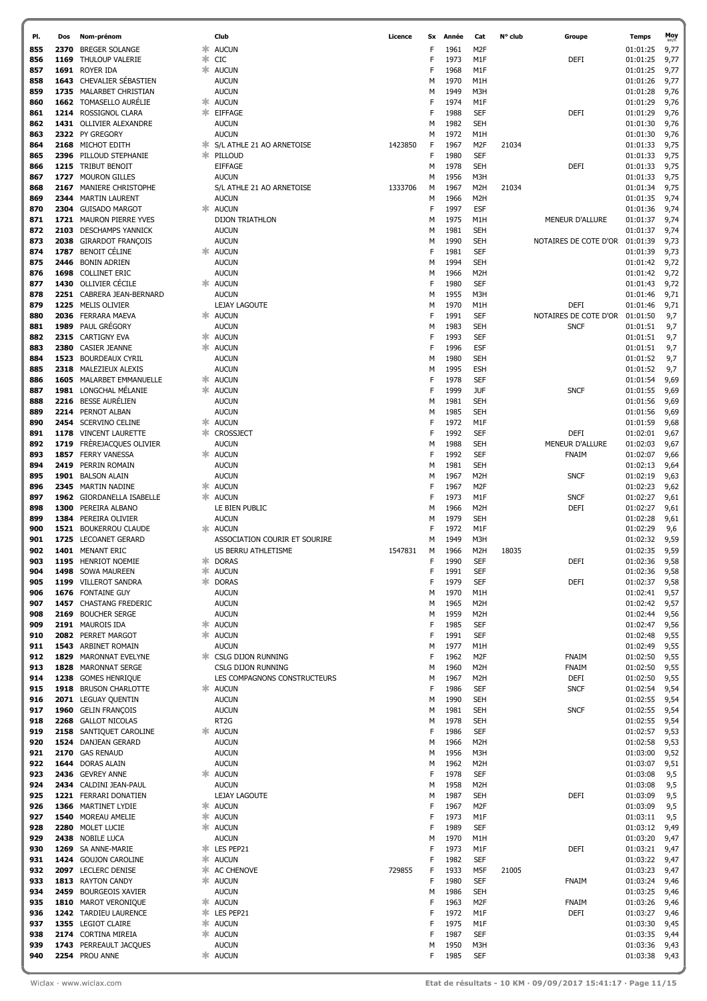| PI. | Dos  | Nom-prénom                  |    | Club                          | Licence | Sx | Année | Cat              | N° club | Groupe                 | Temps         | Moy  |
|-----|------|-----------------------------|----|-------------------------------|---------|----|-------|------------------|---------|------------------------|---------------|------|
| 855 | 2370 | <b>BREGER SOLANGE</b>       | ∗  | <b>AUCUN</b>                  |         | F  | 1961  | M <sub>2</sub> F |         |                        | 01:01:25      | 9,77 |
|     |      |                             | ∗  |                               |         |    |       |                  |         |                        |               |      |
| 856 | 1169 | THULOUP VALERIE             |    | <b>CIC</b>                    |         | F  | 1973  | M1F              |         | DEFI                   | 01:01:25      | 9,77 |
| 857 |      | 1691 ROYER IDA              |    | <b>☀ AUCUN</b>                |         | F  | 1968  | M1F              |         |                        | 01:01:25      | 9,77 |
| 858 | 1643 | CHEVALIER SÉBASTIEN         |    | <b>AUCUN</b>                  |         | м  | 1970  | M1H              |         |                        | 01:01:26      | 9,77 |
| 859 | 1735 | MALARBET CHRISTIAN          |    | <b>AUCUN</b>                  |         | м  | 1949  | M3H              |         |                        | 01:01:28      | 9,76 |
| 860 |      | 1662 TOMASELLO AURELIE      | ж. | <b>AUCUN</b>                  |         | F  | 1974  | M1F              |         |                        | 01:01:29      | 9,76 |
| 861 |      | 1214 ROSSIGNOL CLARA        |    | * EIFFAGE                     |         | F  | 1988  | <b>SEF</b>       |         | DEFI                   | 01:01:29      | 9,76 |
|     |      |                             |    |                               |         |    |       |                  |         |                        |               |      |
| 862 |      | 1431 OLLIVIER ALEXANDRE     |    | <b>AUCUN</b>                  |         | м  | 1982  | <b>SEH</b>       |         |                        | 01:01:30      | 9,76 |
| 863 |      | 2322 PY GREGORY             |    | <b>AUCUN</b>                  |         | м  | 1972  | M1H              |         |                        | 01:01:30      | 9,76 |
| 864 | 2168 | MICHOT EDITH                | ж. | S/L ATHLE 21 AO ARNETOISE     | 1423850 | F  | 1967  | M <sub>2</sub> F | 21034   |                        | 01:01:33      | 9,75 |
| 865 |      | 2396 PILLOUD STEPHANIE      |    | * PILLOUD                     |         | F  | 1980  | <b>SEF</b>       |         |                        | 01:01:33      | 9,75 |
| 866 |      | 1215 TRIBUT BENOIT          |    | <b>EIFFAGE</b>                |         | М  | 1978  | <b>SEH</b>       |         | DEFI                   | 01:01:33      | 9,75 |
|     |      |                             |    |                               |         |    |       |                  |         |                        |               |      |
| 867 |      | 1727 MOURON GILLES          |    | <b>AUCUN</b>                  |         | М  | 1956  | M3H              |         |                        | 01:01:33      | 9,75 |
| 868 | 2167 | MANIERE CHRISTOPHE          |    | S/L ATHLE 21 AO ARNETOISE     | 1333706 | М  | 1967  | M <sub>2</sub> H | 21034   |                        | 01:01:34      | 9,75 |
| 869 | 2344 | <b>MARTIN LAURENT</b>       |    | <b>AUCUN</b>                  |         | М  | 1966  | M <sub>2</sub> H |         |                        | 01:01:35      | 9,74 |
| 870 | 2304 | <b>GUISADO MARGOT</b>       |    | <b>AUCUN</b>                  |         | F  | 1997  | <b>ESF</b>       |         |                        | 01:01:36      | 9,74 |
| 871 |      | 1721 MAURON PIERRE YVES     |    | <b>DIJON TRIATHLON</b>        |         | М  | 1975  | M1H              |         | MENEUR D'ALLURE        | 01:01:37      | 9,74 |
|     |      |                             |    |                               |         |    |       |                  |         |                        |               |      |
| 872 | 2103 | <b>DESCHAMPS YANNICK</b>    |    | <b>AUCUN</b>                  |         | м  | 1981  | <b>SEH</b>       |         |                        | 01:01:37      | 9,74 |
| 873 | 2038 | <b>GIRARDOT FRANÇOIS</b>    |    | <b>AUCUN</b>                  |         | М  | 1990  | <b>SEH</b>       |         | NOTAIRES DE COTE D'OR  | 01:01:39      | 9,73 |
| 874 | 1787 | BENOIT CÉLINE               | ж. | <b>AUCUN</b>                  |         | F  | 1981  | <b>SEF</b>       |         |                        | 01:01:39      | 9,73 |
| 875 | 2446 | <b>BONIN ADRIEN</b>         |    | <b>AUCUN</b>                  |         | м  | 1994  | <b>SEH</b>       |         |                        | 01:01:42      | 9,72 |
| 876 | 1698 | <b>COLLINET ERIC</b>        |    | <b>AUCUN</b>                  |         | м  | 1966  | M <sub>2</sub> H |         |                        | 01:01:42      | 9,72 |
|     |      |                             |    |                               |         |    |       |                  |         |                        |               |      |
| 877 |      | 1430 OLLIVIER CÉCILE        | ж  | <b>AUCUN</b>                  |         | F  | 1980  | <b>SEF</b>       |         |                        | 01:01:43      | 9,72 |
| 878 |      | 2251 CABRERA JEAN-BERNARD   |    | <b>AUCUN</b>                  |         | м  | 1955  | M3H              |         |                        | 01:01:46      | 9,71 |
| 879 | 1225 | <b>MELIS OLIVIER</b>        |    | <b>LEJAY LAGOUTE</b>          |         | М  | 1970  | M1H              |         | <b>DEFI</b>            | 01:01:46      | 9,71 |
| 880 | 2036 | FERRARA MAEVA               | ж. | <b>AUCUN</b>                  |         | F  | 1991  | <b>SEF</b>       |         | NOTAIRES DE COTE D'OR  | 01:01:50      | 9,7  |
| 881 | 1989 | PAUL GRÉGORY                |    | <b>AUCUN</b>                  |         | м  | 1983  | <b>SEH</b>       |         | <b>SNCF</b>            | 01:01:51      | 9,7  |
| 882 |      | 2315 CARTIGNY EVA           |    | * AUCUN                       |         | F  | 1993  | <b>SEF</b>       |         |                        | 01:01:51      |      |
|     |      |                             |    |                               |         |    |       |                  |         |                        |               | 9,7  |
| 883 | 2380 | <b>CASIER JEANNE</b>        |    | * AUCUN                       |         | F  | 1996  | <b>ESF</b>       |         |                        | 01:01:51      | 9,7  |
| 884 | 1523 | <b>BOURDEAUX CYRIL</b>      |    | <b>AUCUN</b>                  |         | м  | 1980  | <b>SEH</b>       |         |                        | 01:01:52      | 9,7  |
| 885 | 2318 | MALEZIEUX ALEXIS            |    | <b>AUCUN</b>                  |         | М  | 1995  | <b>ESH</b>       |         |                        | 01:01:52      | 9,7  |
| 886 | 1605 | MALARBET EMMANUELLE         |    | * AUCUN                       |         | F  | 1978  | <b>SEF</b>       |         |                        | 01:01:54      | 9,69 |
| 887 |      | 1981 LONGCHAL MÉLANIE       |    | * AUCUN                       |         | F  | 1999  | <b>JUF</b>       |         | <b>SNCF</b>            | 01:01:55      | 9,69 |
|     |      |                             |    |                               |         |    |       |                  |         |                        |               |      |
| 888 |      | 2216 BESSE AURÉLIEN         |    | <b>AUCUN</b>                  |         | м  | 1981  | <b>SEH</b>       |         |                        | 01:01:56      | 9,69 |
| 889 |      | 2214 PERNOT ALBAN           |    | <b>AUCUN</b>                  |         | М  | 1985  | <b>SEH</b>       |         |                        | 01:01:56      | 9,69 |
| 890 | 2454 | <b>SCERVINO CELINE</b>      |    | * AUCUN                       |         | F  | 1972  | M <sub>1</sub> F |         |                        | 01:01:59      | 9,68 |
| 891 | 1178 | <b>VINCENT LAURETTE</b>     |    | * CROSSJECT                   |         | F  | 1992  | <b>SEF</b>       |         | DEFI                   | 01:02:01      | 9,67 |
| 892 | 1719 | FRÈREJACQUES OLIVIER        |    | <b>AUCUN</b>                  |         | м  | 1988  | <b>SEH</b>       |         | <b>MENEUR D'ALLURE</b> | 01:02:03      | 9,67 |
|     |      |                             |    |                               |         |    |       |                  |         |                        |               |      |
| 893 | 1857 | <b>FERRY VANESSA</b>        |    | <b>* AUCUN</b>                |         | F  | 1992  | <b>SEF</b>       |         | <b>FNAIM</b>           | 01:02:07      | 9,66 |
| 894 | 2419 | PERRIN ROMAIN               |    | <b>AUCUN</b>                  |         | М  | 1981  | <b>SEH</b>       |         |                        | 01:02:13      | 9,64 |
| 895 |      | 1901 BALSON ALAIN           |    | <b>AUCUN</b>                  |         | М  | 1967  | M <sub>2</sub> H |         | <b>SNCF</b>            | 01:02:19      | 9,63 |
| 896 | 2345 | MARTIN NADINE               | ж. | <b>AUCUN</b>                  |         | F  | 1967  | M <sub>2</sub> F |         |                        | 01:02:23      | 9,62 |
| 897 | 1962 | <b>GIORDANELLA ISABELLE</b> |    | * AUCUN                       |         | F  | 1973  | M1F              |         | <b>SNCF</b>            | 01:02:27      | 9,61 |
|     | 1300 | PEREIRA ALBANO              |    | LE BIEN PUBLIC                |         |    | 1966  | M <sub>2</sub> H |         | <b>DEFI</b>            | 01:02:27      |      |
| 898 |      |                             |    |                               |         | М  |       |                  |         |                        |               | 9,61 |
| 899 | 1384 | PEREIRA OLIVIER             |    | <b>AUCUN</b>                  |         | м  | 1979  | <b>SEH</b>       |         |                        | 01:02:28      | 9,61 |
| 900 |      | 1521 BOUKERROU CLAUDE       |    | * AUCUN                       |         | F  | 1972  | M1F              |         |                        | 01:02:29      | 9,6  |
| 901 | 1725 | <b>LECOANET GERARD</b>      |    | ASSOCIATION COURIR ET SOURIRE |         | м  | 1949  | M3H              |         |                        | 01:02:32      | 9,59 |
| 902 |      | 1401 MENANT ERIC            |    | US BERRU ATHLETISME           | 1547831 | М  | 1966  | M <sub>2</sub> H | 18035   |                        | 01:02:35      | 9,59 |
| 903 | 1195 | <b>HENRIOT NOEMIE</b>       |    | <b>*</b> DORAS                |         | F  | 1990  | <b>SEF</b>       |         | <b>DEFI</b>            | 01:02:36      | 9,58 |
|     |      |                             |    |                               |         |    |       |                  |         |                        |               |      |
| 904 |      | 1498 SOWA MAUREEN           |    | <b>☀ AUCUN</b>                |         | F  | 1991  | SEF              |         |                        | 01:02:36      | 9,58 |
| 905 |      | 1199 VILLEROT SANDRA        |    | * DORAS                       |         | F  | 1979  | <b>SEF</b>       |         | <b>DEFI</b>            | 01:02:37      | 9,58 |
| 906 |      | 1676 FONTAINE GUY           |    | <b>AUCUN</b>                  |         | м  | 1970  | M1H              |         |                        | 01:02:41      | 9,57 |
| 907 |      | 1457 CHASTANG FREDERIC      |    | <b>AUCUN</b>                  |         | М  | 1965  | M <sub>2</sub> H |         |                        | 01:02:42      | 9,57 |
| 908 |      | 2169 BOUCHER SERGE          |    | <b>AUCUN</b>                  |         | М  | 1959  | M <sub>2</sub> H |         |                        | 01:02:44      | 9,56 |
| 909 |      | 2191 MAUROIS IDA            |    | <b>*</b> AUCUN                |         | F  | 1985  | <b>SEF</b>       |         |                        | 01:02:47      |      |
|     |      |                             |    |                               |         |    |       |                  |         |                        |               | 9,56 |
| 910 |      | 2082 PERRET MARGOT          |    | <b><del></del></b> AUCUN      |         | F  | 1991  | <b>SEF</b>       |         |                        | 01:02:48      | 9,55 |
| 911 |      | 1543 ARBINET ROMAIN         |    | <b>AUCUN</b>                  |         | м  | 1977  | M1H              |         |                        | 01:02:49      | 9,55 |
| 912 | 1829 | <b>MARONNAT EVELYNE</b>     |    | <b>* CSLG DIJON RUNNING</b>   |         | F  | 1962  | M <sub>2</sub> F |         | <b>FNAIM</b>           | 01:02:50      | 9,55 |
| 913 | 1828 | <b>MARONNAT SERGE</b>       |    | CSLG DIJON RUNNING            |         | М  | 1960  | M <sub>2</sub> H |         | FNAIM                  | 01:02:50      | 9,55 |
| 914 |      | 1238 GOMES HENRIQUE         |    | LES COMPAGNONS CONSTRUCTEURS  |         | М  | 1967  | M <sub>2</sub> H |         | DEFI                   | 01:02:50      | 9,55 |
| 915 |      | 1918 BRUSON CHARLOTTE       |    | <b>*</b> AUCUN                |         | F  | 1986  | <b>SEF</b>       |         | <b>SNCF</b>            | 01:02:54      | 9,54 |
|     |      |                             |    |                               |         |    |       |                  |         |                        |               |      |
| 916 |      | 2071 LEGUAY QUENTIN         |    | <b>AUCUN</b>                  |         | М  | 1990  | <b>SEH</b>       |         |                        | 01:02:55      | 9,54 |
| 917 |      | 1960 GELIN FRANÇOIS         |    | <b>AUCUN</b>                  |         | М  | 1981  | <b>SEH</b>       |         | <b>SNCF</b>            | 01:02:55      | 9,54 |
| 918 |      | 2268 GALLOT NICOLAS         |    | RT <sub>2</sub> G             |         | М  | 1978  | <b>SEH</b>       |         |                        | 01:02:55      | 9,54 |
| 919 |      | 2158 SANTIQUET CAROLINE     |    | <b>AUCUN</b>                  |         | F  | 1986  | <b>SEF</b>       |         |                        | 01:02:57      | 9,53 |
| 920 |      | 1524 DANJEAN GERARD         |    | <b>AUCUN</b>                  |         | М  | 1966  | M <sub>2</sub> H |         |                        | 01:02:58      | 9,53 |
| 921 | 2170 | <b>GAS RENAUD</b>           |    | <b>AUCUN</b>                  |         | М  | 1956  | M3H              |         |                        | 01:03:00      | 9,52 |
|     |      |                             |    |                               |         |    |       |                  |         |                        |               |      |
| 922 |      | 1644 DORAS ALAIN            |    | <b>AUCUN</b>                  |         | М  | 1962  | M <sub>2</sub> H |         |                        | 01:03:07      | 9,51 |
| 923 |      | 2436 GEVREY ANNE            |    | <b>AUCUN</b>                  |         | F  | 1978  | <b>SEF</b>       |         |                        | 01:03:08      | 9,5  |
| 924 |      | 2434 CALDINI JEAN-PAUL      |    | <b>AUCUN</b>                  |         | М  | 1958  | M <sub>2</sub> H |         |                        | 01:03:08      | 9,5  |
| 925 |      | 1221 FERRARI DONATIEN       |    | LEJAY LAGOUTE                 |         | м  | 1987  | <b>SEH</b>       |         | DEFI                   | 01:03:09      | 9,5  |
| 926 |      | 1366 MARTINET LYDIE         |    | * AUCUN                       |         | F  | 1967  | M <sub>2F</sub>  |         |                        | 01:03:09      | 9,5  |
| 927 |      | 1540 MOREAU AMELIE          |    | <b>☀ AUCUN</b>                |         | F  | 1973  | M1F              |         |                        | 01:03:11      | 9,5  |
|     |      |                             |    |                               |         |    |       |                  |         |                        |               |      |
| 928 |      | 2280 MOLET LUCIE            |    | * AUCUN                       |         | F  | 1989  | <b>SEF</b>       |         |                        | 01:03:12      | 9,49 |
| 929 |      | 2438 NOBILE LUCA            |    | <b>AUCUN</b>                  |         | м  | 1970  | M1H              |         |                        | 01:03:20      | 9,47 |
| 930 |      | 1269 SA ANNE-MARIE          |    | * LES PEP21                   |         | F  | 1973  | M1F              |         | <b>DEFI</b>            | 01:03:21      | 9,47 |
| 931 |      | 1424 GOUJON CAROLINE        |    | <b>* AUCUN</b>                |         | F  | 1982  | <b>SEF</b>       |         |                        | 01:03:22      | 9,47 |
| 932 |      | 2097 LECLERC DENISE         |    | * AC CHENOVE                  | 729855  | F  | 1933  | M5F              | 21005   |                        | 01:03:23      | 9,47 |
| 933 |      | 1813 RAYTON CANDY           |    | * AUCUN                       |         | F  | 1980  | <b>SEF</b>       |         | <b>FNAIM</b>           | 01:03:24      | 9,46 |
|     |      |                             |    |                               |         |    |       |                  |         |                        |               |      |
| 934 |      | 2459 BOURGEOIS XAVIER       |    | <b>AUCUN</b>                  |         | М  | 1986  | <b>SEH</b>       |         |                        | 01:03:25      | 9,46 |
| 935 |      | 1810 MAROT VERONIQUE        |    | * AUCUN                       |         | F  | 1963  | M <sub>2</sub> F |         | FNAIM                  | 01:03:26      | 9,46 |
| 936 |      | 1242 TARDIEU LAURENCE       |    | * LES PEP21                   |         | F  | 1972  | M1F              |         | DEFI                   | 01:03:27      | 9,46 |
| 937 |      | 1355 LEGIOT CLAIRE          |    | * AUCUN                       |         | F  | 1975  | M1F              |         |                        | 01:03:30      | 9,45 |
| 938 |      | 2174 CORTINA MIREIA         |    | <b>☀ AUCUN</b>                |         | F  | 1987  | <b>SEF</b>       |         |                        | 01:03:35      | 9,44 |
| 939 | 1743 | PERREAULT JACQUES           |    | <b>AUCUN</b>                  |         | м  | 1950  | M3H              |         |                        | 01:03:36      | 9,43 |
|     |      |                             |    |                               |         |    |       |                  |         |                        |               |      |
| 940 |      | 2254 PROU ANNE              |    | * AUCUN                       |         | F  | 1985  | <b>SEF</b>       |         |                        | 01:03:38 9,43 |      |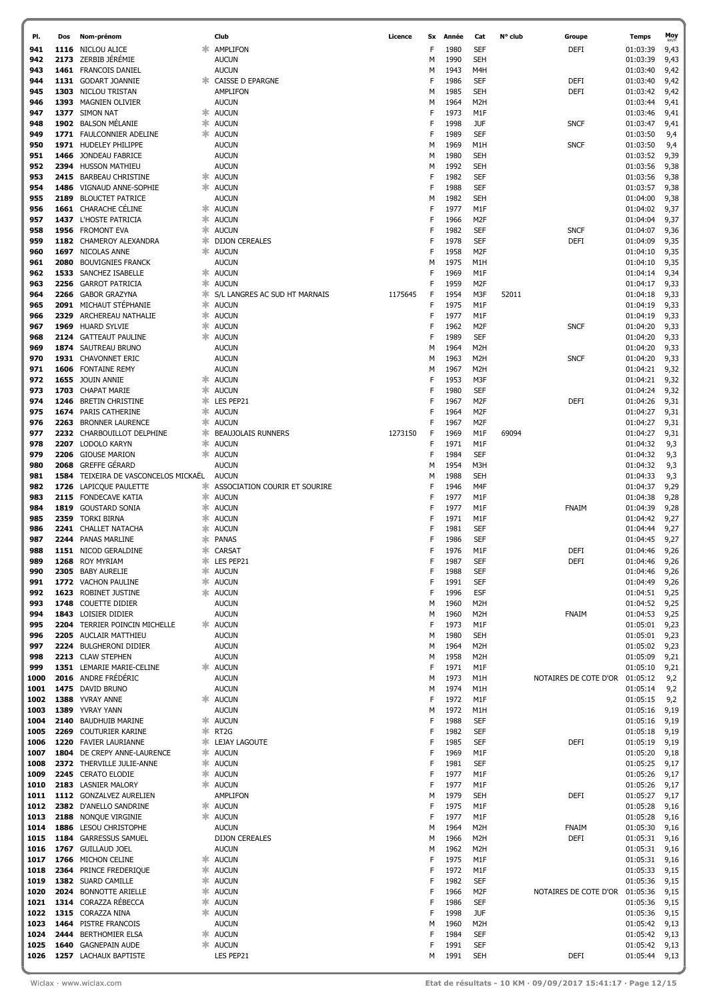| PI.          | Dos  | Nom-prénom                                          |          | Club                                      | Licence | Sx     | Année        | Cat                            | N° club | Groupe                | <b>Temps</b>         | Moy          |
|--------------|------|-----------------------------------------------------|----------|-------------------------------------------|---------|--------|--------------|--------------------------------|---------|-----------------------|----------------------|--------------|
| 941          | 1116 | NICLOU ALICE                                        |          | AMPLIFON                                  |         | F      | 1980         | <b>SEF</b>                     |         | <b>DEFI</b>           | 01:03:39             | 9,43         |
| 942          |      | 2173 ZERBIB JÉRÉMIE                                 |          | <b>AUCUN</b>                              |         | М      | 1990         | <b>SEH</b>                     |         |                       | 01:03:39             | 9,43         |
| 943          |      | 1461 FRANCOIS DANIEL                                |          | <b>AUCUN</b>                              |         | М      | 1943         | M4H                            |         |                       | 01:03:40             | 9,42         |
| 944          |      | 1131 GODART JOANNIE                                 |          | <b>* CAISSE D EPARGNE</b>                 |         | F      | 1986         | <b>SEF</b>                     |         | DEFI                  | 01:03:40             | 9,42         |
| 945          |      | 1303 NICLOU TRISTAN                                 |          | <b>AMPLIFON</b>                           |         | М      | 1985         | <b>SEH</b>                     |         | DEFI                  | 01:03:42             | 9,42         |
| 946          |      | 1393 MAGNIEN OLIVIER                                |          | <b>AUCUN</b>                              |         | М      | 1964         | M <sub>2</sub> H               |         |                       | 01:03:44             | 9,41         |
| 947          |      | 1377 SIMON NAT                                      |          | * AUCUN                                   |         | F<br>F | 1973         | M1F                            |         |                       | 01:03:46             | 9,41         |
| 948<br>949   |      | 1902 BALSON MELANIE<br>1771 FAULCONNIER ADELINE     | ж.       | * AUCUN                                   |         | F      | 1998<br>1989 | <b>JUF</b><br><b>SEF</b>       |         | <b>SNCF</b>           | 01:03:47             | 9,41         |
| 950          |      | 1971 HUDELEY PHILIPPE                               |          | <b>AUCUN</b><br><b>AUCUN</b>              |         | М      | 1969         | M1H                            |         | <b>SNCF</b>           | 01:03:50<br>01:03:50 | 9,4<br>9,4   |
| 951          | 1466 | JONDEAU FABRICE                                     |          | <b>AUCUN</b>                              |         | М      | 1980         | <b>SEH</b>                     |         |                       | 01:03:52             | 9,39         |
| 952          |      | 2394 HUSSON MATHIEU                                 |          | <b>AUCUN</b>                              |         | М      | 1992         | <b>SEH</b>                     |         |                       | 01:03:56             | 9,38         |
| 953          |      | 2415 BARBEAU CHRISTINE                              | ∗.       | <b>AUCUN</b>                              |         | F      | 1982         | <b>SEF</b>                     |         |                       | 01:03:56             | 9,38         |
| 954          | 1486 | VIGNAUD ANNE-SOPHIE                                 |          | * AUCUN                                   |         | F      | 1988         | SEF                            |         |                       | 01:03:57             | 9,38         |
| 955          | 2189 | <b>BLOUCTET PATRICE</b>                             |          | <b>AUCUN</b>                              |         | М      | 1982         | <b>SEH</b>                     |         |                       | 01:04:00             | 9,38         |
| 956          |      | 1661 CHARACHE CÉLINE                                |          | <b><del></del></b> AUCUN                  |         | F      | 1977         | M1F                            |         |                       | 01:04:02             | 9,37         |
| 957          |      | 1437 L'HOSTE PATRICIA                               | ж.       | <b>AUCUN</b>                              |         | F      | 1966         | M <sub>2</sub> F               |         |                       | 01:04:04             | 9,37         |
| 958          |      | 1956 FROMONT EVA                                    |          | * AUCUN                                   |         | F      | 1982         | <b>SEF</b>                     |         | <b>SNCF</b>           | 01:04:07             | 9,36         |
| 959          |      | 1182 CHAMEROY ALEXANDRA                             | 氺        | <b>DIJON CEREALES</b>                     |         | F      | 1978         | <b>SEF</b>                     |         | <b>DEFI</b>           | 01:04:09             | 9,35         |
| 960          |      | 1697 NICOLAS ANNE                                   |          | * AUCUN                                   |         | F      | 1958         | M <sub>2</sub> F               |         |                       | 01:04:10             | 9,35         |
| 961          | 2080 | <b>BOUVIGNIES FRANCK</b>                            |          | <b>AUCUN</b>                              |         | м      | 1975         | M1H                            |         |                       | 01:04:10             | 9,35         |
| 962<br>963   | 2256 | 1533 SANCHEZ ISABELLE<br><b>GARROT PATRICIA</b>     | ∗.<br>氺  | <b>AUCUN</b><br><b>AUCUN</b>              |         | F<br>F | 1969<br>1959 | M1F<br>M <sub>2F</sub>         |         |                       | 01:04:14<br>01:04:17 | 9,34         |
| 964          | 2266 | <b>GABOR GRAZYNA</b>                                | ж.       | S/L LANGRES AC SUD HT MARNAIS             | 1175645 | F      | 1954         | M3F                            | 52011   |                       | 01:04:18             | 9,33<br>9,33 |
| 965          |      | 2091 MICHAUT STÉPHANIE                              | ж.       | <b>AUCUN</b>                              |         | F      | 1975         | M1F                            |         |                       | 01:04:19             | 9,33         |
| 966          |      | 2329 ARCHEREAU NATHALIE                             |          | * AUCUN                                   |         | F      | 1977         | M1F                            |         |                       | 01:04:19             | 9,33         |
| 967          |      | 1969 HUARD SYLVIE                                   | ж.       | <b>AUCUN</b>                              |         | F      | 1962         | M <sub>2</sub> F               |         | <b>SNCF</b>           | 01:04:20             | 9,33         |
| 968          |      | 2124 GATTEAUT PAULINE                               |          | <b><del></del></b> AUCUN                  |         | F      | 1989         | <b>SEF</b>                     |         |                       | 01:04:20             | 9,33         |
| 969          |      | 1874 SAUTREAU BRUNO                                 |          | <b>AUCUN</b>                              |         | м      | 1964         | M <sub>2</sub> H               |         |                       | 01:04:20             | 9,33         |
| 970          |      | 1931 CHAVONNET ERIC                                 |          | <b>AUCUN</b>                              |         | М      | 1963         | M <sub>2</sub> H               |         | <b>SNCF</b>           | 01:04:20             | 9,33         |
| 971          |      | 1606 FONTAINE REMY                                  |          | <b>AUCUN</b>                              |         | М      | 1967         | M <sub>2</sub> H               |         |                       | 01:04:21             | 9,32         |
| 972          |      | 1655 JOUIN ANNIE                                    | ж.       | <b>AUCUN</b>                              |         | F      | 1953         | M3F                            |         |                       | 01:04:21             | 9,32         |
| 973          |      | 1703 CHAPAT MARIE                                   | ж.       | <b>AUCUN</b>                              |         | F      | 1980         | SEF                            |         |                       | 01:04:24             | 9,32         |
| 974          | 1246 | <b>BRETIN CHRISTINE</b>                             |          | * LES PEP21                               |         | F      | 1967         | M <sub>2F</sub>                |         | <b>DEFI</b>           | 01:04:26             | 9,31         |
| 975          |      | 1674 PARIS CATHERINE                                | ж.       | <b>AUCUN</b>                              |         | F      | 1964         | M <sub>2F</sub>                |         |                       | 01:04:27             | 9,31         |
| 976<br>977   |      | 2263 BRONNER LAURENCE<br>2232 CHARBOUILLOT DELPHINE | ж.<br>ж. | <b>AUCUN</b><br><b>BEAUJOLAIS RUNNERS</b> | 1273150 | F<br>F | 1967<br>1969 | M <sub>2F</sub><br>M1F         | 69094   |                       | 01:04:27<br>01:04:27 | 9,31         |
| 978          |      | 2207 LODOLO KARYN                                   | ж.       | <b>AUCUN</b>                              |         | F      | 1971         | M1F                            |         |                       | 01:04:32             | 9,31<br>9,3  |
| 979          | 2206 | <b>GIOUSE MARION</b>                                | ж.       | <b>AUCUN</b>                              |         | F      | 1984         | SEF                            |         |                       | 01:04:32             | 9,3          |
| 980          | 2068 | <b>GREFFE GÉRARD</b>                                |          | <b>AUCUN</b>                              |         | М      | 1954         | M3H                            |         |                       | 01:04:32             | 9,3          |
| 981          | 1584 | TEIXEIRA DE VASCONCELOS MICKAËL                     |          | <b>AUCUN</b>                              |         | M      | 1988         | <b>SEH</b>                     |         |                       | 01:04:33             | 9,3          |
| 982          | 1726 | LAPICQUE PAULETTE                                   | ж.       | ASSOCIATION COURIR ET SOURIRE             |         | F      | 1946         | M4F                            |         |                       | 01:04:37             | 9,29         |
| 983          |      | 2115 FONDECAVE KATIA                                | ж.       | <b>AUCUN</b>                              |         | F      | 1977         | M1F                            |         |                       | 01:04:38             | 9,28         |
| 984          | 1819 | <b>GOUSTARD SONIA</b>                               | ж.       | <b>AUCUN</b>                              |         | F      | 1977         | M1F                            |         | FNAIM                 | 01:04:39             | 9,28         |
| 985          |      | 2359 TORKI BIRNA                                    | ≭        | <b>AUCUN</b>                              |         | F      | 1971         | M1F                            |         |                       | 01:04:42             | 9,27         |
| 986          |      | 2241 CHALLET NATACHA                                | ≭        | <b>AUCUN</b>                              |         |        | 1981         | <b>SEF</b>                     |         |                       | 01:04:44             | 9,27         |
| 987          |      | 2244 PANAS MARLINE                                  |          | <b>PANAS</b>                              |         |        | 1986         | <b>SEF</b>                     |         |                       | 01:04:45             | 9,27         |
| 988          |      | 1151 NICOD GERALDINE                                |          | * CARSAT                                  |         | F      | 1976         | M1F                            |         | <b>DEFI</b>           | 01:04:46             | 9,26         |
| 989<br>990   |      | 1268 ROY MYRIAM<br>2305 BABY AURELIE                | ∗        | * LES PEP21<br><b>AUCUN</b>               |         | F<br>F | 1987<br>1988 | <b>SEF</b><br><b>SEF</b>       |         | <b>DEFI</b>           | 01:04:46<br>01:04:46 | 9,26<br>9,26 |
| 991          |      | 1772 VACHON PAULINE                                 |          | <b>AUCUN</b>                              |         | F      | 1991         | SEF                            |         |                       | 01:04:49             | 9,26         |
| 992          |      | 1623 ROBINET JUSTINE                                | ж.       | <b>AUCUN</b>                              |         | F      | 1996         | <b>ESF</b>                     |         |                       | 01:04:51             | 9,25         |
| 993          |      | 1748 COUETTE DIDIER                                 |          | <b>AUCUN</b>                              |         | М      | 1960         | M <sub>2</sub> H               |         |                       | 01:04:52             | 9,25         |
| 994          |      | 1843 LOISIER DIDIER                                 |          | <b>AUCUN</b>                              |         | М      | 1960         | M <sub>2</sub> H               |         | <b>FNAIM</b>          | 01:04:53             | 9,25         |
| 995          |      | 2204 TERRIER POINCIN MICHELLE                       |          | <b>AUCUN</b>                              |         | F      | 1973         | M1F                            |         |                       | 01:05:01             | 9,23         |
| 996          |      | 2205 AUCLAIR MATTHIEU                               |          | <b>AUCUN</b>                              |         | М      | 1980         | <b>SEH</b>                     |         |                       | 01:05:01             | 9,23         |
| 997          |      | 2224 BULGHERONI DIDIER                              |          | <b>AUCUN</b>                              |         | М      | 1964         | M <sub>2</sub> H               |         |                       | 01:05:02             | 9,23         |
| 998          |      | 2213 CLAW STEPHEN                                   |          | <b>AUCUN</b>                              |         | м      | 1958         | M <sub>2</sub> H               |         |                       | 01:05:09             | 9,21         |
| 999          |      | 1351 LEMARIE MARIE-CELINE<br>2016 ANDRE FRÉDÉRIC    |          | <b>AUCUN</b>                              |         | F      | 1971         | M1F                            |         |                       | 01:05:10             | 9,21         |
| 1000<br>1001 |      | 1475 DAVID BRUNO                                    |          | <b>AUCUN</b><br><b>AUCUN</b>              |         | м<br>м | 1973<br>1974 | M1H<br>M1H                     |         | NOTAIRES DE COTE D'OR | 01:05:12<br>01:05:14 | 9,2<br>9,2   |
| 1002         |      | 1388 YVRAY ANNE                                     |          | <b>AUCUN</b>                              |         | F      | 1972         | M1F                            |         |                       | 01:05:15             | 9,2          |
| 1003         |      | 1389 YVRAY YANN                                     |          | <b>AUCUN</b>                              |         | М      | 1972         | M1H                            |         |                       | 01:05:16             | 9,19         |
| 1004         |      | 2140 BAUDHUIB MARINE                                | ∗.       | <b>AUCUN</b>                              |         | F      | 1988         | <b>SEF</b>                     |         |                       | 01:05:16             | 9,19         |
| 1005         |      | 2269 COUTURIER KARINE                               | ж.       | RT <sub>2</sub> G                         |         | F      | 1982         | SEF                            |         |                       | 01:05:18             | 9,19         |
| 1006         |      | 1220 FAVIER LAURIANNE                               | ∗.       | LEJAY LAGOUTE                             |         | F      | 1985         | SEF                            |         | DEFI                  | 01:05:19             | 9,19         |
| 1007         |      | 1804 DE CREPY ANNE-LAURENCE                         | ∗.       | <b>AUCUN</b>                              |         | F      | 1969         | M1F                            |         |                       | 01:05:20             | 9,18         |
| 1008         |      | 2372 THERVILLE JULIE-ANNE                           | ∗        | <b>AUCUN</b>                              |         | F      | 1981         | <b>SEF</b>                     |         |                       | 01:05:25             | 9,17         |
| 1009         |      | 2245 CERATO ELODIE                                  | ж.       | <b>AUCUN</b>                              |         | F      | 1977         | M1F                            |         |                       | 01:05:26             | 9,17         |
| 1010         |      | 2183 LASNIER MALORY                                 | ж.       | <b>AUCUN</b>                              |         | F      | 1977         | M1F                            |         |                       | 01:05:26             | 9,17         |
| 1011<br>1012 |      | 1112 GONZALVEZ AURELIEN<br>2382 D'ANELLO SANDRINE   | ∗.       | <b>AMPLIFON</b><br><b>AUCUN</b>           |         | м<br>F | 1979<br>1975 | <b>SEH</b><br>M1F              |         | DEFI                  | 01:05:27<br>01:05:28 | 9,17<br>9,16 |
| 1013         |      | 2188 NONQUE VIRGINIE                                | ж.       | <b>AUCUN</b>                              |         | F      | 1977         | M1F                            |         |                       | 01:05:28             | 9,16         |
| 1014         |      | 1886 LESOU CHRISTOPHE                               |          | <b>AUCUN</b>                              |         | м      | 1964         | M <sub>2</sub> H               |         | FNAIM                 | 01:05:30             | 9,16         |
| 1015         |      | 1184 GARRESSUS SAMUEL                               |          | <b>DIJON CEREALES</b>                     |         | м      | 1966         | M <sub>2</sub> H               |         | <b>DEFI</b>           | 01:05:31             | 9,16         |
| 1016         |      | 1767 GUILLAUD JOEL                                  |          | <b>AUCUN</b>                              |         | м      | 1962         | M2H                            |         |                       | 01:05:31             | 9,16         |
| 1017         |      | 1766 MICHON CELINE                                  |          | <b>AUCUN</b>                              |         | F      | 1975         | M1F                            |         |                       | 01:05:31             | 9,16         |
| 1018         |      | 2364 PRINCE FREDERIQUE                              | ∗        | <b>AUCUN</b>                              |         | F      | 1972         | M1F                            |         |                       | 01:05:33             | 9,15         |
| 1019         |      | 1382 SUARD CAMILLE                                  | ∗.       | <b>AUCUN</b>                              |         | F      | 1982         | SEF                            |         |                       | 01:05:36             | 9,15         |
| 1020         |      | 2024 BONNOTTE ARIELLE                               | 氺        | <b>AUCUN</b>                              |         | F      | 1966         | M <sub>2</sub> F               |         | NOTAIRES DE COTE D'OR | 01:05:36             | 9,15         |
| 1021         |      | 1314 CORAZZA RÉBECCA                                | ж.       | <b>AUCUN</b>                              |         | F      | 1986         | SEF                            |         |                       | 01:05:36             | 9,15         |
| 1022         |      | 1315 CORAZZA NINA                                   | ж.       | <b>AUCUN</b>                              |         | F      | 1998         | <b>JUF</b>                     |         |                       | 01:05:36             | 9,15         |
| 1023<br>1024 | 2444 | 1464 PISTRE FRANCOIS<br><b>BERTHOMIER ELSA</b>      | ж.       | AUCUN<br><b>AUCUN</b>                     |         | м<br>F | 1960<br>1984 | M <sub>2</sub> H<br><b>SEF</b> |         |                       | 01:05:42<br>01:05:42 | 9,13<br>9,13 |
| 1025         | 1640 | <b>GAGNEPAIN AUDE</b>                               |          | * AUCUN                                   |         | F      | 1991         | <b>SEF</b>                     |         |                       | 01:05:42             | 9,13         |
| 1026         |      | 1257 LACHAUX BAPTISTE                               |          | LES PEP21                                 |         | м      | 1991         | <b>SEH</b>                     |         | <b>DEFI</b>           | 01:05:44             | 9,13         |
|              |      |                                                     |          |                                           |         |        |              |                                |         |                       |                      |              |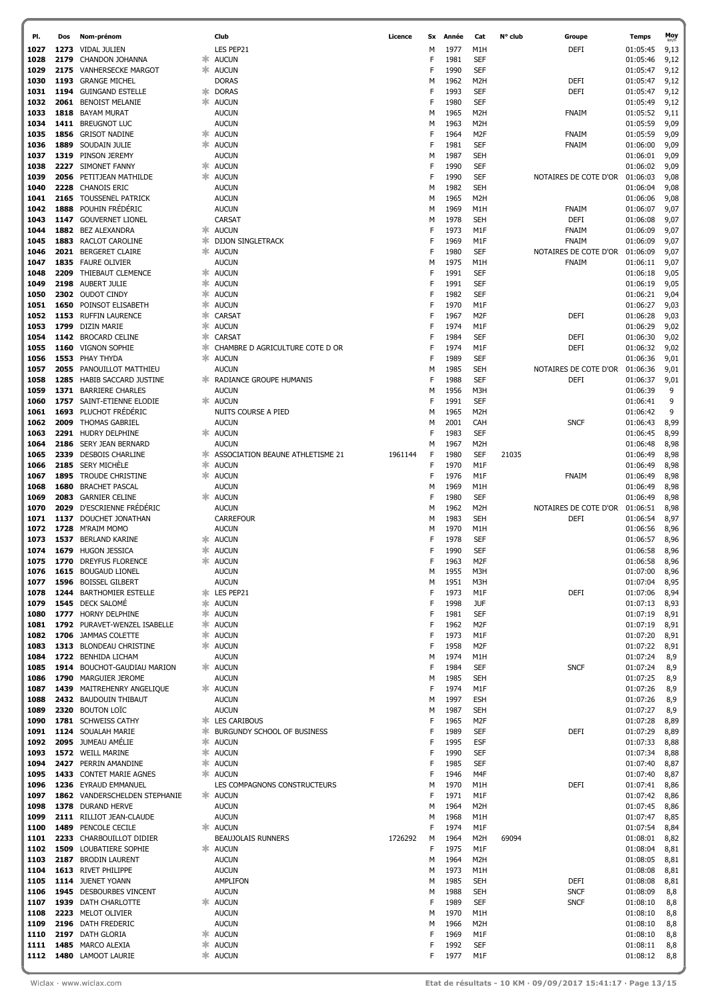| PI.          | Dos  | Nom-prénom                                      |        | Club                                 | Licence | Sx     | Année        | Cat                                  | N° club | Groupe                | <b>Temps</b>         | Moy<br>km/h  |
|--------------|------|-------------------------------------------------|--------|--------------------------------------|---------|--------|--------------|--------------------------------------|---------|-----------------------|----------------------|--------------|
| 1027         | 1273 | <b>VIDAL JULIEN</b>                             |        | LES PEP21                            |         | М      | 1977         | M1H                                  |         | <b>DEFI</b>           | 01:05:45             | 9,13         |
| 1028         | 2179 | CHANDON JOHANNA                                 | ж      | <b>AUCUN</b>                         |         | F      | 1981         | SEF                                  |         |                       | 01:05:46             | 9,12         |
| 1029         | 2175 | <b>VANHERSECKE MARGOT</b>                       | ж      | <b>AUCUN</b>                         |         | F      | 1990         | SEF                                  |         |                       | 01:05:47             | 9,12         |
| 1030         |      | 1193 GRANGE MICHEL                              |        | <b>DORAS</b>                         |         | М      | 1962         | M <sub>2</sub> H                     |         | DEFI                  | 01:05:47             | 9,12         |
| 1031         | 1194 | <b>GUINGAND ESTELLE</b>                         | ∗      | <b>DORAS</b>                         |         | F      | 1993         | SEF                                  |         | <b>DEFI</b>           | 01:05:47             | 9,12         |
| 1032         | 2061 | <b>BENOIST MELANIE</b>                          |        | * AUCUN                              |         | F      | 1980         | <b>SEF</b>                           |         |                       | 01:05:49             | 9,12         |
| 1033         | 1818 | <b>BAYAM MURAT</b>                              |        | <b>AUCUN</b>                         |         | М      | 1965         | M <sub>2</sub> H                     |         | FNAIM                 | 01:05:52             | 9,11         |
| 1034<br>1035 | 1411 | <b>BREUGNOT LUC</b><br>1856 GRISOT NADINE       | ж      | <b>AUCUN</b><br><b>AUCUN</b>         |         | М<br>F | 1963<br>1964 | M <sub>2</sub> H<br>M <sub>2</sub> F |         | <b>FNAIM</b>          | 01:05:59             | 9,09         |
| 1036         |      | 1889 SOUDAIN JULIE                              |        | * AUCUN                              |         | F      | 1981         | SEF                                  |         | FNAIM                 | 01:05:59<br>01:06:00 | 9,09<br>9,09 |
| 1037         |      | 1319 PINSON JEREMY                              |        | <b>AUCUN</b>                         |         | М      | 1987         | <b>SEH</b>                           |         |                       | 01:06:01             | 9,09         |
| 1038         |      | 2227 SIMONET FANNY                              |        | <b>AUCUN</b>                         |         | F      | 1990         | <b>SEF</b>                           |         |                       | 01:06:02             | 9,09         |
| 1039         |      | 2056 PETITJEAN MATHILDE                         | $\ast$ | <b>AUCUN</b>                         |         | F      | 1990         | <b>SEF</b>                           |         | NOTAIRES DE COTE D'OR | 01:06:03             | 9,08         |
| 1040         |      | 2228 CHANOIS ERIC                               |        | <b>AUCUN</b>                         |         | М      | 1982         | <b>SEH</b>                           |         |                       | 01:06:04             | 9,08         |
| 1041         |      | 2165 TOUSSENEL PATRICK                          |        | <b>AUCUN</b>                         |         | М      | 1965         | M <sub>2</sub> H                     |         |                       | 01:06:06             | 9,08         |
| 1042         |      | 1888 POUHIN FRÉDÉRIC                            |        | <b>AUCUN</b>                         |         | М      | 1969         | M1H                                  |         | FNAIM                 | 01:06:07             | 9,07         |
| 1043         |      | 1147 GOUVERNET LIONEL                           |        | <b>CARSAT</b>                        |         | М      | 1978         | <b>SEH</b>                           |         | <b>DEFI</b>           | 01:06:08             | 9,07         |
| 1044         |      | 1882 BEZ ALEXANDRA                              |        | * AUCUN                              |         | F      | 1973         | M1F                                  |         | FNAIM                 | 01:06:09             | 9,07         |
| 1045         | 1883 | RACLOT CAROLINE                                 |        | <b>EXAMPLE DIJON SINGLETRACK</b>     |         | F      | 1969         | M1F                                  |         | <b>FNAIM</b>          | 01:06:09             | 9,07         |
| 1046         | 2021 | <b>BERGERET CLAIRE</b>                          |        | * AUCUN                              |         | F      | 1980         | SEF                                  |         | NOTAIRES DE COTE D'OR | 01:06:09             | 9,07         |
| 1047         |      | 1835 FAURE OLIVIER                              |        | <b>AUCUN</b>                         |         | М<br>F | 1975<br>1991 | M1H                                  |         | <b>FNAIM</b>          | 01:06:11             | 9,07         |
| 1048<br>1049 |      | 2209 THIEBAUT CLEMENCE<br>2198 AUBERT JULIE     |        | * AUCUN<br>* AUCUN                   |         | F      | 1991         | SEF<br>SEF                           |         |                       | 01:06:18<br>01:06:19 | 9,05<br>9,05 |
| 1050         |      | 2302 OUDOT CINDY                                |        | * AUCUN                              |         | F      | 1982         | SEF                                  |         |                       | 01:06:21             | 9,04         |
| 1051         | 1650 | POINSOT ELISABETH                               |        | * AUCUN                              |         | F      | 1970         | M1F                                  |         |                       | 01:06:27             | 9,03         |
| 1052         |      | 1153 RUFFIN LAURENCE                            | ∗      | <b>CARSAT</b>                        |         | F      | 1967         | M <sub>2F</sub>                      |         | <b>DEFI</b>           | 01:06:28             | 9,03         |
| 1053         |      | 1799 DIZIN MARIE                                | ∗      | <b>AUCUN</b>                         |         | F      | 1974         | M1F                                  |         |                       | 01:06:29             | 9,02         |
| 1054         |      | 1142 BROCARD CELINE                             | ∗      | <b>CARSAT</b>                        |         | F      | 1984         | <b>SEF</b>                           |         | DEFI                  | 01:06:30             | 9,02         |
| 1055         | 1160 | <b>VIGNON SOPHIE</b>                            | ж.     | CHAMBRE D AGRICULTURE COTE D OR      |         | F      | 1974         | M1F                                  |         | <b>DEFI</b>           | 01:06:32             | 9,02         |
| 1056         |      | 1553 PHAY THYDA                                 | ж.     | <b>AUCUN</b>                         |         | F      | 1989         | SEF                                  |         |                       | 01:06:36             | 9,01         |
| 1057         |      | 2055 PANOUILLOT MATTHIEU                        |        | <b>AUCUN</b>                         |         | м      | 1985         | <b>SEH</b>                           |         | NOTAIRES DE COTE D'OR | 01:06:36             | 9,01         |
| 1058         |      | 1285 HABIB SACCARD JUSTINE                      |        | <b>* RADIANCE GROUPE HUMANIS</b>     |         | F      | 1988         | SEF                                  |         | <b>DEFI</b>           | 01:06:37             | 9,01         |
| 1059         | 1371 | <b>BARRIERE CHARLES</b>                         |        | <b>AUCUN</b>                         |         | М      | 1956         | M3H                                  |         |                       | 01:06:39             | 9            |
| 1060         | 1757 | SAINT-ETIENNE ELODIE<br>1693 PLUCHOT FRÉDÉRIC   | ж      | <b>AUCUN</b><br>NUITS COURSE A PIED  |         | F      | 1991<br>1965 | SEF<br>M <sub>2</sub> H              |         |                       | 01:06:41             | 9<br>9       |
| 1061<br>1062 |      | 2009 THOMAS GABRIEL                             |        | <b>AUCUN</b>                         |         | м<br>М | 2001         | CAH                                  |         | <b>SNCF</b>           | 01:06:42<br>01:06:43 | 8,99         |
| 1063         |      | 2291 HUDRY DELPHINE                             |        | * AUCUN                              |         | F      | 1983         | SEF                                  |         |                       | 01:06:45             | 8,99         |
| 1064         |      | 2186 SERY JEAN BERNARD                          |        | <b>AUCUN</b>                         |         | М      | 1967         | M <sub>2</sub> H                     |         |                       | 01:06:48             | 8,98         |
| 1065         |      | 2339 DESBOIS CHARLINE                           |        | * ASSOCIATION BEAUNE ATHLETISME 21   | 1961144 | F      | 1980         | SEF                                  | 21035   |                       | 01:06:49             | 8,98         |
| 1066         |      | 2185 SERY MICHÈLE                               | 氺      | <b>AUCUN</b>                         |         | F      | 1970         | M1F                                  |         |                       | 01:06:49             | 8,98         |
| 1067         |      | 1895 TROUDE CHRISTINE                           |        | * AUCUN                              |         | F      | 1976         | M1F                                  |         | <b>FNAIM</b>          | 01:06:49             | 8,98         |
| 1068         | 1680 | <b>BRACHET PASCAL</b>                           |        | <b>AUCUN</b>                         |         | м      | 1969         | M1H                                  |         |                       | 01:06:49             | 8,98         |
| 1069         |      | 2083 GARNIER CELINE                             |        | * AUCUN                              |         | F      | 1980         | SEF                                  |         |                       | 01:06:49             | 8,98         |
| 1070         |      | 2029 D'ESCRIENNE FRÉDÉRIC                       |        | <b>AUCUN</b>                         |         | м      | 1962         | M <sub>2</sub> H                     |         | NOTAIRES DE COTE D'OR | 01:06:51             | 8,98         |
| 1071         |      | 1137 DOUCHET JONATHAN                           |        | <b>CARREFOUR</b>                     |         | м      | 1983         | <b>SEH</b>                           |         | <b>DEFI</b>           | 01:06:54             | 8,97         |
| 1072         | 1537 | 1728 M'RAIM MOMO<br><b>BERLAND KARINE</b>       |        | <b>AUCUN</b><br><b>AUCUN</b>         |         | м<br>F | 1970<br>1978 | M1H<br>SEF                           |         |                       | 01:06:56             | 8,96         |
| 1073<br>1074 |      | 1679 HUGON JESSICA                              |        | * AUCUN                              |         | F      | 1990         | <b>SEF</b>                           |         |                       | 01:06:57<br>01:06:58 | 8,96<br>8,96 |
| 1075         |      | 1770 DREYFUS FLORENCE                           |        | <b>☀ AUCUN</b>                       |         | F      | 1963         | M <sub>2F</sub>                      |         |                       | 01:06:58             | 8,96         |
| 1076         |      | 1615 BOUGAUD LIONEL                             |        | <b>AUCUN</b>                         |         | М      | 1955         | M3H                                  |         |                       | 01:07:00             | 8,96         |
| 1077         |      | 1596 BOISSEL GILBERT                            |        | <b>AUCUN</b>                         |         | М      | 1951         | M3H                                  |         |                       | 01:07:04             | 8,95         |
| 1078         |      | 1244 BARTHOMIER ESTELLE                         |        | * LES PEP21                          |         | F      | 1973         | M1F                                  |         | <b>DEFI</b>           | 01:07:06             | 8,94         |
| 1079         |      | 1545 DECK SALOMÉ                                |        | * AUCUN                              |         | F      | 1998         | <b>JUF</b>                           |         |                       | 01:07:13             | 8,93         |
| 1080         |      | 1777 HORNY DELPHINE                             |        | * AUCUN                              |         | F      | 1981         | SEF                                  |         |                       | 01:07:19             | 8,91         |
| 1081         |      | 1792 PURAVET-WENZEL ISABELLE                    |        | * AUCUN                              |         | F      | 1962         | M <sub>2</sub> F                     |         |                       | 01:07:19             | 8,91         |
| 1082         |      | 1706 JAMMAS COLETTE                             | ∗      | <b>AUCUN</b>                         |         | F      | 1973         | M1F                                  |         |                       | 01:07:20             | 8,91         |
| 1083         |      | 1313 BLONDEAU CHRISTINE<br>1722 BENHIDA LICHAM  |        | * AUCUN<br><b>AUCUN</b>              |         | F      | 1958<br>1974 | M <sub>2</sub> F<br>M1H              |         |                       | 01:07:22<br>01:07:24 | 8,91         |
| 1084<br>1085 |      | 1914 BOUCHOT-GAUDIAU MARION                     |        | * AUCUN                              |         | М<br>F | 1984         | SEF                                  |         | <b>SNCF</b>           | 01:07:24             | 8,9<br>8,9   |
| 1086         |      | 1790 MARGUIER JEROME                            |        | <b>AUCUN</b>                         |         | М      | 1985         | <b>SEH</b>                           |         |                       | 01:07:25             | 8,9          |
| 1087         |      | 1439 MAITREHENRY ANGELIQUE                      |        | * AUCUN                              |         | F      | 1974         | M1F                                  |         |                       | 01:07:26             | 8,9          |
| 1088         |      | 2432 BAUDOUIN THIBAUT                           |        | <b>AUCUN</b>                         |         | М      | 1997         | <b>ESH</b>                           |         |                       | 01:07:26             | 8,9          |
| 1089         |      | 2320 BOUTON LOÏC                                |        | <b>AUCUN</b>                         |         | М      | 1987         | <b>SEH</b>                           |         |                       | 01:07:27             | 8,9          |
| 1090         |      | 1781 SCHWEISS CATHY                             |        | <b>* LES CARIBOUS</b>                |         | F      | 1965         | M <sub>2F</sub>                      |         |                       | 01:07:28             | 8,89         |
| 1091         |      | 1124 SOUALAH MARIE                              |        | <b>* BURGUNDY SCHOOL OF BUSINESS</b> |         | F      | 1989         | SEF                                  |         | DEFI                  | 01:07:29             | 8,89         |
| 1092         |      | 2095 JUMEAU AMÉLIE                              |        | * AUCUN                              |         | F      | 1995         | <b>ESF</b>                           |         |                       | 01:07:33             | 8,88         |
| 1093         |      | 1572 WEILL MARINE                               |        | * AUCUN                              |         | F      | 1990         | SEF                                  |         |                       | 01:07:34             | 8,88         |
| 1094<br>1095 |      | 2427 PERRIN AMANDINE<br>1433 CONTET MARIE AGNES | 氺      | <b>AUCUN</b><br>* AUCUN              |         | F<br>F | 1985<br>1946 | <b>SEF</b><br>M4F                    |         |                       | 01:07:40<br>01:07:40 | 8,87<br>8,87 |
| 1096         |      | 1236 EYRAUD EMMANUEL                            |        | LES COMPAGNONS CONSTRUCTEURS         |         | М      | 1970         | M1H                                  |         | <b>DEFI</b>           | 01:07:41             | 8,86         |
| 1097         |      | 1862 VANDERSCHELDEN STEPHANIE                   |        | * AUCUN                              |         | F      | 1971         | M1F                                  |         |                       | 01:07:42             | 8,86         |
| 1098         |      | 1378 DURAND HERVE                               |        | <b>AUCUN</b>                         |         | М      | 1964         | M <sub>2</sub> H                     |         |                       | 01:07:45             | 8,86         |
| 1099         |      | 2111 RILLIOT JEAN-CLAUDE                        |        | <b>AUCUN</b>                         |         | М      | 1968         | M1H                                  |         |                       | 01:07:47             | 8,85         |
| 1100         |      | 1489 PENCOLE CECILE                             |        | * AUCUN                              |         | F      | 1974         | M1F                                  |         |                       | 01:07:54             | 8,84         |
| 1101         |      | 2233 CHARBOUILLOT DIDIER                        |        | <b>BEAUJOLAIS RUNNERS</b>            | 1726292 | М      | 1964         | M <sub>2</sub> H                     | 69094   |                       | 01:08:01             | 8,82         |
| 1102         |      | 1509 LOUBATIERE SOPHIE                          |        | * AUCUN                              |         | F      | 1975         | M1F                                  |         |                       | 01:08:04             | 8,81         |
| 1103         |      | 2187 BRODIN LAURENT                             |        | <b>AUCUN</b>                         |         | М      | 1964         | M <sub>2</sub> H                     |         |                       | 01:08:05             | 8,81         |
| 1104         |      | 1613 RIVET PHILIPPE                             |        | <b>AUCUN</b>                         |         | М      | 1973         | M1H                                  |         |                       | 01:08:08             | 8,81         |
| 1105<br>1106 |      | 1114 JUENET YOANN<br>1945 DESBOURBES VINCENT    |        | <b>AMPLIFON</b><br><b>AUCUN</b>      |         | М<br>М | 1985<br>1988 | <b>SEH</b><br><b>SEH</b>             |         | DEFI<br><b>SNCF</b>   | 01:08:08<br>01:08:09 | 8,81<br>8,8  |
| 1107         |      | 1939 DATH CHARLOTTE                             |        | * AUCUN                              |         | F      | 1989         | SEF                                  |         | <b>SNCF</b>           | 01:08:10             | 8,8          |
| 1108         |      | 2223 MELOT OLIVIER                              |        | <b>AUCUN</b>                         |         | м      | 1970         | M1H                                  |         |                       | 01:08:10             | 8,8          |
| 1109         |      | 2196 DATH FREDERIC                              |        | <b>AUCUN</b>                         |         | М      | 1966         | M <sub>2</sub> H                     |         |                       | 01:08:10             | 8,8          |
| 1110         |      | 2197 DATH GLORIA                                |        | <b><del></del></b> AUCUN             |         | F      | 1969         | M1F                                  |         |                       | 01:08:10             | 8,8          |
| 1111         |      | 1485 MARCO ALEXIA                               |        | <b>☀ AUCUN</b>                       |         | F      | 1992         | SEF                                  |         |                       | 01:08:11             | 8,8          |
| 1112         |      | 1480 LAMOOT LAURIE                              |        | * AUCUN                              |         | F      | 1977         | M1F                                  |         |                       | 01:08:12             | 8,8          |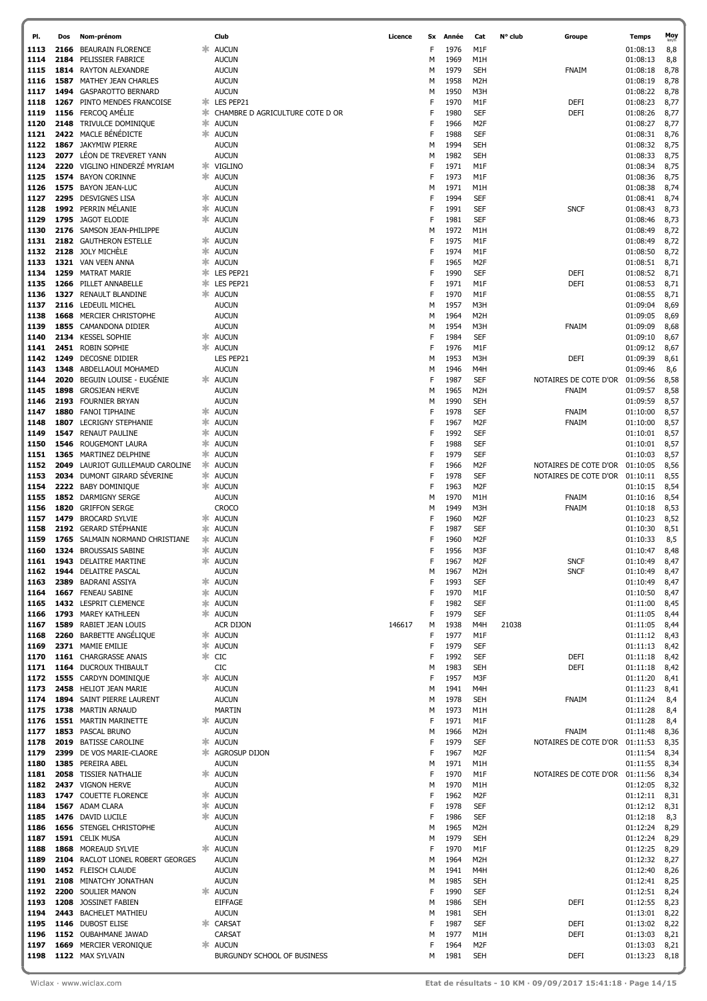| PI.          | Dos          | Nom-prénom                                            |        | Club                                | Licence | <b>Sx</b> | Année        | Cat                                 | N° club | Groupe                                         | <b>Temps</b>         | Moy          |
|--------------|--------------|-------------------------------------------------------|--------|-------------------------------------|---------|-----------|--------------|-------------------------------------|---------|------------------------------------------------|----------------------|--------------|
| 1113         | 2166         | <b>BEAURAIN FLORENCE</b>                              | ∗      | <b>AUCUN</b>                        |         | F         | 1976         | M1F                                 |         |                                                | 01:08:13             | 8,8          |
| 1114         | 2184         | PELISSIER FABRICE                                     |        | <b>AUCUN</b>                        |         | м         | 1969         | M1H                                 |         |                                                | 01:08:13             | 8,8          |
| 1115         | 1814         | <b>RAYTON ALEXANDRE</b>                               |        | <b>AUCUN</b>                        |         | M         | 1979         | <b>SEH</b>                          |         | <b>FNAIM</b>                                   | 01:08:18             | 8,78         |
| 1116         | 1587         | MATHEY JEAN CHARLES                                   |        | <b>AUCUN</b>                        |         | м         | 1958         | M <sub>2</sub> H                    |         |                                                | 01:08:19             | 8,78         |
| 1117<br>1118 | 1494<br>1267 | <b>GASPAROTTO BERNARD</b><br>PINTO MENDES FRANCOISE   |        | <b>AUCUN</b><br>* LES PEP21         |         | м<br>F    | 1950<br>1970 | M3H<br>M1F                          |         | DEFI                                           | 01:08:22<br>01:08:23 | 8,78<br>8,77 |
| 1119         |              | 1156 FERCOQ AMÉLIE                                    | $\ast$ | CHAMBRE D AGRICULTURE COTE D OR     |         | F         | 1980         | SEF                                 |         | DEFI                                           | 01:08:26             | 8,77         |
| 1120         | 2148         | TRIVULCE DOMINIQUE                                    |        | * AUCUN                             |         | F         | 1966         | M <sub>2F</sub>                     |         |                                                | 01:08:27             | 8,77         |
| 1121         |              | 2422 MACLE BÉNÉDICTE                                  |        | * AUCUN                             |         | F         | 1988         | SEF                                 |         |                                                | 01:08:31             | 8,76         |
| 1122         | 1867         | <b>JAKYMIW PIERRE</b>                                 |        | <b>AUCUN</b>                        |         | M         | 1994         | <b>SEH</b>                          |         |                                                | 01:08:32             | 8,75         |
| 1123         | 2077         | LÉON DE TREVERET YANN                                 |        | <b>AUCUN</b>                        |         | м         | 1982         | <b>SEH</b>                          |         |                                                | 01:08:33             | 8,75         |
| 1124         | 2220         | VIGLINO HINDERZE MYRIAM                               |        | * VIGLINO                           |         | F         | 1971         | M1F                                 |         |                                                | 01:08:34             | 8,75         |
| 1125<br>1126 |              | 1574 BAYON CORINNE<br>1575 BAYON JEAN-LUC             | $\ast$ | <b>AUCUN</b><br><b>AUCUN</b>        |         | F<br>м    | 1973<br>1971 | M1F<br>M1H                          |         |                                                | 01:08:36<br>01:08:38 | 8,75<br>8,74 |
| 1127         |              | 2295 DESVIGNES LISA                                   | ∗      | <b>AUCUN</b>                        |         | F         | 1994         | <b>SEF</b>                          |         |                                                | 01:08:41             | 8,74         |
| 1128         |              | 1992 PERRIN MÉLANIE                                   | $\ast$ | <b>AUCUN</b>                        |         | F         | 1991         | <b>SEF</b>                          |         | <b>SNCF</b>                                    | 01:08:43             | 8,73         |
| 1129         | 1795         | JAGOT ELODIE                                          |        | <b>AUCUN</b>                        |         | F         | 1981         | <b>SEF</b>                          |         |                                                | 01:08:46             | 8,73         |
| 1130         |              | 2176 SAMSON JEAN-PHILIPPE                             |        | <b>AUCUN</b>                        |         | м         | 1972         | M1H                                 |         |                                                | 01:08:49             | 8,72         |
| 1131         |              | 2182 GAUTHERON ESTELLE                                | ж      | <b>AUCUN</b>                        |         | F         | 1975         | M1F                                 |         |                                                | 01:08:49             | 8,72         |
| 1132         | 2128         | JOLY MICHÈLE                                          |        | <b>* AUCUN</b>                      |         | F         | 1974         | M1F                                 |         |                                                | 01:08:50             | 8,72         |
| 1133         |              | 1321 VAN VEEN ANNA                                    |        | * AUCUN                             |         | F         | 1965         | M <sub>2</sub> F                    |         |                                                | 01:08:51             | 8,71         |
| 1134<br>1135 | 1259<br>1266 | MATRAT MARIE<br>PILLET ANNABELLE                      | ж.     | * LES PEP21<br>LES PEP21            |         | F<br>F    | 1990<br>1971 | <b>SEF</b><br>M1F                   |         | DEFI<br>DEFI                                   | 01:08:52<br>01:08:53 | 8,71<br>8,71 |
| 1136         | 1327         | <b>RENAULT BLANDINE</b>                               |        | * AUCUN                             |         | F         | 1970         | M1F                                 |         |                                                | 01:08:55             | 8,71         |
| 1137         | 2116         | LEDEUIL MICHEL                                        |        | <b>AUCUN</b>                        |         | м         | 1957         | M3H                                 |         |                                                | 01:09:04             | 8,69         |
| 1138         | 1668         | <b>MERCIER CHRISTOPHE</b>                             |        | <b>AUCUN</b>                        |         | м         | 1964         | M <sub>2</sub> H                    |         |                                                | 01:09:05             | 8,69         |
| 1139         | 1855         | CAMANDONA DIDIER                                      |        | <b>AUCUN</b>                        |         | м         | 1954         | M3H                                 |         | FNAIM                                          | 01:09:09             | 8,68         |
| 1140         | 2134         | <b>KESSEL SOPHIE</b>                                  |        | <b>AUCUN</b>                        |         | F         | 1984         | <b>SEF</b>                          |         |                                                | 01:09:10             | 8,67         |
| 1141         | 2451         | <b>ROBIN SOPHIE</b>                                   | ж      | <b>AUCUN</b>                        |         | F         | 1976         | M1F                                 |         |                                                | 01:09:12             | 8,67         |
| 1142         | 1249         | DECOSNE DIDIER                                        |        | LES PEP21                           |         | M         | 1953         | M3H                                 |         | DEFI                                           | 01:09:39             | 8,61         |
| 1143<br>1144 | 1348<br>2020 | ABDELLAOUI MOHAMED<br>BEGUIN LOUISE - EUGÉNIE         |        | <b>AUCUN</b><br>* AUCUN             |         | м<br>F    | 1946<br>1987 | M4H<br>SEF                          |         | NOTAIRES DE COTE D'OR                          | 01:09:46<br>01:09:56 | 8,6<br>8,58  |
| 1145         | 1898         | <b>GROSJEAN HERVE</b>                                 |        | <b>AUCUN</b>                        |         | м         | 1965         | M <sub>2</sub> H                    |         | FNAIM                                          | 01:09:57             | 8,58         |
| 1146         | 2193         | <b>FOURNIER BRYAN</b>                                 |        | <b>AUCUN</b>                        |         | М         | 1990         | <b>SEH</b>                          |         |                                                | 01:09:59             | 8,57         |
| 1147         | 1880         | <b>FANOI TIPHAINE</b>                                 |        | * AUCUN                             |         | F         | 1978         | SEF                                 |         | FNAIM                                          | 01:10:00             | 8,57         |
| 1148         | 1807         | <b>LECRIGNY STEPHANIE</b>                             |        | * AUCUN                             |         | F         | 1967         | M <sub>2</sub> F                    |         | FNAIM                                          | 01:10:00             | 8,57         |
| 1149         | 1547         | <b>RENAUT PAULINE</b>                                 |        | * AUCUN                             |         | F         | 1992         | <b>SEF</b>                          |         |                                                | 01:10:01             | 8,57         |
| 1150         | 1546         | ROUGEMONT LAURA                                       |        | <b>☀ AUCUN</b>                      |         | F         | 1988         | SEF                                 |         |                                                | 01:10:01             | 8,57         |
| 1151         | 1365         | MARTINEZ DELPHINE                                     |        | * AUCUN                             |         | F         | 1979         | <b>SEF</b>                          |         |                                                | 01:10:03             | 8,57         |
| 1152<br>1153 | 2049<br>2034 | LAURIOT GUILLEMAUD CAROLINE<br>DUMONT GIRARD SÉVERINE |        | * AUCUN<br>* AUCUN                  |         | F<br>F    | 1966<br>1978 | M <sub>2F</sub><br>SEF              |         | NOTAIRES DE COTE D'OR<br>NOTAIRES DE COTE D'OR | 01:10:05<br>01:10:11 | 8,56<br>8,55 |
| 1154         | 2222         | <b>BABY DOMINIQUE</b>                                 |        | * AUCUN                             |         | F         | 1963         | M <sub>2</sub> F                    |         |                                                | 01:10:15             | 8,54         |
| 1155         | 1852         | <b>DARMIGNY SERGE</b>                                 |        | <b>AUCUN</b>                        |         | м         | 1970         | M1H                                 |         | FNAIM                                          | 01:10:16             | 8,54         |
| 1156         | 1820         | <b>GRIFFON SERGE</b>                                  |        | <b>CROCO</b>                        |         | M         | 1949         | M3H                                 |         | FNAIM                                          | 01:10:18             | 8,53         |
| 1157         | 1479         | <b>BROCARD SYLVIE</b>                                 |        | * AUCUN                             |         |           | 1960         | M <sub>2</sub> F                    |         |                                                | 01:10:23             | 8,52         |
| 1158         | 2192         | <b>GERARD STÉPHANIE</b>                               |        | * AUCUN                             |         | F         | 1987         | SEF                                 |         |                                                | 01:10:30             | 8,51         |
| 1159         | 1765         | SALMAIN NORMAND CHRISTIANE                            |        | * AUCUN                             |         |           | 1960         | M <sub>2</sub> F                    |         |                                                | 01:10:33             | 8,5          |
| 1160         |              | 1324 BROUSSAIS SABINE                                 |        | * AUCUN                             |         | F         | 1956         | M3F                                 |         |                                                | 01:10:47             | 8,48         |
| 1161<br>1162 | 1943         | <b>DELAITRE MARTINE</b><br>1944 DELAITRE PASCAL       |        | * AUCUN<br><b>AUCUN</b>             |         | м         | 1967<br>1967 | M <sub>2F</sub><br>M <sub>2</sub> H |         | <b>SNCF</b><br><b>SNCF</b>                     | 01:10:49<br>01:10:49 | 8,47<br>8,47 |
| 1163         | 2389         | <b>BADRANI ASSIYA</b>                                 |        | * AUCUN                             |         |           | 1993         | SEF                                 |         |                                                | 01:10:49             | 8,47         |
| 1164         |              | 1667 FENEAU SABINE                                    |        | * AUCUN                             |         | F         | 1970         | M1F                                 |         |                                                | 01:10:50             | 8,47         |
| 1165         |              | 1432 LESPRIT CLEMENCE                                 |        | * AUCUN                             |         | F         | 1982         | SEF                                 |         |                                                | 01:11:00             | 8,45         |
| 1166         |              | 1793 MAREY KATHLEEN                                   |        | * AUCUN                             |         | F         | 1979         | SEF                                 |         |                                                | 01:11:05             | 8,44         |
| 1167         |              | 1589 RABIET JEAN LOUIS                                |        | <b>ACR DIJON</b>                    | 146617  | м         | 1938         | M4H                                 | 21038   |                                                | 01:11:05             | 8,44         |
| 1168         |              | 2260 BARBETTE ANGÉLIQUE                               |        | * AUCUN                             |         | F         | 1977         | M1F                                 |         |                                                | 01:11:12             | 8,43         |
| 1169<br>1170 |              | 2371 MAMIE EMILIE<br>1161 CHARGRASSE ANAIS            |        | <b><del></del></b> AUCUN<br>$*$ CIC |         | F<br>F    | 1979<br>1992 | SEF<br>SEF                          |         | DEFI                                           | 01:11:13<br>01:11:18 | 8,42<br>8,42 |
| 1171         |              | 1164 DUCROUX THIBAULT                                 |        | CIC                                 |         | М         | 1983         | <b>SEH</b>                          |         | DEFI                                           | 01:11:18             | 8,42         |
| 1172         |              | 1555 CARDYN DOMINIQUE                                 |        | * AUCUN                             |         | F         | 1957         | M3F                                 |         |                                                | 01:11:20             | 8,41         |
| 1173         |              | 2458 HELIOT JEAN MARIE                                |        | <b>AUCUN</b>                        |         | М         | 1941         | M4H                                 |         |                                                | 01:11:23             | 8,41         |
| 1174         |              | 1894 SAINT PIERRE LAURENT                             |        | <b>AUCUN</b>                        |         | М         | 1978         | <b>SEH</b>                          |         | FNAIM                                          | 01:11:24             | 8,4          |
| 1175         |              | 1738 MARTIN ARNAUD                                    |        | <b>MARTIN</b>                       |         | М         | 1973         | M1H                                 |         |                                                | 01:11:28             | 8,4          |
| 1176         |              | 1551 MARTIN MARINETTE                                 |        | * AUCUN                             |         | F         | 1971         | M1F                                 |         |                                                | 01:11:28             | 8,4          |
| 1177         |              | 1853 PASCAL BRUNO<br>2019 BATISSE CAROLINE            |        | <b>AUCUN</b><br><b>☀ AUCUN</b>      |         | М<br>F    | 1966<br>1979 | M <sub>2</sub> H<br>SEF             |         | FNAIM<br>NOTAIRES DE COTE D'OR 01:11:53        | 01:11:48             | 8,36<br>8,35 |
| 1178<br>1179 |              | 2399 DE VOS MARIE-CLAORE                              |        | <b>* AGROSUP DIJON</b>              |         | F         | 1967         | M <sub>2F</sub>                     |         |                                                | 01:11:54             | 8,34         |
| 1180         |              | 1385 PEREIRA ABEL                                     |        | <b>AUCUN</b>                        |         | М         | 1971         | M1H                                 |         |                                                | 01:11:55             | 8,34         |
| 1181         |              | 2058 TISSIER NATHALIE                                 |        | * AUCUN                             |         | F         | 1970         | M1F                                 |         | NOTAIRES DE COTE D'OR                          | 01:11:56             | 8,34         |
| 1182         |              | 2437 VIGNON HERVE                                     |        | <b>AUCUN</b>                        |         | М         | 1970         | M1H                                 |         |                                                | 01:12:05             | 8,32         |
| 1183         |              | 1747 COUETTE FLORENCE                                 |        | * AUCUN                             |         | F         | 1962         | M <sub>2</sub> F                    |         |                                                | 01:12:11             | 8,31         |
| 1184         |              | 1567 ADAM CLARA                                       |        | * AUCUN                             |         | F         | 1978         | SEF                                 |         |                                                | 01:12:12             | 8,31         |
| 1185         |              | 1476 DAVID LUCILE<br>1656 STENGEL CHRISTOPHE          |        | <b>☀ AUCUN</b>                      |         | F<br>М    | 1986<br>1965 | SEF<br>M <sub>2</sub> H             |         |                                                | 01:12:18             | 8,3          |
| 1186<br>1187 |              | 1591 CELIK MUSA                                       |        | <b>AUCUN</b><br><b>AUCUN</b>        |         | М         | 1979         | <b>SEH</b>                          |         |                                                | 01:12:24<br>01:12:24 | 8,29<br>8,29 |
| 1188         |              | 1868 MOREAUD SYLVIE                                   |        | * AUCUN                             |         | F         | 1970         | M1F                                 |         |                                                | 01:12:25             | 8,29         |
| 1189         |              | 2104 RACLOT LIONEL ROBERT GEORGES                     |        | <b>AUCUN</b>                        |         | М         | 1964         | M <sub>2</sub> H                    |         |                                                | 01:12:32             | 8,27         |
| 1190         |              | 1452 FLEISCH CLAUDE                                   |        | <b>AUCUN</b>                        |         | М         | 1941         | M4H                                 |         |                                                | 01:12:40             | 8,26         |
| 1191         |              | 2108 MINATCHY JONATHAN                                |        | <b>AUCUN</b>                        |         | М         | 1985         | SEH                                 |         |                                                | 01:12:41             | 8,25         |
| 1192         |              | 2200 SOULIER MANON                                    |        | * AUCUN                             |         | F         | 1990         | <b>SEF</b>                          |         |                                                | 01:12:51             | 8,24         |
| 1193         |              | 1208 JOSSINET FABIEN                                  |        | <b>EIFFAGE</b>                      |         | М         | 1986         | <b>SEH</b>                          |         | DEFI                                           | 01:12:55             | 8,23         |
| 1194         |              | 2443 BACHELET MATHIEU                                 |        | <b>AUCUN</b>                        |         | М         | 1981         | <b>SEH</b>                          |         |                                                | 01:13:01             | 8,22         |
| 1195<br>1196 |              | 1146 DUBOST ELISE<br>1152 OUBAHMANE JAWAD             |        | * CARSAT<br>CARSAT                  |         | F<br>М    | 1987<br>1977 | <b>SEF</b><br>M1H                   |         | DEFI<br>DEFI                                   | 01:13:02<br>01:13:03 | 8,22<br>8,21 |
| 1197         |              | 1669 MERCIER VERONIQUE                                |        | * AUCUN                             |         | F         | 1964         | M <sub>2</sub> F                    |         |                                                | 01:13:03             | 8,21         |
| 1198         |              | 1122 MAX SYLVAIN                                      |        | BURGUNDY SCHOOL OF BUSINESS         |         | М         | 1981         | <b>SEH</b>                          |         | DEFI                                           | 01:13:23 8,18        |              |